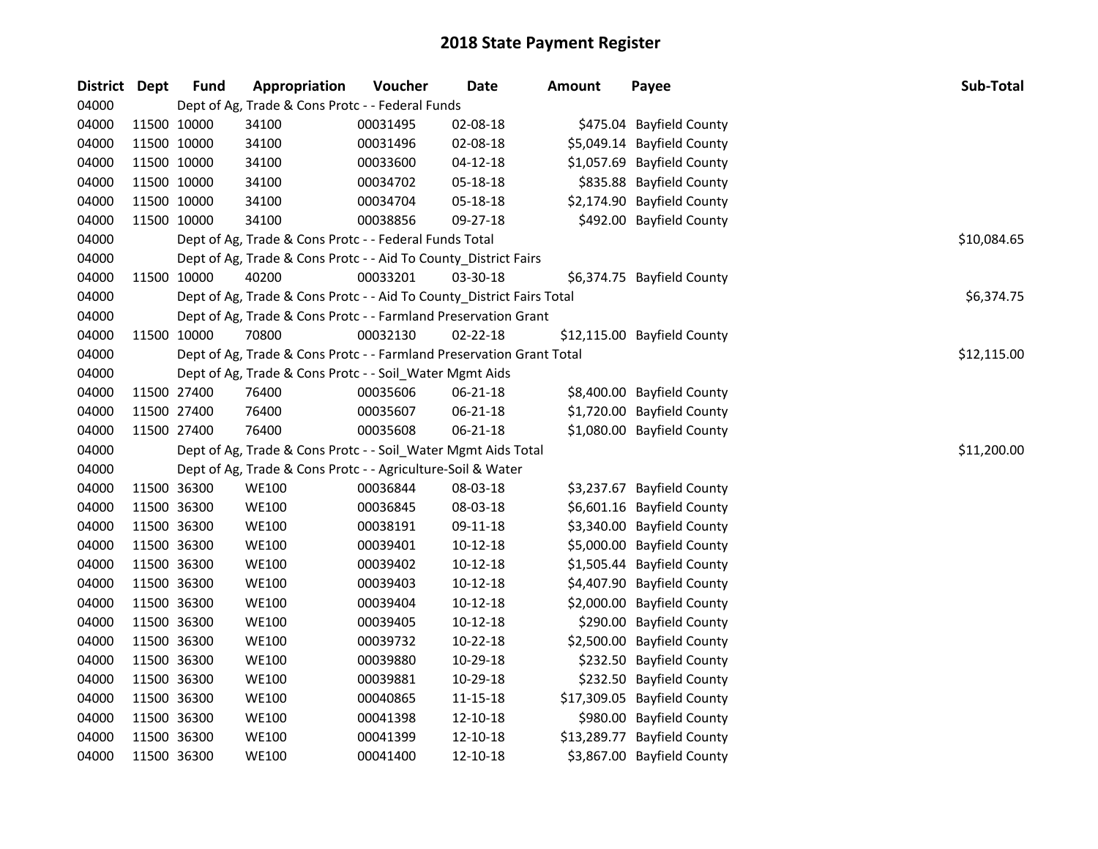| District Dept |             | <b>Fund</b> | Appropriation                                                         | Voucher  | Date           | <b>Amount</b> | Payee                       | Sub-Total   |
|---------------|-------------|-------------|-----------------------------------------------------------------------|----------|----------------|---------------|-----------------------------|-------------|
| 04000         |             |             | Dept of Ag, Trade & Cons Protc - - Federal Funds                      |          |                |               |                             |             |
| 04000         | 11500 10000 |             | 34100                                                                 | 00031495 | 02-08-18       |               | \$475.04 Bayfield County    |             |
| 04000         | 11500 10000 |             | 34100                                                                 | 00031496 | 02-08-18       |               | \$5,049.14 Bayfield County  |             |
| 04000         | 11500 10000 |             | 34100                                                                 | 00033600 | $04 - 12 - 18$ |               | \$1,057.69 Bayfield County  |             |
| 04000         | 11500 10000 |             | 34100                                                                 | 00034702 | 05-18-18       |               | \$835.88 Bayfield County    |             |
| 04000         | 11500 10000 |             | 34100                                                                 | 00034704 | 05-18-18       |               | \$2,174.90 Bayfield County  |             |
| 04000         | 11500 10000 |             | 34100                                                                 | 00038856 | 09-27-18       |               | \$492.00 Bayfield County    |             |
| 04000         |             |             | Dept of Ag, Trade & Cons Protc - - Federal Funds Total                |          |                |               |                             | \$10,084.65 |
| 04000         |             |             | Dept of Ag, Trade & Cons Protc - - Aid To County_District Fairs       |          |                |               |                             |             |
| 04000         | 11500 10000 |             | 40200                                                                 | 00033201 | 03-30-18       |               | \$6,374.75 Bayfield County  |             |
| 04000         |             |             | Dept of Ag, Trade & Cons Protc - - Aid To County_District Fairs Total |          |                |               |                             | \$6,374.75  |
| 04000         |             |             | Dept of Ag, Trade & Cons Protc - - Farmland Preservation Grant        |          |                |               |                             |             |
| 04000         |             | 11500 10000 | 70800                                                                 | 00032130 | 02-22-18       |               | \$12,115.00 Bayfield County |             |
| 04000         |             |             | Dept of Ag, Trade & Cons Protc - - Farmland Preservation Grant Total  |          |                |               |                             | \$12,115.00 |
| 04000         |             |             | Dept of Ag, Trade & Cons Protc - - Soil_Water Mgmt Aids               |          |                |               |                             |             |
| 04000         | 11500 27400 |             | 76400                                                                 | 00035606 | 06-21-18       |               | \$8,400.00 Bayfield County  |             |
| 04000         | 11500 27400 |             | 76400                                                                 | 00035607 | 06-21-18       |               | \$1,720.00 Bayfield County  |             |
| 04000         | 11500 27400 |             | 76400                                                                 | 00035608 | 06-21-18       |               | \$1,080.00 Bayfield County  |             |
| 04000         |             |             | Dept of Ag, Trade & Cons Protc - - Soil_Water Mgmt Aids Total         |          |                |               |                             | \$11,200.00 |
| 04000         |             |             | Dept of Ag, Trade & Cons Protc - - Agriculture-Soil & Water           |          |                |               |                             |             |
| 04000         | 11500 36300 |             | <b>WE100</b>                                                          | 00036844 | 08-03-18       |               | \$3,237.67 Bayfield County  |             |
| 04000         | 11500 36300 |             | <b>WE100</b>                                                          | 00036845 | 08-03-18       |               | \$6,601.16 Bayfield County  |             |
| 04000         | 11500 36300 |             | <b>WE100</b>                                                          | 00038191 | 09-11-18       |               | \$3,340.00 Bayfield County  |             |
| 04000         | 11500 36300 |             | <b>WE100</b>                                                          | 00039401 | $10 - 12 - 18$ |               | \$5,000.00 Bayfield County  |             |
| 04000         | 11500 36300 |             | <b>WE100</b>                                                          | 00039402 | 10-12-18       |               | \$1,505.44 Bayfield County  |             |
| 04000         | 11500 36300 |             | <b>WE100</b>                                                          | 00039403 | $10 - 12 - 18$ |               | \$4,407.90 Bayfield County  |             |
| 04000         | 11500 36300 |             | <b>WE100</b>                                                          | 00039404 | $10 - 12 - 18$ |               | \$2,000.00 Bayfield County  |             |
| 04000         | 11500 36300 |             | <b>WE100</b>                                                          | 00039405 | $10 - 12 - 18$ |               | \$290.00 Bayfield County    |             |
| 04000         | 11500 36300 |             | <b>WE100</b>                                                          | 00039732 | 10-22-18       |               | \$2,500.00 Bayfield County  |             |
| 04000         | 11500 36300 |             | <b>WE100</b>                                                          | 00039880 | 10-29-18       |               | \$232.50 Bayfield County    |             |
| 04000         | 11500 36300 |             | <b>WE100</b>                                                          | 00039881 | 10-29-18       |               | \$232.50 Bayfield County    |             |
| 04000         | 11500 36300 |             | <b>WE100</b>                                                          | 00040865 | 11-15-18       |               | \$17,309.05 Bayfield County |             |
| 04000         | 11500 36300 |             | <b>WE100</b>                                                          | 00041398 | 12-10-18       |               | \$980.00 Bayfield County    |             |
| 04000         | 11500 36300 |             | <b>WE100</b>                                                          | 00041399 | 12-10-18       |               | \$13,289.77 Bayfield County |             |
| 04000         | 11500 36300 |             | <b>WE100</b>                                                          | 00041400 | 12-10-18       |               | \$3,867.00 Bayfield County  |             |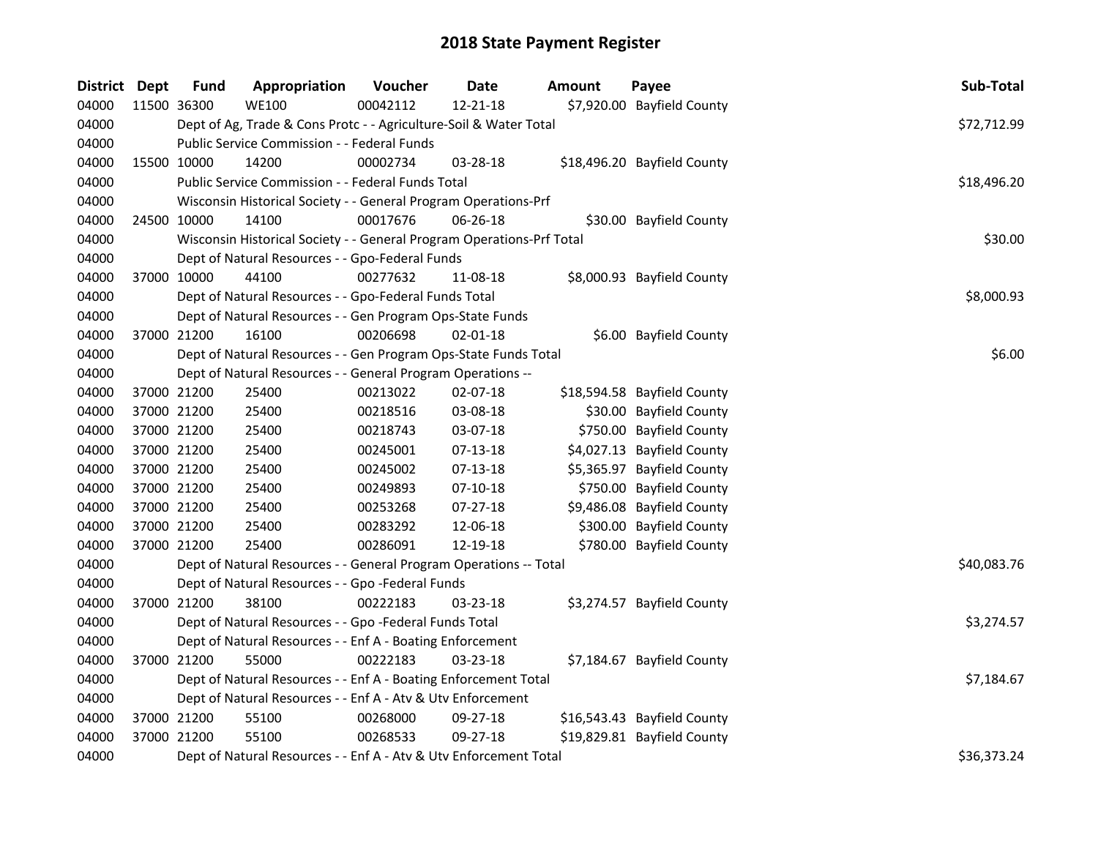| District Dept |             | Fund        | Appropriation                                                         | Voucher  | Date           | <b>Amount</b> | Payee                       | Sub-Total   |
|---------------|-------------|-------------|-----------------------------------------------------------------------|----------|----------------|---------------|-----------------------------|-------------|
| 04000         |             | 11500 36300 | <b>WE100</b>                                                          | 00042112 | 12-21-18       |               | \$7,920.00 Bayfield County  |             |
| 04000         |             |             | Dept of Ag, Trade & Cons Protc - - Agriculture-Soil & Water Total     |          |                |               |                             | \$72,712.99 |
| 04000         |             |             | Public Service Commission - - Federal Funds                           |          |                |               |                             |             |
| 04000         | 15500 10000 |             | 14200                                                                 | 00002734 | 03-28-18       |               | \$18,496.20 Bayfield County |             |
| 04000         |             |             | Public Service Commission - - Federal Funds Total                     |          |                |               |                             | \$18,496.20 |
| 04000         |             |             | Wisconsin Historical Society - - General Program Operations-Prf       |          |                |               |                             |             |
| 04000         | 24500 10000 |             | 14100                                                                 | 00017676 | 06-26-18       |               | \$30.00 Bayfield County     |             |
| 04000         |             |             | Wisconsin Historical Society - - General Program Operations-Prf Total |          |                |               |                             | \$30.00     |
| 04000         |             |             | Dept of Natural Resources - - Gpo-Federal Funds                       |          |                |               |                             |             |
| 04000         | 37000 10000 |             | 44100                                                                 | 00277632 | 11-08-18       |               | \$8,000.93 Bayfield County  |             |
| 04000         |             |             | Dept of Natural Resources - - Gpo-Federal Funds Total                 |          |                |               |                             | \$8,000.93  |
| 04000         |             |             | Dept of Natural Resources - - Gen Program Ops-State Funds             |          |                |               |                             |             |
| 04000         | 37000 21200 |             | 16100                                                                 | 00206698 | $02 - 01 - 18$ |               | \$6.00 Bayfield County      |             |
| 04000         |             |             | Dept of Natural Resources - - Gen Program Ops-State Funds Total       |          |                |               |                             | \$6.00      |
| 04000         |             |             | Dept of Natural Resources - - General Program Operations --           |          |                |               |                             |             |
| 04000         | 37000 21200 |             | 25400                                                                 | 00213022 | 02-07-18       |               | \$18,594.58 Bayfield County |             |
| 04000         | 37000 21200 |             | 25400                                                                 | 00218516 | 03-08-18       |               | \$30.00 Bayfield County     |             |
| 04000         | 37000 21200 |             | 25400                                                                 | 00218743 | 03-07-18       |               | \$750.00 Bayfield County    |             |
| 04000         | 37000 21200 |             | 25400                                                                 | 00245001 | 07-13-18       |               | \$4,027.13 Bayfield County  |             |
| 04000         | 37000 21200 |             | 25400                                                                 | 00245002 | $07-13-18$     |               | \$5,365.97 Bayfield County  |             |
| 04000         | 37000 21200 |             | 25400                                                                 | 00249893 | $07-10-18$     |               | \$750.00 Bayfield County    |             |
| 04000         | 37000 21200 |             | 25400                                                                 | 00253268 | $07 - 27 - 18$ |               | \$9,486.08 Bayfield County  |             |
| 04000         | 37000 21200 |             | 25400                                                                 | 00283292 | 12-06-18       |               | \$300.00 Bayfield County    |             |
| 04000         | 37000 21200 |             | 25400                                                                 | 00286091 | 12-19-18       |               | \$780.00 Bayfield County    |             |
| 04000         |             |             | Dept of Natural Resources - - General Program Operations -- Total     |          |                |               |                             | \$40,083.76 |
| 04000         |             |             | Dept of Natural Resources - - Gpo -Federal Funds                      |          |                |               |                             |             |
| 04000         |             | 37000 21200 | 38100                                                                 | 00222183 | 03-23-18       |               | \$3,274.57 Bayfield County  |             |
| 04000         |             |             | Dept of Natural Resources - - Gpo -Federal Funds Total                |          |                |               |                             | \$3,274.57  |
| 04000         |             |             | Dept of Natural Resources - - Enf A - Boating Enforcement             |          |                |               |                             |             |
| 04000         | 37000 21200 |             | 55000                                                                 | 00222183 | 03-23-18       |               | \$7,184.67 Bayfield County  |             |
| 04000         |             |             | Dept of Natural Resources - - Enf A - Boating Enforcement Total       |          |                |               |                             | \$7,184.67  |
| 04000         |             |             | Dept of Natural Resources - - Enf A - Atv & Utv Enforcement           |          |                |               |                             |             |
| 04000         |             | 37000 21200 | 55100                                                                 | 00268000 | 09-27-18       |               | \$16,543.43 Bayfield County |             |
| 04000         | 37000 21200 |             | 55100                                                                 | 00268533 | 09-27-18       |               | \$19,829.81 Bayfield County |             |
| 04000         |             |             | Dept of Natural Resources - - Enf A - Atv & Utv Enforcement Total     |          |                |               |                             | \$36,373.24 |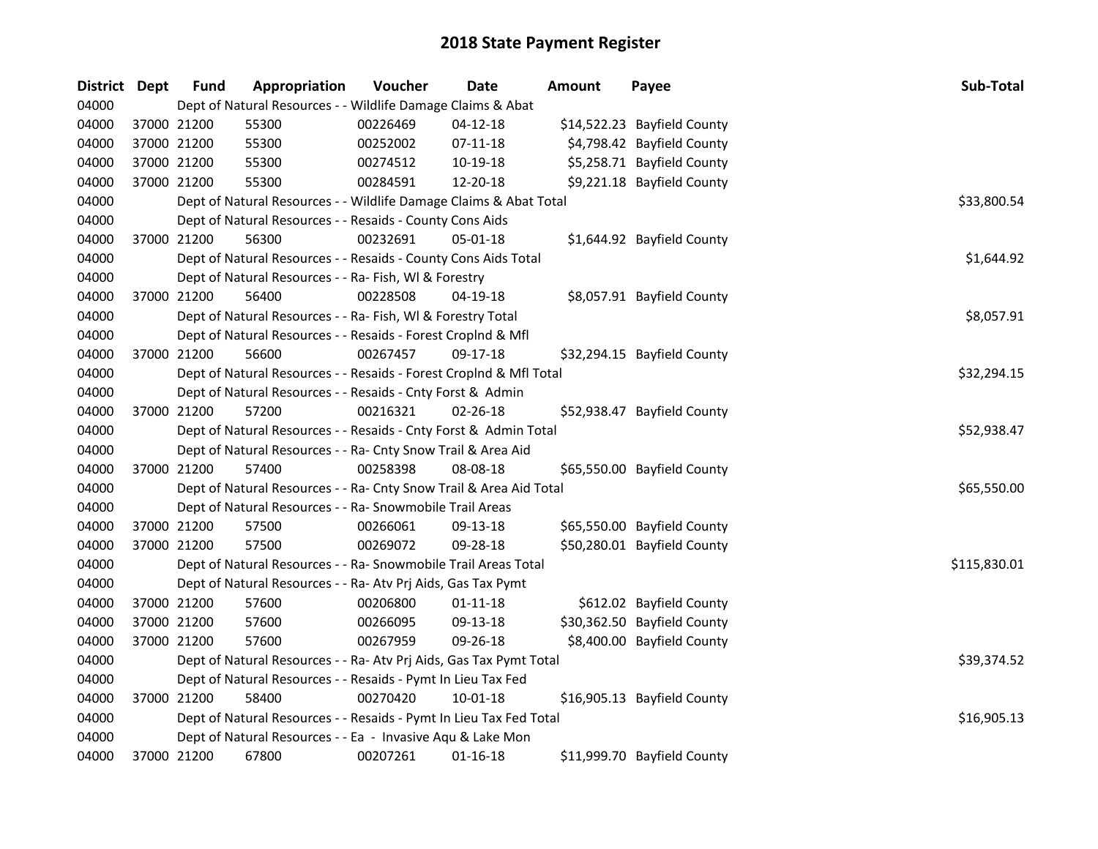| District Dept |             | <b>Fund</b> | Appropriation                                                      | Voucher  | Date           | Amount | Payee                       | Sub-Total    |
|---------------|-------------|-------------|--------------------------------------------------------------------|----------|----------------|--------|-----------------------------|--------------|
| 04000         |             |             | Dept of Natural Resources - - Wildlife Damage Claims & Abat        |          |                |        |                             |              |
| 04000         |             | 37000 21200 | 55300                                                              | 00226469 | $04 - 12 - 18$ |        | \$14,522.23 Bayfield County |              |
| 04000         | 37000 21200 |             | 55300                                                              | 00252002 | $07 - 11 - 18$ |        | \$4,798.42 Bayfield County  |              |
| 04000         | 37000 21200 |             | 55300                                                              | 00274512 | 10-19-18       |        | \$5,258.71 Bayfield County  |              |
| 04000         |             | 37000 21200 | 55300                                                              | 00284591 | 12-20-18       |        | \$9,221.18 Bayfield County  |              |
| 04000         |             |             | Dept of Natural Resources - - Wildlife Damage Claims & Abat Total  |          |                |        |                             | \$33,800.54  |
| 04000         |             |             | Dept of Natural Resources - - Resaids - County Cons Aids           |          |                |        |                             |              |
| 04000         |             | 37000 21200 | 56300                                                              | 00232691 | $05 - 01 - 18$ |        | \$1,644.92 Bayfield County  |              |
| 04000         |             |             | Dept of Natural Resources - - Resaids - County Cons Aids Total     |          |                |        |                             | \$1,644.92   |
| 04000         |             |             | Dept of Natural Resources - - Ra- Fish, WI & Forestry              |          |                |        |                             |              |
| 04000         |             | 37000 21200 | 56400                                                              | 00228508 | 04-19-18       |        | \$8,057.91 Bayfield County  |              |
| 04000         |             |             | Dept of Natural Resources - - Ra- Fish, WI & Forestry Total        |          |                |        |                             | \$8,057.91   |
| 04000         |             |             | Dept of Natural Resources - - Resaids - Forest Croplnd & Mfl       |          |                |        |                             |              |
| 04000         |             | 37000 21200 | 56600                                                              | 00267457 | 09-17-18       |        | \$32,294.15 Bayfield County |              |
| 04000         |             |             | Dept of Natural Resources - - Resaids - Forest CropInd & Mfl Total |          |                |        |                             | \$32,294.15  |
| 04000         |             |             | Dept of Natural Resources - - Resaids - Cnty Forst & Admin         |          |                |        |                             |              |
| 04000         |             | 37000 21200 | 57200                                                              | 00216321 | 02-26-18       |        | \$52,938.47 Bayfield County |              |
| 04000         |             |             | Dept of Natural Resources - - Resaids - Cnty Forst & Admin Total   |          |                |        |                             | \$52,938.47  |
| 04000         |             |             | Dept of Natural Resources - - Ra- Cnty Snow Trail & Area Aid       |          |                |        |                             |              |
| 04000         |             | 37000 21200 | 57400                                                              | 00258398 | 08-08-18       |        | \$65,550.00 Bayfield County |              |
| 04000         |             |             | Dept of Natural Resources - - Ra- Cnty Snow Trail & Area Aid Total |          |                |        |                             | \$65,550.00  |
| 04000         |             |             | Dept of Natural Resources - - Ra- Snowmobile Trail Areas           |          |                |        |                             |              |
| 04000         |             | 37000 21200 | 57500                                                              | 00266061 | 09-13-18       |        | \$65,550.00 Bayfield County |              |
| 04000         |             | 37000 21200 | 57500                                                              | 00269072 | 09-28-18       |        | \$50,280.01 Bayfield County |              |
| 04000         |             |             | Dept of Natural Resources - - Ra- Snowmobile Trail Areas Total     |          |                |        |                             | \$115,830.01 |
| 04000         |             |             | Dept of Natural Resources - - Ra- Atv Prj Aids, Gas Tax Pymt       |          |                |        |                             |              |
| 04000         |             | 37000 21200 | 57600                                                              | 00206800 | $01 - 11 - 18$ |        | \$612.02 Bayfield County    |              |
| 04000         |             | 37000 21200 | 57600                                                              | 00266095 | 09-13-18       |        | \$30,362.50 Bayfield County |              |
| 04000         | 37000 21200 |             | 57600                                                              | 00267959 | 09-26-18       |        | \$8,400.00 Bayfield County  |              |
| 04000         |             |             | Dept of Natural Resources - - Ra- Atv Prj Aids, Gas Tax Pymt Total |          |                |        |                             | \$39,374.52  |
| 04000         |             |             | Dept of Natural Resources - - Resaids - Pymt In Lieu Tax Fed       |          |                |        |                             |              |
| 04000         |             | 37000 21200 | 58400                                                              | 00270420 | 10-01-18       |        | \$16,905.13 Bayfield County |              |
| 04000         |             |             | Dept of Natural Resources - - Resaids - Pymt In Lieu Tax Fed Total |          |                |        |                             | \$16,905.13  |
| 04000         |             |             | Dept of Natural Resources - - Ea - Invasive Aqu & Lake Mon         |          |                |        |                             |              |
| 04000         |             | 37000 21200 | 67800                                                              | 00207261 | $01 - 16 - 18$ |        | \$11,999.70 Bayfield County |              |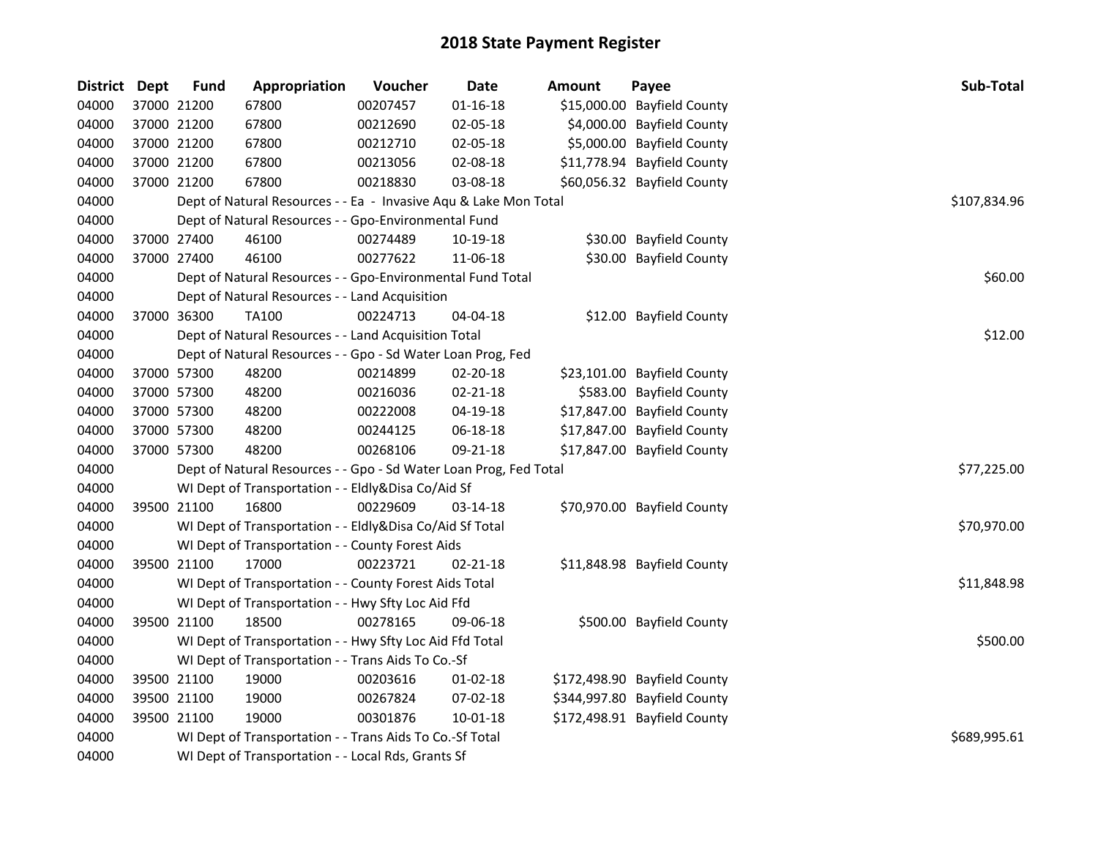| District Dept | <b>Fund</b> | Appropriation                                                     | Voucher      | Date           | Amount | Payee                        | <b>Sub-Total</b> |
|---------------|-------------|-------------------------------------------------------------------|--------------|----------------|--------|------------------------------|------------------|
| 04000         | 37000 21200 | 67800                                                             | 00207457     | $01 - 16 - 18$ |        | \$15,000.00 Bayfield County  |                  |
| 04000         | 37000 21200 | 67800                                                             | 00212690     | 02-05-18       |        | \$4,000.00 Bayfield County   |                  |
| 04000         | 37000 21200 | 67800                                                             | 00212710     | 02-05-18       |        | \$5,000.00 Bayfield County   |                  |
| 04000         | 37000 21200 | 67800                                                             | 00213056     | 02-08-18       |        | \$11,778.94 Bayfield County  |                  |
| 04000         | 37000 21200 | 67800                                                             | 00218830     | 03-08-18       |        | \$60,056.32 Bayfield County  |                  |
| 04000         |             | Dept of Natural Resources - - Ea - Invasive Aqu & Lake Mon Total  |              |                |        |                              | \$107,834.96     |
| 04000         |             | Dept of Natural Resources - - Gpo-Environmental Fund              |              |                |        |                              |                  |
| 04000         | 37000 27400 | 46100                                                             | 00274489     | 10-19-18       |        | \$30.00 Bayfield County      |                  |
| 04000         | 37000 27400 | 46100                                                             | 00277622     | 11-06-18       |        | \$30.00 Bayfield County      |                  |
| 04000         |             | Dept of Natural Resources - - Gpo-Environmental Fund Total        |              |                |        |                              | \$60.00          |
| 04000         |             | Dept of Natural Resources - - Land Acquisition                    |              |                |        |                              |                  |
| 04000         | 37000 36300 | TA100                                                             | 00224713     | 04-04-18       |        | \$12.00 Bayfield County      |                  |
| 04000         |             | Dept of Natural Resources - - Land Acquisition Total              |              |                |        |                              | \$12.00          |
| 04000         |             | Dept of Natural Resources - - Gpo - Sd Water Loan Prog, Fed       |              |                |        |                              |                  |
| 04000         | 37000 57300 | 48200                                                             | 00214899     | 02-20-18       |        | \$23,101.00 Bayfield County  |                  |
| 04000         | 37000 57300 | 48200                                                             | 00216036     | $02 - 21 - 18$ |        | \$583.00 Bayfield County     |                  |
| 04000         | 37000 57300 | 48200                                                             | 00222008     | 04-19-18       |        | \$17,847.00 Bayfield County  |                  |
| 04000         | 37000 57300 | 48200                                                             | 00244125     | 06-18-18       |        | \$17,847.00 Bayfield County  |                  |
| 04000         | 37000 57300 | 48200                                                             | 00268106     | 09-21-18       |        | \$17,847.00 Bayfield County  |                  |
| 04000         |             | Dept of Natural Resources - - Gpo - Sd Water Loan Prog, Fed Total |              |                |        |                              | \$77,225.00      |
| 04000         |             | WI Dept of Transportation - - Eldly&Disa Co/Aid Sf                |              |                |        |                              |                  |
| 04000         | 39500 21100 | 16800                                                             | 00229609     | 03-14-18       |        | \$70,970.00 Bayfield County  |                  |
| 04000         |             | WI Dept of Transportation - - Eldly&Disa Co/Aid Sf Total          |              |                |        |                              | \$70,970.00      |
| 04000         |             | WI Dept of Transportation - - County Forest Aids                  |              |                |        |                              |                  |
| 04000         | 39500 21100 | 17000                                                             | 00223721     | $02 - 21 - 18$ |        | \$11,848.98 Bayfield County  |                  |
| 04000         |             | WI Dept of Transportation - - County Forest Aids Total            |              |                |        |                              | \$11,848.98      |
| 04000         |             | WI Dept of Transportation - - Hwy Sfty Loc Aid Ffd                |              |                |        |                              |                  |
| 04000         | 39500 21100 | 18500                                                             | 00278165     | 09-06-18       |        | \$500.00 Bayfield County     |                  |
| 04000         |             | WI Dept of Transportation - - Hwy Sfty Loc Aid Ffd Total          |              |                |        |                              | \$500.00         |
| 04000         |             | WI Dept of Transportation - - Trans Aids To Co.-Sf                |              |                |        |                              |                  |
| 04000         | 39500 21100 | 19000                                                             | 00203616     | $01 - 02 - 18$ |        | \$172,498.90 Bayfield County |                  |
| 04000         | 39500 21100 | 19000                                                             | 00267824     | 07-02-18       |        | \$344,997.80 Bayfield County |                  |
| 04000         | 39500 21100 | 19000                                                             | 00301876     | 10-01-18       |        | \$172,498.91 Bayfield County |                  |
| 04000         |             | WI Dept of Transportation - - Trans Aids To Co.-Sf Total          | \$689,995.61 |                |        |                              |                  |
| 04000         |             | WI Dept of Transportation - - Local Rds, Grants Sf                |              |                |        |                              |                  |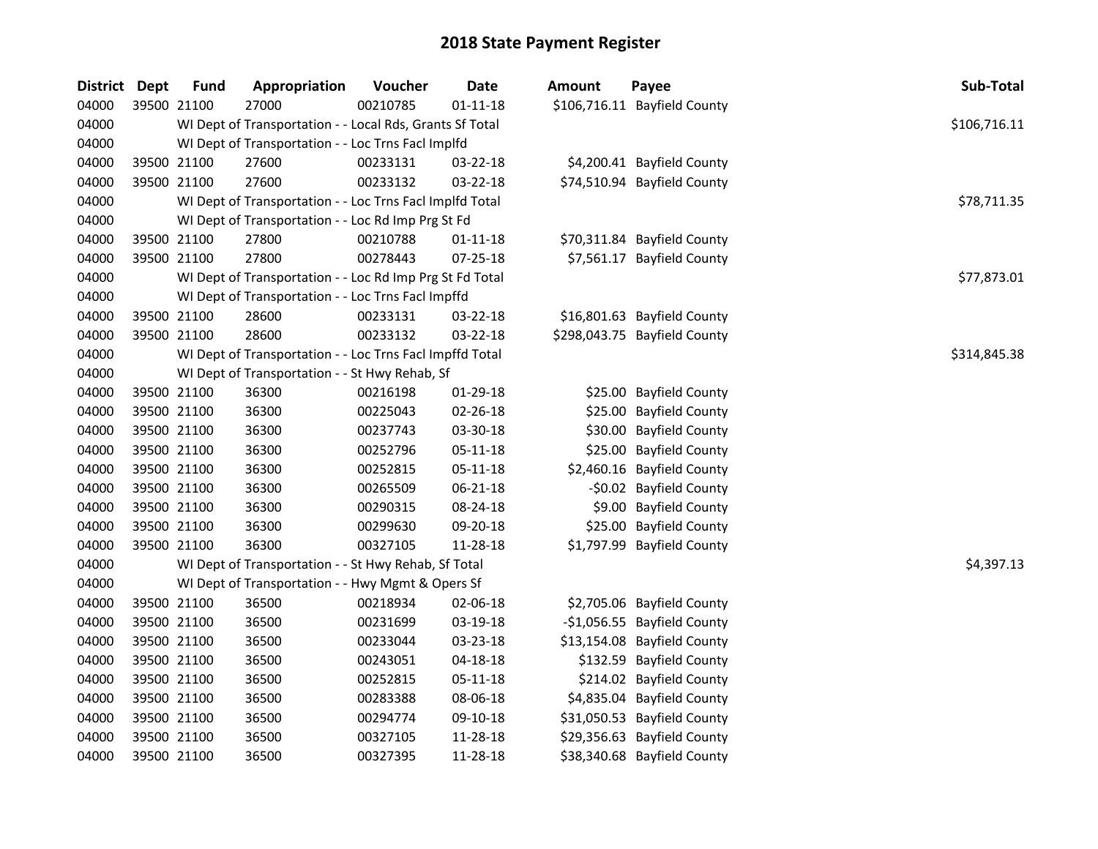| <b>District Dept</b> | <b>Fund</b> | Appropriation                                            | Voucher  | <b>Date</b>    | <b>Amount</b> | Payee                        | Sub-Total    |
|----------------------|-------------|----------------------------------------------------------|----------|----------------|---------------|------------------------------|--------------|
| 04000                | 39500 21100 | 27000                                                    | 00210785 | $01 - 11 - 18$ |               | \$106,716.11 Bayfield County |              |
| 04000                |             | WI Dept of Transportation - - Local Rds, Grants Sf Total |          |                |               |                              | \$106,716.11 |
| 04000                |             | WI Dept of Transportation - - Loc Trns Facl Implfd       |          |                |               |                              |              |
| 04000                | 39500 21100 | 27600                                                    | 00233131 | 03-22-18       |               | \$4,200.41 Bayfield County   |              |
| 04000                | 39500 21100 | 27600                                                    | 00233132 | 03-22-18       |               | \$74,510.94 Bayfield County  |              |
| 04000                |             | WI Dept of Transportation - - Loc Trns Facl Implfd Total |          |                |               |                              | \$78,711.35  |
| 04000                |             | WI Dept of Transportation - - Loc Rd Imp Prg St Fd       |          |                |               |                              |              |
| 04000                | 39500 21100 | 27800                                                    | 00210788 | $01 - 11 - 18$ |               | \$70,311.84 Bayfield County  |              |
| 04000                | 39500 21100 | 27800                                                    | 00278443 | 07-25-18       |               | \$7,561.17 Bayfield County   |              |
| 04000                |             | WI Dept of Transportation - - Loc Rd Imp Prg St Fd Total |          |                |               |                              | \$77,873.01  |
| 04000                |             | WI Dept of Transportation - - Loc Trns Facl Impffd       |          |                |               |                              |              |
| 04000                | 39500 21100 | 28600                                                    | 00233131 | 03-22-18       |               | \$16,801.63 Bayfield County  |              |
| 04000                | 39500 21100 | 28600                                                    | 00233132 | 03-22-18       |               | \$298,043.75 Bayfield County |              |
| 04000                |             | WI Dept of Transportation - - Loc Trns Facl Impffd Total |          |                |               |                              | \$314,845.38 |
| 04000                |             | WI Dept of Transportation - - St Hwy Rehab, Sf           |          |                |               |                              |              |
| 04000                | 39500 21100 | 36300                                                    | 00216198 | 01-29-18       |               | \$25.00 Bayfield County      |              |
| 04000                | 39500 21100 | 36300                                                    | 00225043 | 02-26-18       |               | \$25.00 Bayfield County      |              |
| 04000                | 39500 21100 | 36300                                                    | 00237743 | 03-30-18       |               | \$30.00 Bayfield County      |              |
| 04000                | 39500 21100 | 36300                                                    | 00252796 | $05 - 11 - 18$ |               | \$25.00 Bayfield County      |              |
| 04000                | 39500 21100 | 36300                                                    | 00252815 | 05-11-18       |               | \$2,460.16 Bayfield County   |              |
| 04000                | 39500 21100 | 36300                                                    | 00265509 | 06-21-18       |               | -\$0.02 Bayfield County      |              |
| 04000                | 39500 21100 | 36300                                                    | 00290315 | 08-24-18       |               | \$9.00 Bayfield County       |              |
| 04000                | 39500 21100 | 36300                                                    | 00299630 | 09-20-18       |               | \$25.00 Bayfield County      |              |
| 04000                | 39500 21100 | 36300                                                    | 00327105 | 11-28-18       |               | \$1,797.99 Bayfield County   |              |
| 04000                |             | WI Dept of Transportation - - St Hwy Rehab, Sf Total     |          |                |               |                              | \$4,397.13   |
| 04000                |             | WI Dept of Transportation - - Hwy Mgmt & Opers Sf        |          |                |               |                              |              |
| 04000                | 39500 21100 | 36500                                                    | 00218934 | 02-06-18       |               | \$2,705.06 Bayfield County   |              |
| 04000                | 39500 21100 | 36500                                                    | 00231699 | 03-19-18       |               | -\$1,056.55 Bayfield County  |              |
| 04000                | 39500 21100 | 36500                                                    | 00233044 | 03-23-18       |               | \$13,154.08 Bayfield County  |              |
| 04000                | 39500 21100 | 36500                                                    | 00243051 | 04-18-18       |               | \$132.59 Bayfield County     |              |
| 04000                | 39500 21100 | 36500                                                    | 00252815 | 05-11-18       |               | \$214.02 Bayfield County     |              |
| 04000                | 39500 21100 | 36500                                                    | 00283388 | 08-06-18       |               | \$4,835.04 Bayfield County   |              |
| 04000                | 39500 21100 | 36500                                                    | 00294774 | 09-10-18       |               | \$31,050.53 Bayfield County  |              |
| 04000                | 39500 21100 | 36500                                                    | 00327105 | 11-28-18       |               | \$29,356.63 Bayfield County  |              |
| 04000                | 39500 21100 | 36500                                                    | 00327395 | 11-28-18       |               | \$38,340.68 Bayfield County  |              |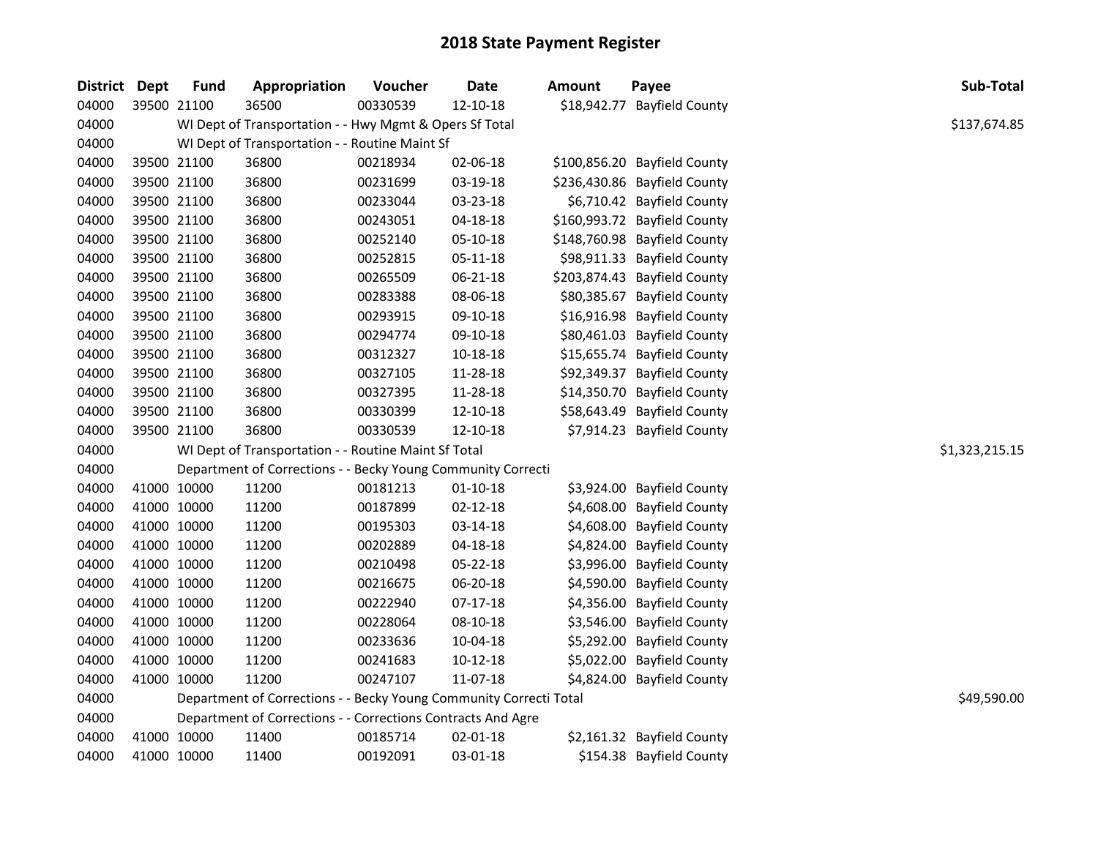| District Dept |             | <b>Fund</b> | Appropriation                                                      | Voucher  | <b>Date</b>    | <b>Amount</b> | Payee                        | Sub-Total      |
|---------------|-------------|-------------|--------------------------------------------------------------------|----------|----------------|---------------|------------------------------|----------------|
| 04000         |             | 39500 21100 | 36500                                                              | 00330539 | 12-10-18       |               | \$18,942.77 Bayfield County  |                |
| 04000         |             |             | WI Dept of Transportation - - Hwy Mgmt & Opers Sf Total            |          |                |               |                              | \$137,674.85   |
| 04000         |             |             | WI Dept of Transportation - - Routine Maint Sf                     |          |                |               |                              |                |
| 04000         |             | 39500 21100 | 36800                                                              | 00218934 | 02-06-18       |               | \$100,856.20 Bayfield County |                |
| 04000         |             | 39500 21100 | 36800                                                              | 00231699 | 03-19-18       |               | \$236,430.86 Bayfield County |                |
| 04000         |             | 39500 21100 | 36800                                                              | 00233044 | 03-23-18       |               | \$6,710.42 Bayfield County   |                |
| 04000         |             | 39500 21100 | 36800                                                              | 00243051 | $04 - 18 - 18$ |               | \$160,993.72 Bayfield County |                |
| 04000         |             | 39500 21100 | 36800                                                              | 00252140 | 05-10-18       |               | \$148,760.98 Bayfield County |                |
| 04000         |             | 39500 21100 | 36800                                                              | 00252815 | 05-11-18       |               | \$98,911.33 Bayfield County  |                |
| 04000         |             | 39500 21100 | 36800                                                              | 00265509 | 06-21-18       |               | \$203,874.43 Bayfield County |                |
| 04000         |             | 39500 21100 | 36800                                                              | 00283388 | 08-06-18       |               | \$80,385.67 Bayfield County  |                |
| 04000         |             | 39500 21100 | 36800                                                              | 00293915 | 09-10-18       |               | \$16,916.98 Bayfield County  |                |
| 04000         |             | 39500 21100 | 36800                                                              | 00294774 | 09-10-18       |               | \$80,461.03 Bayfield County  |                |
| 04000         |             | 39500 21100 | 36800                                                              | 00312327 | 10-18-18       |               | \$15,655.74 Bayfield County  |                |
| 04000         |             | 39500 21100 | 36800                                                              | 00327105 | 11-28-18       |               | \$92,349.37 Bayfield County  |                |
| 04000         |             | 39500 21100 | 36800                                                              | 00327395 | 11-28-18       |               | \$14,350.70 Bayfield County  |                |
| 04000         |             | 39500 21100 | 36800                                                              | 00330399 | 12-10-18       |               | \$58,643.49 Bayfield County  |                |
| 04000         |             | 39500 21100 | 36800                                                              | 00330539 | 12-10-18       |               | \$7,914.23 Bayfield County   |                |
| 04000         |             |             | WI Dept of Transportation - - Routine Maint Sf Total               |          |                |               |                              | \$1,323,215.15 |
| 04000         |             |             | Department of Corrections - - Becky Young Community Correcti       |          |                |               |                              |                |
| 04000         |             | 41000 10000 | 11200                                                              | 00181213 | $01 - 10 - 18$ |               | \$3,924.00 Bayfield County   |                |
| 04000         | 41000 10000 |             | 11200                                                              | 00187899 | $02 - 12 - 18$ |               | \$4,608.00 Bayfield County   |                |
| 04000         | 41000 10000 |             | 11200                                                              | 00195303 | $03 - 14 - 18$ |               | \$4,608.00 Bayfield County   |                |
| 04000         | 41000 10000 |             | 11200                                                              | 00202889 | 04-18-18       |               | \$4,824.00 Bayfield County   |                |
| 04000         | 41000 10000 |             | 11200                                                              | 00210498 | 05-22-18       |               | \$3,996.00 Bayfield County   |                |
| 04000         |             | 41000 10000 | 11200                                                              | 00216675 | 06-20-18       |               | \$4,590.00 Bayfield County   |                |
| 04000         |             | 41000 10000 | 11200                                                              | 00222940 | $07-17-18$     |               | \$4,356.00 Bayfield County   |                |
| 04000         |             | 41000 10000 | 11200                                                              | 00228064 | 08-10-18       |               | \$3,546.00 Bayfield County   |                |
| 04000         |             | 41000 10000 | 11200                                                              | 00233636 | 10-04-18       |               | \$5,292.00 Bayfield County   |                |
| 04000         |             | 41000 10000 | 11200                                                              | 00241683 | 10-12-18       |               | \$5,022.00 Bayfield County   |                |
| 04000         |             | 41000 10000 | 11200                                                              | 00247107 | 11-07-18       |               | \$4,824.00 Bayfield County   |                |
| 04000         |             |             | Department of Corrections - - Becky Young Community Correcti Total |          |                |               |                              | \$49,590.00    |
| 04000         |             |             | Department of Corrections - - Corrections Contracts And Agre       |          |                |               |                              |                |
| 04000         |             | 41000 10000 | 11400                                                              | 00185714 | 02-01-18       |               | \$2,161.32 Bayfield County   |                |
| 04000         |             | 41000 10000 | 11400                                                              | 00192091 | 03-01-18       |               | \$154.38 Bayfield County     |                |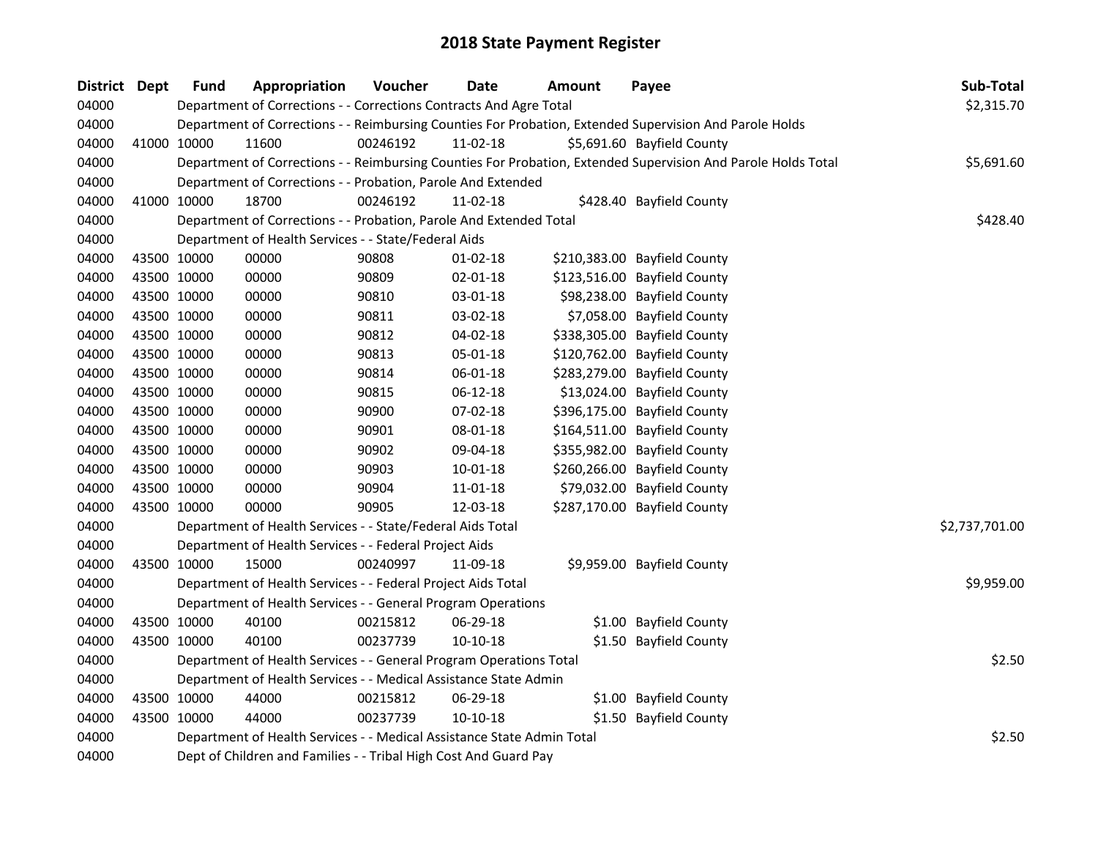| District Dept | <b>Fund</b>                                                      | Appropriation                                                          | Voucher  | <b>Date</b>    | <b>Amount</b> | Payee                                                                                                         | Sub-Total      |  |
|---------------|------------------------------------------------------------------|------------------------------------------------------------------------|----------|----------------|---------------|---------------------------------------------------------------------------------------------------------------|----------------|--|
| 04000         |                                                                  | Department of Corrections - - Corrections Contracts And Agre Total     |          |                |               |                                                                                                               | \$2,315.70     |  |
| 04000         |                                                                  |                                                                        |          |                |               | Department of Corrections - - Reimbursing Counties For Probation, Extended Supervision And Parole Holds       |                |  |
| 04000         | 41000 10000                                                      | 11600                                                                  | 00246192 | 11-02-18       |               | \$5,691.60 Bayfield County                                                                                    |                |  |
| 04000         |                                                                  |                                                                        |          |                |               | Department of Corrections - - Reimbursing Counties For Probation, Extended Supervision And Parole Holds Total | \$5,691.60     |  |
| 04000         |                                                                  | Department of Corrections - - Probation, Parole And Extended           |          |                |               |                                                                                                               |                |  |
| 04000         | 41000 10000                                                      | 18700                                                                  | 00246192 | 11-02-18       |               | \$428.40 Bayfield County                                                                                      |                |  |
| 04000         |                                                                  | Department of Corrections - - Probation, Parole And Extended Total     |          |                |               |                                                                                                               | \$428.40       |  |
| 04000         |                                                                  | Department of Health Services - - State/Federal Aids                   |          |                |               |                                                                                                               |                |  |
| 04000         | 43500 10000                                                      | 00000                                                                  | 90808    | $01 - 02 - 18$ |               | \$210,383.00 Bayfield County                                                                                  |                |  |
| 04000         | 43500 10000                                                      | 00000                                                                  | 90809    | 02-01-18       |               | \$123,516.00 Bayfield County                                                                                  |                |  |
| 04000         | 43500 10000                                                      | 00000                                                                  | 90810    | 03-01-18       |               | \$98,238.00 Bayfield County                                                                                   |                |  |
| 04000         | 43500 10000                                                      | 00000                                                                  | 90811    | 03-02-18       |               | \$7,058.00 Bayfield County                                                                                    |                |  |
| 04000         | 43500 10000                                                      | 00000                                                                  | 90812    | 04-02-18       |               | \$338,305.00 Bayfield County                                                                                  |                |  |
| 04000         | 43500 10000                                                      | 00000                                                                  | 90813    | 05-01-18       |               | \$120,762.00 Bayfield County                                                                                  |                |  |
| 04000         | 43500 10000                                                      | 00000                                                                  | 90814    | 06-01-18       |               | \$283,279.00 Bayfield County                                                                                  |                |  |
| 04000         | 43500 10000                                                      | 00000                                                                  | 90815    | 06-12-18       |               | \$13,024.00 Bayfield County                                                                                   |                |  |
| 04000         | 43500 10000                                                      | 00000                                                                  | 90900    | 07-02-18       |               | \$396,175.00 Bayfield County                                                                                  |                |  |
| 04000         | 43500 10000                                                      | 00000                                                                  | 90901    | 08-01-18       |               | \$164,511.00 Bayfield County                                                                                  |                |  |
| 04000         | 43500 10000                                                      | 00000                                                                  | 90902    | 09-04-18       |               | \$355,982.00 Bayfield County                                                                                  |                |  |
| 04000         | 43500 10000                                                      | 00000                                                                  | 90903    | 10-01-18       |               | \$260,266.00 Bayfield County                                                                                  |                |  |
| 04000         | 43500 10000                                                      | 00000                                                                  | 90904    | 11-01-18       |               | \$79,032.00 Bayfield County                                                                                   |                |  |
| 04000         | 43500 10000                                                      | 00000                                                                  | 90905    | 12-03-18       |               | \$287,170.00 Bayfield County                                                                                  |                |  |
| 04000         |                                                                  | Department of Health Services - - State/Federal Aids Total             |          |                |               |                                                                                                               | \$2,737,701.00 |  |
| 04000         |                                                                  | Department of Health Services - - Federal Project Aids                 |          |                |               |                                                                                                               |                |  |
| 04000         | 43500 10000                                                      | 15000                                                                  | 00240997 | 11-09-18       |               | \$9,959.00 Bayfield County                                                                                    |                |  |
| 04000         |                                                                  | Department of Health Services - - Federal Project Aids Total           |          |                |               |                                                                                                               | \$9,959.00     |  |
| 04000         |                                                                  | Department of Health Services - - General Program Operations           |          |                |               |                                                                                                               |                |  |
| 04000         | 43500 10000                                                      | 40100                                                                  | 00215812 | 06-29-18       |               | \$1.00 Bayfield County                                                                                        |                |  |
| 04000         | 43500 10000                                                      | 40100                                                                  | 00237739 | $10-10-18$     |               | \$1.50 Bayfield County                                                                                        |                |  |
| 04000         |                                                                  | Department of Health Services - - General Program Operations Total     |          |                |               |                                                                                                               | \$2.50         |  |
| 04000         |                                                                  | Department of Health Services - - Medical Assistance State Admin       |          |                |               |                                                                                                               |                |  |
| 04000         | 43500 10000                                                      | 44000                                                                  | 00215812 | 06-29-18       |               | \$1.00 Bayfield County                                                                                        |                |  |
| 04000         | 43500 10000                                                      | 44000                                                                  | 00237739 | $10-10-18$     |               | \$1.50 Bayfield County                                                                                        |                |  |
| 04000         |                                                                  | Department of Health Services - - Medical Assistance State Admin Total |          |                |               |                                                                                                               | \$2.50         |  |
| 04000         | Dept of Children and Families - - Tribal High Cost And Guard Pay |                                                                        |          |                |               |                                                                                                               |                |  |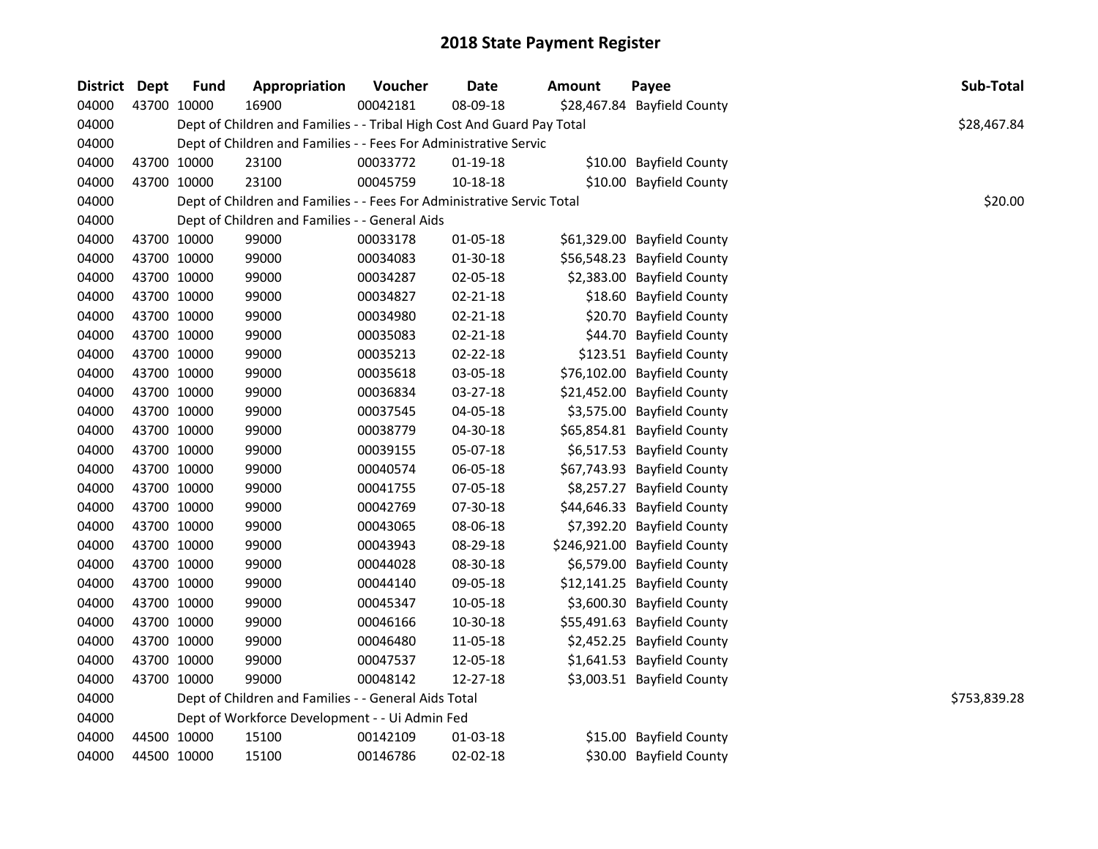| District Dept | <b>Fund</b> | Appropriation                                                          | Voucher  | <b>Date</b>    | Amount | Payee                        | Sub-Total    |
|---------------|-------------|------------------------------------------------------------------------|----------|----------------|--------|------------------------------|--------------|
| 04000         | 43700 10000 | 16900                                                                  | 00042181 | 08-09-18       |        | \$28,467.84 Bayfield County  |              |
| 04000         |             | Dept of Children and Families - - Tribal High Cost And Guard Pay Total |          |                |        |                              | \$28,467.84  |
| 04000         |             | Dept of Children and Families - - Fees For Administrative Servic       |          |                |        |                              |              |
| 04000         | 43700 10000 | 23100                                                                  | 00033772 | 01-19-18       |        | \$10.00 Bayfield County      |              |
| 04000         | 43700 10000 | 23100                                                                  | 00045759 | $10 - 18 - 18$ |        | \$10.00 Bayfield County      |              |
| 04000         |             | Dept of Children and Families - - Fees For Administrative Servic Total |          |                |        |                              | \$20.00      |
| 04000         |             | Dept of Children and Families - - General Aids                         |          |                |        |                              |              |
| 04000         | 43700 10000 | 99000                                                                  | 00033178 | 01-05-18       |        | \$61,329.00 Bayfield County  |              |
| 04000         | 43700 10000 | 99000                                                                  | 00034083 | 01-30-18       |        | \$56,548.23 Bayfield County  |              |
| 04000         | 43700 10000 | 99000                                                                  | 00034287 | 02-05-18       |        | \$2,383.00 Bayfield County   |              |
| 04000         | 43700 10000 | 99000                                                                  | 00034827 | 02-21-18       |        | \$18.60 Bayfield County      |              |
| 04000         | 43700 10000 | 99000                                                                  | 00034980 | 02-21-18       |        | \$20.70 Bayfield County      |              |
| 04000         | 43700 10000 | 99000                                                                  | 00035083 | 02-21-18       |        | \$44.70 Bayfield County      |              |
| 04000         | 43700 10000 | 99000                                                                  | 00035213 | 02-22-18       |        | \$123.51 Bayfield County     |              |
| 04000         | 43700 10000 | 99000                                                                  | 00035618 | 03-05-18       |        | \$76,102.00 Bayfield County  |              |
| 04000         | 43700 10000 | 99000                                                                  | 00036834 | 03-27-18       |        | \$21,452.00 Bayfield County  |              |
| 04000         | 43700 10000 | 99000                                                                  | 00037545 | 04-05-18       |        | \$3,575.00 Bayfield County   |              |
| 04000         | 43700 10000 | 99000                                                                  | 00038779 | 04-30-18       |        | \$65,854.81 Bayfield County  |              |
| 04000         | 43700 10000 | 99000                                                                  | 00039155 | 05-07-18       |        | \$6,517.53 Bayfield County   |              |
| 04000         | 43700 10000 | 99000                                                                  | 00040574 | 06-05-18       |        | \$67,743.93 Bayfield County  |              |
| 04000         | 43700 10000 | 99000                                                                  | 00041755 | 07-05-18       |        | \$8,257.27 Bayfield County   |              |
| 04000         | 43700 10000 | 99000                                                                  | 00042769 | 07-30-18       |        | \$44,646.33 Bayfield County  |              |
| 04000         | 43700 10000 | 99000                                                                  | 00043065 | 08-06-18       |        | \$7,392.20 Bayfield County   |              |
| 04000         | 43700 10000 | 99000                                                                  | 00043943 | 08-29-18       |        | \$246,921.00 Bayfield County |              |
| 04000         | 43700 10000 | 99000                                                                  | 00044028 | 08-30-18       |        | \$6,579.00 Bayfield County   |              |
| 04000         | 43700 10000 | 99000                                                                  | 00044140 | 09-05-18       |        | \$12,141.25 Bayfield County  |              |
| 04000         | 43700 10000 | 99000                                                                  | 00045347 | 10-05-18       |        | \$3,600.30 Bayfield County   |              |
| 04000         | 43700 10000 | 99000                                                                  | 00046166 | 10-30-18       |        | \$55,491.63 Bayfield County  |              |
| 04000         | 43700 10000 | 99000                                                                  | 00046480 | 11-05-18       |        | \$2,452.25 Bayfield County   |              |
| 04000         | 43700 10000 | 99000                                                                  | 00047537 | 12-05-18       |        | \$1,641.53 Bayfield County   |              |
| 04000         | 43700 10000 | 99000                                                                  | 00048142 | 12-27-18       |        | \$3,003.51 Bayfield County   |              |
| 04000         |             | Dept of Children and Families - - General Aids Total                   |          |                |        |                              | \$753,839.28 |
| 04000         |             | Dept of Workforce Development - - Ui Admin Fed                         |          |                |        |                              |              |
| 04000         | 44500 10000 | 15100                                                                  | 00142109 | 01-03-18       |        | \$15.00 Bayfield County      |              |
| 04000         | 44500 10000 | 15100                                                                  | 00146786 | 02-02-18       |        | \$30.00 Bayfield County      |              |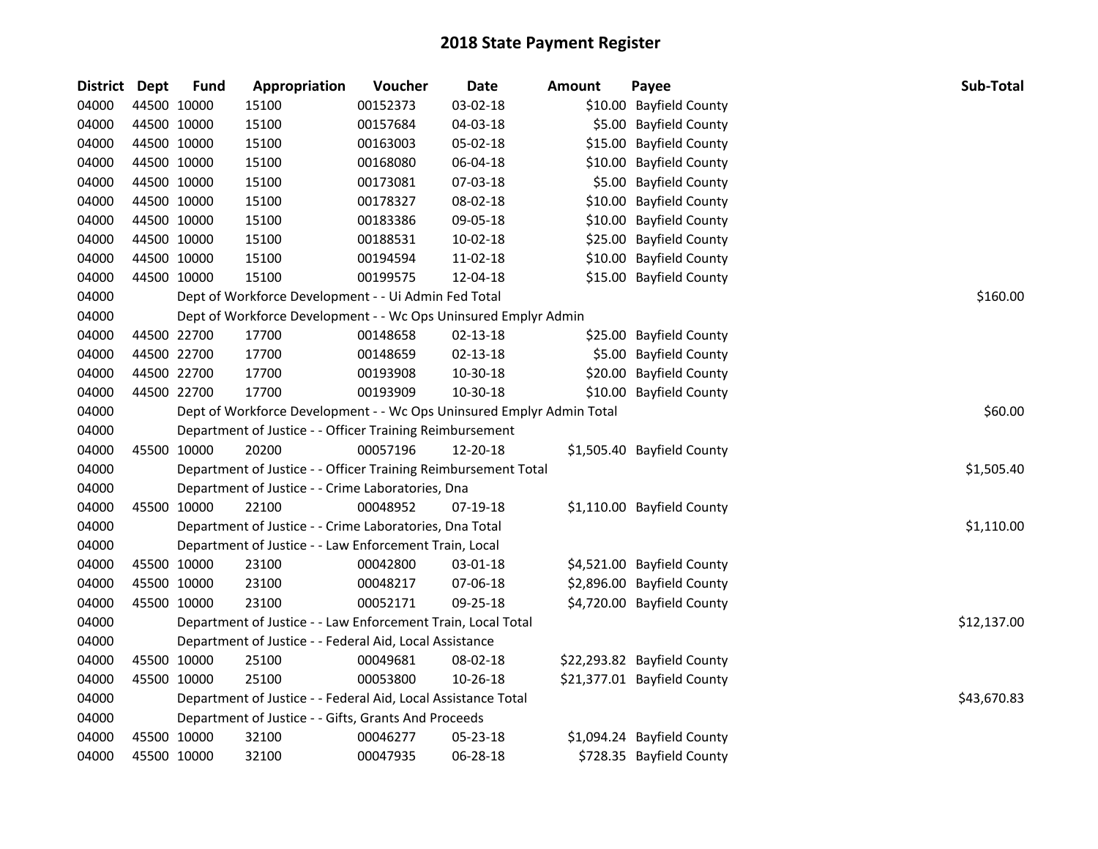| <b>District</b> | Dept | <b>Fund</b> | Appropriation                                                         | Voucher  | <b>Date</b> | <b>Amount</b> | Payee                       | Sub-Total   |
|-----------------|------|-------------|-----------------------------------------------------------------------|----------|-------------|---------------|-----------------------------|-------------|
| 04000           |      | 44500 10000 | 15100                                                                 | 00152373 | 03-02-18    |               | \$10.00 Bayfield County     |             |
| 04000           |      | 44500 10000 | 15100                                                                 | 00157684 | 04-03-18    |               | \$5.00 Bayfield County      |             |
| 04000           |      | 44500 10000 | 15100                                                                 | 00163003 | 05-02-18    |               | \$15.00 Bayfield County     |             |
| 04000           |      | 44500 10000 | 15100                                                                 | 00168080 | 06-04-18    |               | \$10.00 Bayfield County     |             |
| 04000           |      | 44500 10000 | 15100                                                                 | 00173081 | 07-03-18    |               | \$5.00 Bayfield County      |             |
| 04000           |      | 44500 10000 | 15100                                                                 | 00178327 | 08-02-18    |               | \$10.00 Bayfield County     |             |
| 04000           |      | 44500 10000 | 15100                                                                 | 00183386 | 09-05-18    |               | \$10.00 Bayfield County     |             |
| 04000           |      | 44500 10000 | 15100                                                                 | 00188531 | 10-02-18    |               | \$25.00 Bayfield County     |             |
| 04000           |      | 44500 10000 | 15100                                                                 | 00194594 | 11-02-18    |               | \$10.00 Bayfield County     |             |
| 04000           |      | 44500 10000 | 15100                                                                 | 00199575 | 12-04-18    |               | \$15.00 Bayfield County     |             |
| 04000           |      |             | Dept of Workforce Development - - Ui Admin Fed Total                  |          |             |               |                             | \$160.00    |
| 04000           |      |             | Dept of Workforce Development - - Wc Ops Uninsured Emplyr Admin       |          |             |               |                             |             |
| 04000           |      | 44500 22700 | 17700                                                                 | 00148658 | 02-13-18    |               | \$25.00 Bayfield County     |             |
| 04000           |      | 44500 22700 | 17700                                                                 | 00148659 | 02-13-18    |               | \$5.00 Bayfield County      |             |
| 04000           |      | 44500 22700 | 17700                                                                 | 00193908 | 10-30-18    |               | \$20.00 Bayfield County     |             |
| 04000           |      | 44500 22700 | 17700                                                                 | 00193909 | 10-30-18    |               | \$10.00 Bayfield County     |             |
| 04000           |      |             | Dept of Workforce Development - - Wc Ops Uninsured Emplyr Admin Total |          |             |               |                             | \$60.00     |
| 04000           |      |             | Department of Justice - - Officer Training Reimbursement              |          |             |               |                             |             |
| 04000           |      | 45500 10000 | 20200                                                                 | 00057196 | 12-20-18    |               | \$1,505.40 Bayfield County  |             |
| 04000           |      |             | Department of Justice - - Officer Training Reimbursement Total        |          |             |               |                             | \$1,505.40  |
| 04000           |      |             | Department of Justice - - Crime Laboratories, Dna                     |          |             |               |                             |             |
| 04000           |      | 45500 10000 | 22100                                                                 | 00048952 | 07-19-18    |               | \$1,110.00 Bayfield County  |             |
| 04000           |      |             | Department of Justice - - Crime Laboratories, Dna Total               |          |             |               |                             | \$1,110.00  |
| 04000           |      |             | Department of Justice - - Law Enforcement Train, Local                |          |             |               |                             |             |
| 04000           |      | 45500 10000 | 23100                                                                 | 00042800 | 03-01-18    |               | \$4,521.00 Bayfield County  |             |
| 04000           |      | 45500 10000 | 23100                                                                 | 00048217 | 07-06-18    |               | \$2,896.00 Bayfield County  |             |
| 04000           |      | 45500 10000 | 23100                                                                 | 00052171 | 09-25-18    |               | \$4,720.00 Bayfield County  |             |
| 04000           |      |             | Department of Justice - - Law Enforcement Train, Local Total          |          |             |               |                             | \$12,137.00 |
| 04000           |      |             | Department of Justice - - Federal Aid, Local Assistance               |          |             |               |                             |             |
| 04000           |      | 45500 10000 | 25100                                                                 | 00049681 | 08-02-18    |               | \$22,293.82 Bayfield County |             |
| 04000           |      | 45500 10000 | 25100                                                                 | 00053800 | 10-26-18    |               | \$21,377.01 Bayfield County |             |
| 04000           |      |             | Department of Justice - - Federal Aid, Local Assistance Total         |          |             |               |                             | \$43,670.83 |
| 04000           |      |             | Department of Justice - - Gifts, Grants And Proceeds                  |          |             |               |                             |             |
| 04000           |      | 45500 10000 | 32100                                                                 | 00046277 | 05-23-18    |               | \$1,094.24 Bayfield County  |             |
| 04000           |      | 45500 10000 | 32100                                                                 | 00047935 | 06-28-18    |               | \$728.35 Bayfield County    |             |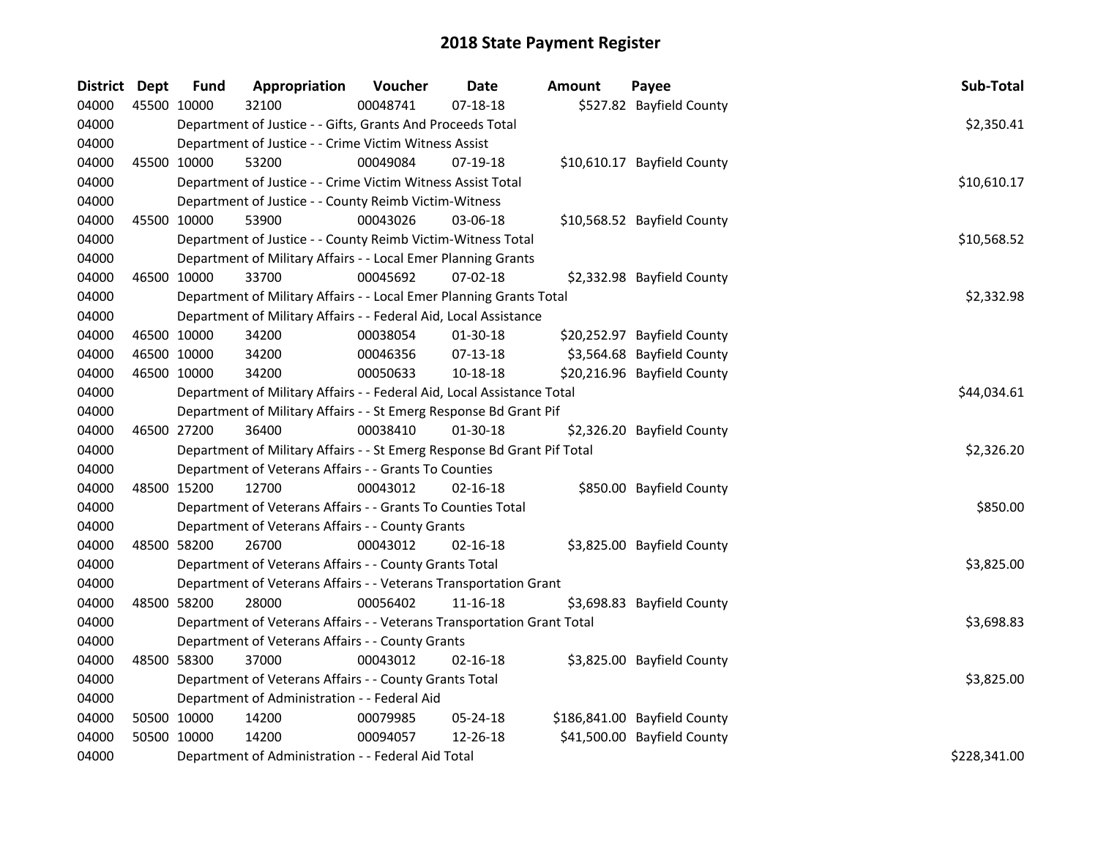| District Dept |             | <b>Fund</b> | Appropriation                                                           | Voucher  | Date           | Amount | Payee                        | Sub-Total    |
|---------------|-------------|-------------|-------------------------------------------------------------------------|----------|----------------|--------|------------------------------|--------------|
| 04000         | 45500 10000 |             | 32100                                                                   | 00048741 | $07 - 18 - 18$ |        | \$527.82 Bayfield County     |              |
| 04000         |             |             | Department of Justice - - Gifts, Grants And Proceeds Total              |          |                |        |                              | \$2,350.41   |
| 04000         |             |             | Department of Justice - - Crime Victim Witness Assist                   |          |                |        |                              |              |
| 04000         |             | 45500 10000 | 53200                                                                   | 00049084 | 07-19-18       |        | \$10,610.17 Bayfield County  |              |
| 04000         |             |             | Department of Justice - - Crime Victim Witness Assist Total             |          |                |        |                              | \$10,610.17  |
| 04000         |             |             | Department of Justice - - County Reimb Victim-Witness                   |          |                |        |                              |              |
| 04000         |             | 45500 10000 | 53900                                                                   | 00043026 | 03-06-18       |        | \$10,568.52 Bayfield County  |              |
| 04000         |             |             | Department of Justice - - County Reimb Victim-Witness Total             |          |                |        |                              | \$10,568.52  |
| 04000         |             |             | Department of Military Affairs - - Local Emer Planning Grants           |          |                |        |                              |              |
| 04000         |             | 46500 10000 | 33700                                                                   | 00045692 | $07 - 02 - 18$ |        | \$2,332.98 Bayfield County   |              |
| 04000         |             |             | Department of Military Affairs - - Local Emer Planning Grants Total     |          |                |        |                              | \$2,332.98   |
| 04000         |             |             | Department of Military Affairs - - Federal Aid, Local Assistance        |          |                |        |                              |              |
| 04000         | 46500 10000 |             | 34200                                                                   | 00038054 | 01-30-18       |        | \$20,252.97 Bayfield County  |              |
| 04000         |             | 46500 10000 | 34200                                                                   | 00046356 | $07-13-18$     |        | \$3,564.68 Bayfield County   |              |
| 04000         | 46500 10000 |             | 34200                                                                   | 00050633 | 10-18-18       |        | \$20,216.96 Bayfield County  |              |
| 04000         |             |             | Department of Military Affairs - - Federal Aid, Local Assistance Total  |          |                |        |                              | \$44,034.61  |
| 04000         |             |             | Department of Military Affairs - - St Emerg Response Bd Grant Pif       |          |                |        |                              |              |
| 04000         | 46500 27200 |             | 36400                                                                   | 00038410 | $01-30-18$     |        | \$2,326.20 Bayfield County   |              |
| 04000         |             |             | Department of Military Affairs - - St Emerg Response Bd Grant Pif Total |          |                |        |                              | \$2,326.20   |
| 04000         |             |             | Department of Veterans Affairs - - Grants To Counties                   |          |                |        |                              |              |
| 04000         |             | 48500 15200 | 12700                                                                   | 00043012 | $02 - 16 - 18$ |        | \$850.00 Bayfield County     |              |
| 04000         |             |             | Department of Veterans Affairs - - Grants To Counties Total             |          |                |        |                              | \$850.00     |
| 04000         |             |             | Department of Veterans Affairs - - County Grants                        |          |                |        |                              |              |
| 04000         | 48500 58200 |             | 26700                                                                   | 00043012 | $02 - 16 - 18$ |        | \$3,825.00 Bayfield County   |              |
| 04000         |             |             | Department of Veterans Affairs - - County Grants Total                  |          |                |        |                              | \$3,825.00   |
| 04000         |             |             | Department of Veterans Affairs - - Veterans Transportation Grant        |          |                |        |                              |              |
| 04000         | 48500 58200 |             | 28000                                                                   | 00056402 | 11-16-18       |        | \$3,698.83 Bayfield County   |              |
| 04000         |             |             | Department of Veterans Affairs - - Veterans Transportation Grant Total  |          |                |        |                              | \$3,698.83   |
| 04000         |             |             | Department of Veterans Affairs - - County Grants                        |          |                |        |                              |              |
| 04000         | 48500 58300 |             | 37000                                                                   | 00043012 | $02 - 16 - 18$ |        | \$3,825.00 Bayfield County   |              |
| 04000         |             |             | Department of Veterans Affairs - - County Grants Total                  |          |                |        |                              | \$3,825.00   |
| 04000         |             |             | Department of Administration - - Federal Aid                            |          |                |        |                              |              |
| 04000         |             | 50500 10000 | 14200                                                                   | 00079985 | 05-24-18       |        | \$186,841.00 Bayfield County |              |
| 04000         | 50500 10000 |             | 14200                                                                   | 00094057 | 12-26-18       |        | \$41,500.00 Bayfield County  |              |
| 04000         |             |             | Department of Administration - - Federal Aid Total                      |          |                |        |                              | \$228,341.00 |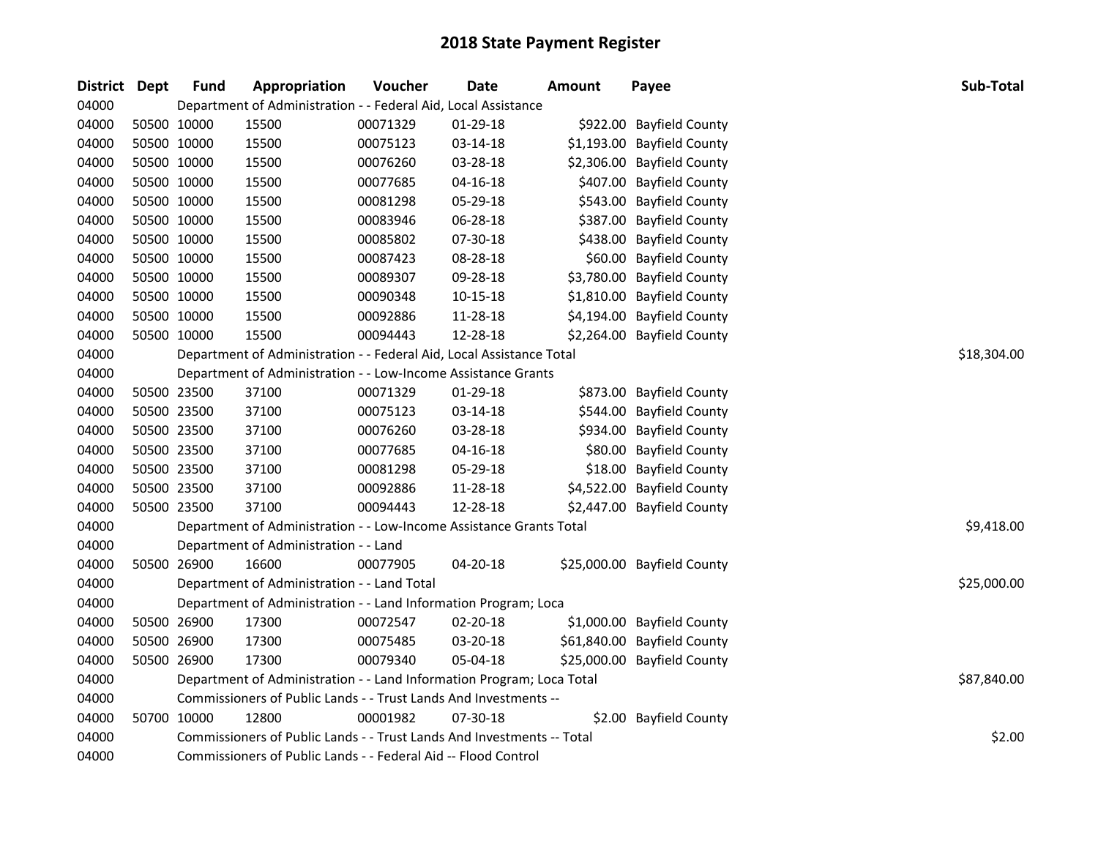| <b>District Dept</b> |             | <b>Fund</b> | Appropriation                                                          | Voucher  | Date           | <b>Amount</b> | Payee                       | Sub-Total   |
|----------------------|-------------|-------------|------------------------------------------------------------------------|----------|----------------|---------------|-----------------------------|-------------|
| 04000                |             |             | Department of Administration - - Federal Aid, Local Assistance         |          |                |               |                             |             |
| 04000                |             | 50500 10000 | 15500                                                                  | 00071329 | 01-29-18       |               | \$922.00 Bayfield County    |             |
| 04000                |             | 50500 10000 | 15500                                                                  | 00075123 | 03-14-18       |               | \$1,193.00 Bayfield County  |             |
| 04000                |             | 50500 10000 | 15500                                                                  | 00076260 | 03-28-18       |               | \$2,306.00 Bayfield County  |             |
| 04000                |             | 50500 10000 | 15500                                                                  | 00077685 | $04 - 16 - 18$ |               | \$407.00 Bayfield County    |             |
| 04000                |             | 50500 10000 | 15500                                                                  | 00081298 | 05-29-18       |               | \$543.00 Bayfield County    |             |
| 04000                |             | 50500 10000 | 15500                                                                  | 00083946 | 06-28-18       |               | \$387.00 Bayfield County    |             |
| 04000                |             | 50500 10000 | 15500                                                                  | 00085802 | 07-30-18       |               | \$438.00 Bayfield County    |             |
| 04000                |             | 50500 10000 | 15500                                                                  | 00087423 | 08-28-18       |               | \$60.00 Bayfield County     |             |
| 04000                |             | 50500 10000 | 15500                                                                  | 00089307 | 09-28-18       |               | \$3,780.00 Bayfield County  |             |
| 04000                |             | 50500 10000 | 15500                                                                  | 00090348 | $10 - 15 - 18$ |               | \$1,810.00 Bayfield County  |             |
| 04000                |             | 50500 10000 | 15500                                                                  | 00092886 | 11-28-18       |               | \$4,194.00 Bayfield County  |             |
| 04000                |             | 50500 10000 | 15500                                                                  | 00094443 | 12-28-18       |               | \$2,264.00 Bayfield County  |             |
| 04000                |             |             | Department of Administration - - Federal Aid, Local Assistance Total   |          |                |               |                             | \$18,304.00 |
| 04000                |             |             | Department of Administration - - Low-Income Assistance Grants          |          |                |               |                             |             |
| 04000                |             | 50500 23500 | 37100                                                                  | 00071329 | 01-29-18       |               | \$873.00 Bayfield County    |             |
| 04000                |             | 50500 23500 | 37100                                                                  | 00075123 | 03-14-18       |               | \$544.00 Bayfield County    |             |
| 04000                |             | 50500 23500 | 37100                                                                  | 00076260 | 03-28-18       |               | \$934.00 Bayfield County    |             |
| 04000                |             | 50500 23500 | 37100                                                                  | 00077685 | $04 - 16 - 18$ |               | \$80.00 Bayfield County     |             |
| 04000                |             | 50500 23500 | 37100                                                                  | 00081298 | 05-29-18       |               | \$18.00 Bayfield County     |             |
| 04000                |             | 50500 23500 | 37100                                                                  | 00092886 | 11-28-18       |               | \$4,522.00 Bayfield County  |             |
| 04000                | 50500 23500 |             | 37100                                                                  | 00094443 | 12-28-18       |               | \$2,447.00 Bayfield County  |             |
| 04000                |             |             | Department of Administration - - Low-Income Assistance Grants Total    |          |                |               |                             | \$9,418.00  |
| 04000                |             |             | Department of Administration - - Land                                  |          |                |               |                             |             |
| 04000                |             | 50500 26900 | 16600                                                                  | 00077905 | 04-20-18       |               | \$25,000.00 Bayfield County |             |
| 04000                |             |             | Department of Administration - - Land Total                            |          |                |               |                             | \$25,000.00 |
| 04000                |             |             | Department of Administration - - Land Information Program; Loca        |          |                |               |                             |             |
| 04000                |             | 50500 26900 | 17300                                                                  | 00072547 | 02-20-18       |               | \$1,000.00 Bayfield County  |             |
| 04000                |             | 50500 26900 | 17300                                                                  | 00075485 | 03-20-18       |               | \$61,840.00 Bayfield County |             |
| 04000                |             | 50500 26900 | 17300                                                                  | 00079340 | 05-04-18       |               | \$25,000.00 Bayfield County |             |
| 04000                |             |             | Department of Administration - - Land Information Program; Loca Total  |          |                |               |                             | \$87,840.00 |
| 04000                |             |             | Commissioners of Public Lands - - Trust Lands And Investments --       |          |                |               |                             |             |
| 04000                |             | 50700 10000 | 12800                                                                  | 00001982 | 07-30-18       |               | \$2.00 Bayfield County      |             |
| 04000                |             |             | Commissioners of Public Lands - - Trust Lands And Investments -- Total |          |                |               |                             | \$2.00      |
| 04000                |             |             | Commissioners of Public Lands - - Federal Aid -- Flood Control         |          |                |               |                             |             |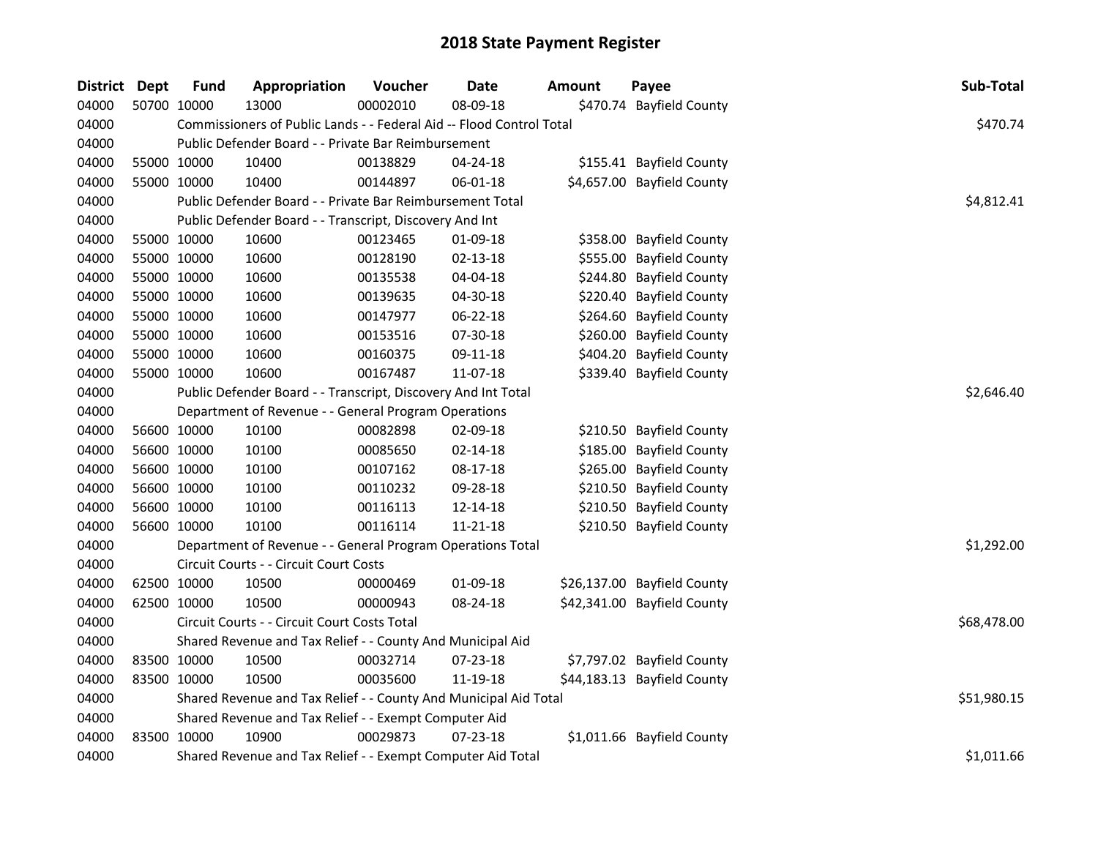| <b>District Dept</b> |             | <b>Fund</b> | Appropriation                                                        | Voucher  | <b>Date</b>    | <b>Amount</b> | Payee                       | Sub-Total   |
|----------------------|-------------|-------------|----------------------------------------------------------------------|----------|----------------|---------------|-----------------------------|-------------|
| 04000                |             | 50700 10000 | 13000                                                                | 00002010 | 08-09-18       |               | \$470.74 Bayfield County    |             |
| 04000                |             |             | Commissioners of Public Lands - - Federal Aid -- Flood Control Total |          |                |               |                             | \$470.74    |
| 04000                |             |             | Public Defender Board - - Private Bar Reimbursement                  |          |                |               |                             |             |
| 04000                | 55000 10000 |             | 10400                                                                | 00138829 | 04-24-18       |               | \$155.41 Bayfield County    |             |
| 04000                | 55000 10000 |             | 10400                                                                | 00144897 | 06-01-18       |               | \$4,657.00 Bayfield County  |             |
| 04000                |             |             | Public Defender Board - - Private Bar Reimbursement Total            |          |                |               |                             | \$4,812.41  |
| 04000                |             |             | Public Defender Board - - Transcript, Discovery And Int              |          |                |               |                             |             |
| 04000                |             | 55000 10000 | 10600                                                                | 00123465 | 01-09-18       |               | \$358.00 Bayfield County    |             |
| 04000                | 55000 10000 |             | 10600                                                                | 00128190 | $02 - 13 - 18$ |               | \$555.00 Bayfield County    |             |
| 04000                | 55000 10000 |             | 10600                                                                | 00135538 | 04-04-18       |               | \$244.80 Bayfield County    |             |
| 04000                | 55000 10000 |             | 10600                                                                | 00139635 | 04-30-18       |               | \$220.40 Bayfield County    |             |
| 04000                | 55000 10000 |             | 10600                                                                | 00147977 | 06-22-18       |               | \$264.60 Bayfield County    |             |
| 04000                | 55000 10000 |             | 10600                                                                | 00153516 | 07-30-18       |               | \$260.00 Bayfield County    |             |
| 04000                |             | 55000 10000 | 10600                                                                | 00160375 | 09-11-18       |               | \$404.20 Bayfield County    |             |
| 04000                | 55000 10000 |             | 10600                                                                | 00167487 | 11-07-18       |               | \$339.40 Bayfield County    |             |
| 04000                |             |             | Public Defender Board - - Transcript, Discovery And Int Total        |          |                |               |                             | \$2,646.40  |
| 04000                |             |             | Department of Revenue - - General Program Operations                 |          |                |               |                             |             |
| 04000                |             | 56600 10000 | 10100                                                                | 00082898 | 02-09-18       |               | \$210.50 Bayfield County    |             |
| 04000                | 56600 10000 |             | 10100                                                                | 00085650 | $02 - 14 - 18$ |               | \$185.00 Bayfield County    |             |
| 04000                |             | 56600 10000 | 10100                                                                | 00107162 | 08-17-18       |               | \$265.00 Bayfield County    |             |
| 04000                | 56600 10000 |             | 10100                                                                | 00110232 | 09-28-18       |               | \$210.50 Bayfield County    |             |
| 04000                | 56600 10000 |             | 10100                                                                | 00116113 | 12-14-18       |               | \$210.50 Bayfield County    |             |
| 04000                | 56600 10000 |             | 10100                                                                | 00116114 | $11 - 21 - 18$ |               | \$210.50 Bayfield County    |             |
| 04000                |             |             | Department of Revenue - - General Program Operations Total           |          |                |               |                             | \$1,292.00  |
| 04000                |             |             | Circuit Courts - - Circuit Court Costs                               |          |                |               |                             |             |
| 04000                | 62500 10000 |             | 10500                                                                | 00000469 | 01-09-18       |               | \$26,137.00 Bayfield County |             |
| 04000                |             | 62500 10000 | 10500                                                                | 00000943 | 08-24-18       |               | \$42,341.00 Bayfield County |             |
| 04000                |             |             | Circuit Courts - - Circuit Court Costs Total                         |          |                |               |                             | \$68,478.00 |
| 04000                |             |             | Shared Revenue and Tax Relief - - County And Municipal Aid           |          |                |               |                             |             |
| 04000                | 83500 10000 |             | 10500                                                                | 00032714 | 07-23-18       |               | \$7,797.02 Bayfield County  |             |
| 04000                | 83500 10000 |             | 10500                                                                | 00035600 | 11-19-18       |               | \$44,183.13 Bayfield County |             |
| 04000                |             |             | Shared Revenue and Tax Relief - - County And Municipal Aid Total     |          |                |               |                             | \$51,980.15 |
| 04000                |             |             | Shared Revenue and Tax Relief - - Exempt Computer Aid                |          |                |               |                             |             |
| 04000                | 83500 10000 |             | 10900                                                                | 00029873 | 07-23-18       |               | \$1,011.66 Bayfield County  |             |
| 04000                |             |             | Shared Revenue and Tax Relief - - Exempt Computer Aid Total          |          |                |               |                             | \$1,011.66  |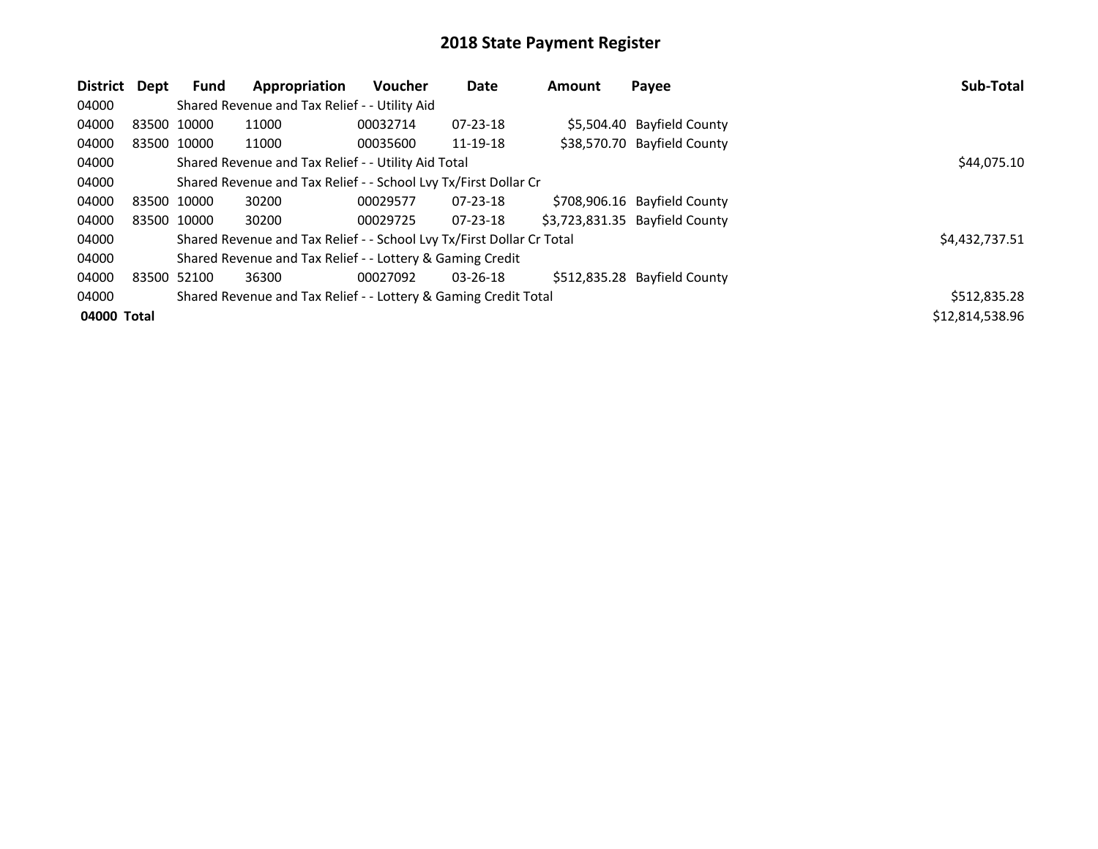| District Dept |             | <b>Fund</b> | Appropriation                                                         | <b>Voucher</b> | Date           | <b>Amount</b> | Payee                          | Sub-Total       |
|---------------|-------------|-------------|-----------------------------------------------------------------------|----------------|----------------|---------------|--------------------------------|-----------------|
| 04000         |             |             | Shared Revenue and Tax Relief - - Utility Aid                         |                |                |               |                                |                 |
| 04000         | 83500 10000 |             | 11000                                                                 | 00032714       | 07-23-18       |               | \$5,504.40 Bayfield County     |                 |
| 04000         | 83500 10000 |             | 11000                                                                 | 00035600       | 11-19-18       |               | \$38,570.70 Bayfield County    |                 |
| 04000         |             |             | Shared Revenue and Tax Relief - - Utility Aid Total                   | \$44,075.10    |                |               |                                |                 |
| 04000         |             |             | Shared Revenue and Tax Relief - - School Lvy Tx/First Dollar Cr       |                |                |               |                                |                 |
| 04000         | 83500 10000 |             | 30200                                                                 | 00029577       | $07 - 23 - 18$ |               | \$708,906.16 Bayfield County   |                 |
| 04000         | 83500 10000 |             | 30200                                                                 | 00029725       | $07 - 23 - 18$ |               | \$3,723,831.35 Bayfield County |                 |
| 04000         |             |             | Shared Revenue and Tax Relief - - School Lvy Tx/First Dollar Cr Total |                |                |               |                                | \$4,432,737.51  |
| 04000         |             |             | Shared Revenue and Tax Relief - - Lottery & Gaming Credit             |                |                |               |                                |                 |
| 04000         | 83500 52100 |             | 36300                                                                 | 00027092       | 03-26-18       |               | \$512,835.28 Bayfield County   |                 |
| 04000         |             |             | Shared Revenue and Tax Relief - - Lottery & Gaming Credit Total       |                |                |               |                                | \$512,835.28    |
| 04000 Total   |             |             |                                                                       |                |                |               |                                | \$12,814,538.96 |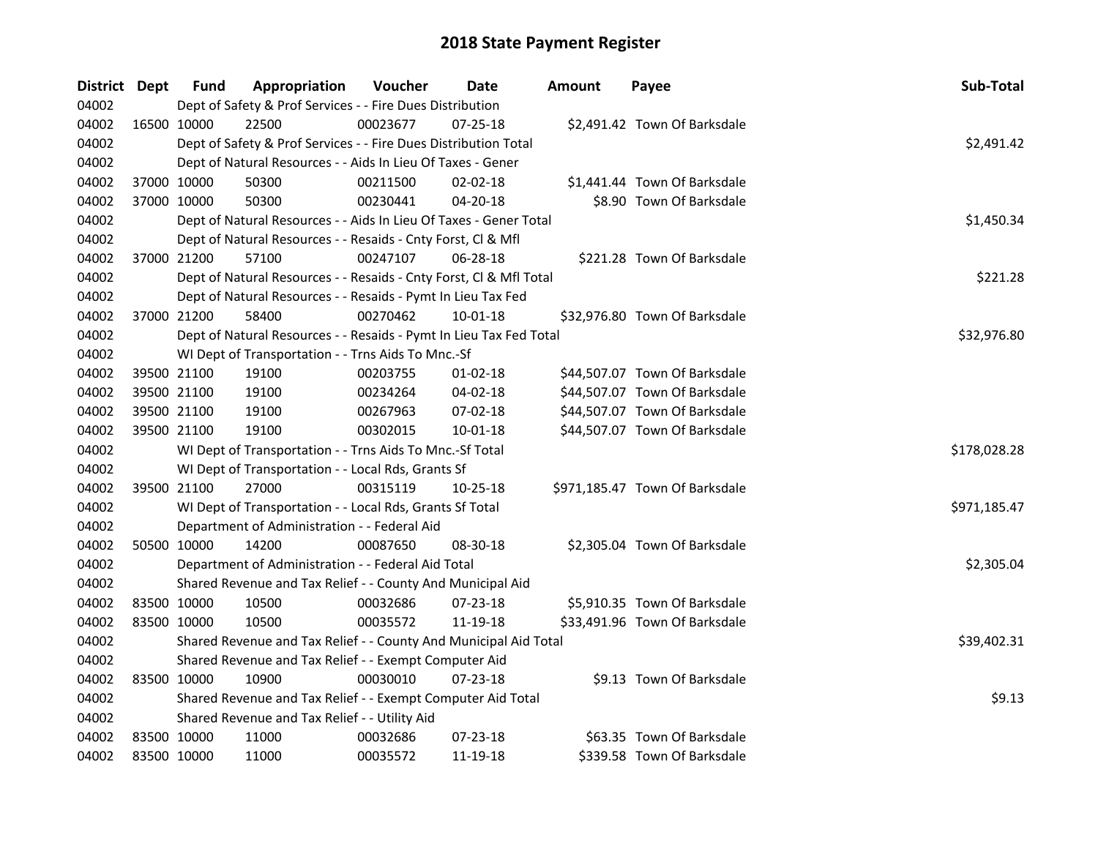| District Dept |             | <b>Fund</b> | Appropriation                                                      | Voucher  | Date           | Amount | Payee                          | Sub-Total    |
|---------------|-------------|-------------|--------------------------------------------------------------------|----------|----------------|--------|--------------------------------|--------------|
| 04002         |             |             | Dept of Safety & Prof Services - - Fire Dues Distribution          |          |                |        |                                |              |
| 04002         |             | 16500 10000 | 22500                                                              | 00023677 | $07 - 25 - 18$ |        | \$2,491.42 Town Of Barksdale   |              |
| 04002         |             |             | Dept of Safety & Prof Services - - Fire Dues Distribution Total    |          |                |        |                                | \$2,491.42   |
| 04002         |             |             | Dept of Natural Resources - - Aids In Lieu Of Taxes - Gener        |          |                |        |                                |              |
| 04002         |             | 37000 10000 | 50300                                                              | 00211500 | 02-02-18       |        | \$1,441.44 Town Of Barksdale   |              |
| 04002         | 37000 10000 |             | 50300                                                              | 00230441 | $04 - 20 - 18$ |        | \$8.90 Town Of Barksdale       |              |
| 04002         |             |             | Dept of Natural Resources - - Aids In Lieu Of Taxes - Gener Total  |          |                |        |                                | \$1,450.34   |
| 04002         |             |             | Dept of Natural Resources - - Resaids - Cnty Forst, Cl & Mfl       |          |                |        |                                |              |
| 04002         |             | 37000 21200 | 57100                                                              | 00247107 | 06-28-18       |        | \$221.28 Town Of Barksdale     |              |
| 04002         |             |             | Dept of Natural Resources - - Resaids - Cnty Forst, CI & Mfl Total |          |                |        |                                | \$221.28     |
| 04002         |             |             | Dept of Natural Resources - - Resaids - Pymt In Lieu Tax Fed       |          |                |        |                                |              |
| 04002         |             | 37000 21200 | 58400                                                              | 00270462 | 10-01-18       |        | \$32,976.80 Town Of Barksdale  |              |
| 04002         |             |             | Dept of Natural Resources - - Resaids - Pymt In Lieu Tax Fed Total |          |                |        |                                | \$32,976.80  |
| 04002         |             |             | WI Dept of Transportation - - Trns Aids To Mnc.-Sf                 |          |                |        |                                |              |
| 04002         |             | 39500 21100 | 19100                                                              | 00203755 | $01 - 02 - 18$ |        | \$44,507.07 Town Of Barksdale  |              |
| 04002         |             | 39500 21100 | 19100                                                              | 00234264 | 04-02-18       |        | \$44,507.07 Town Of Barksdale  |              |
| 04002         | 39500 21100 |             | 19100                                                              | 00267963 | $07 - 02 - 18$ |        | \$44,507.07 Town Of Barksdale  |              |
| 04002         |             | 39500 21100 | 19100                                                              | 00302015 | 10-01-18       |        | \$44,507.07 Town Of Barksdale  |              |
| 04002         |             |             | WI Dept of Transportation - - Trns Aids To Mnc.-Sf Total           |          |                |        |                                | \$178,028.28 |
| 04002         |             |             | WI Dept of Transportation - - Local Rds, Grants Sf                 |          |                |        |                                |              |
| 04002         |             | 39500 21100 | 27000                                                              | 00315119 | 10-25-18       |        | \$971,185.47 Town Of Barksdale |              |
| 04002         |             |             | WI Dept of Transportation - - Local Rds, Grants Sf Total           |          |                |        |                                | \$971,185.47 |
| 04002         |             |             | Department of Administration - - Federal Aid                       |          |                |        |                                |              |
| 04002         |             | 50500 10000 | 14200                                                              | 00087650 | 08-30-18       |        | \$2,305.04 Town Of Barksdale   |              |
| 04002         |             |             | Department of Administration - - Federal Aid Total                 |          |                |        |                                | \$2,305.04   |
| 04002         |             |             | Shared Revenue and Tax Relief - - County And Municipal Aid         |          |                |        |                                |              |
| 04002         |             | 83500 10000 | 10500                                                              | 00032686 | 07-23-18       |        | \$5,910.35 Town Of Barksdale   |              |
| 04002         |             | 83500 10000 | 10500                                                              | 00035572 | 11-19-18       |        | \$33,491.96 Town Of Barksdale  |              |
| 04002         |             |             | Shared Revenue and Tax Relief - - County And Municipal Aid Total   |          |                |        |                                | \$39,402.31  |
| 04002         |             |             | Shared Revenue and Tax Relief - - Exempt Computer Aid              |          |                |        |                                |              |
| 04002         | 83500 10000 |             | 10900                                                              | 00030010 | 07-23-18       |        | \$9.13 Town Of Barksdale       |              |
| 04002         |             |             | Shared Revenue and Tax Relief - - Exempt Computer Aid Total        |          |                |        |                                | \$9.13       |
| 04002         |             |             | Shared Revenue and Tax Relief - - Utility Aid                      |          |                |        |                                |              |
| 04002         | 83500 10000 |             | 11000                                                              | 00032686 | 07-23-18       |        | \$63.35 Town Of Barksdale      |              |
| 04002         | 83500 10000 |             | 11000                                                              | 00035572 | 11-19-18       |        | \$339.58 Town Of Barksdale     |              |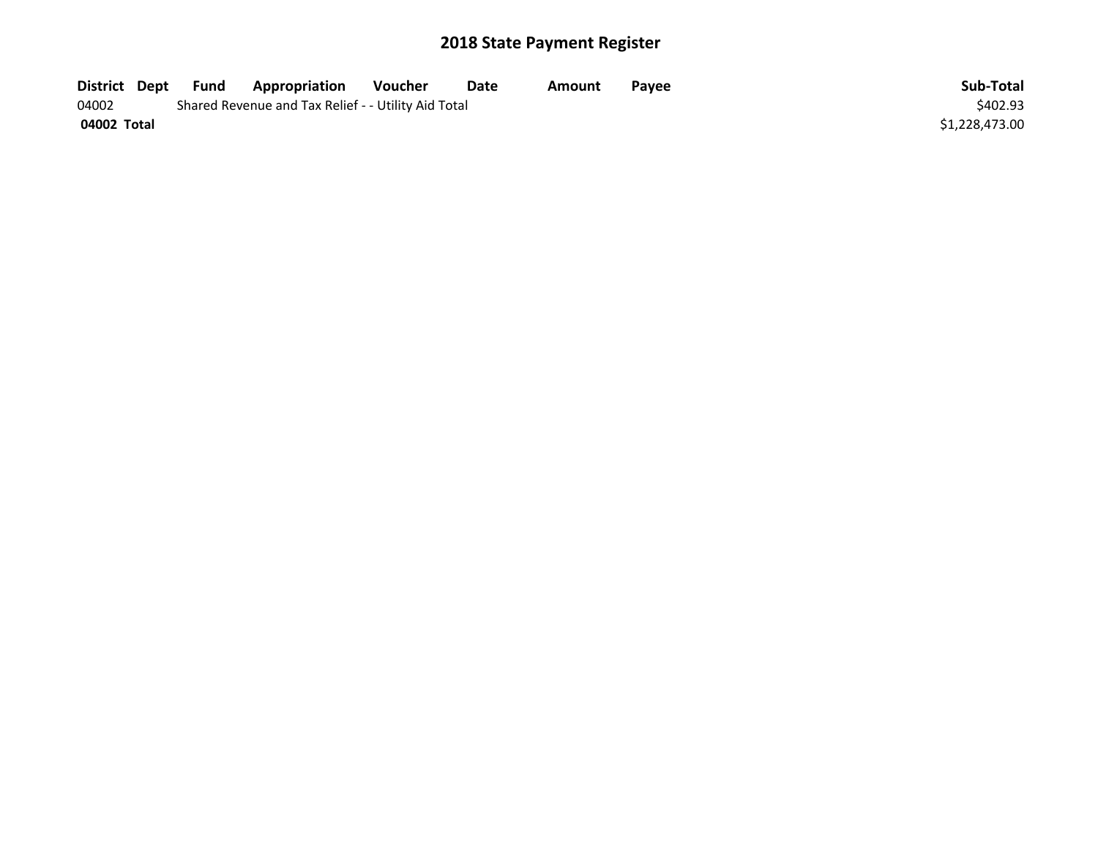| District Dept | Fund | Appropriation                                       | Voucher  | Date | Amount | Pavee | Sub-Total      |
|---------------|------|-----------------------------------------------------|----------|------|--------|-------|----------------|
| 04002         |      | Shared Revenue and Tax Relief - - Utility Aid Total | \$402.93 |      |        |       |                |
| 04002 Total   |      |                                                     |          |      |        |       | \$1,228,473.00 |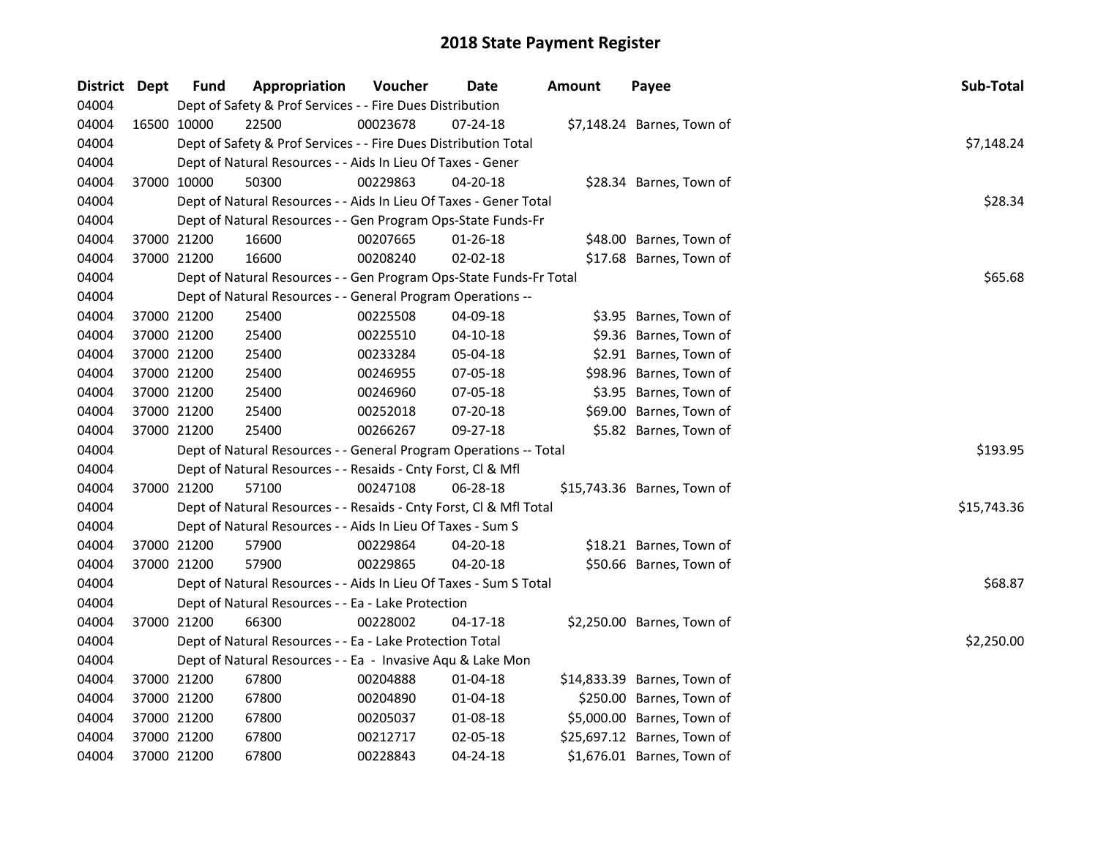| District Dept |             | <b>Fund</b> | Appropriation                                                      | Voucher  | Date           | <b>Amount</b> | Payee                       | Sub-Total   |
|---------------|-------------|-------------|--------------------------------------------------------------------|----------|----------------|---------------|-----------------------------|-------------|
| 04004         |             |             | Dept of Safety & Prof Services - - Fire Dues Distribution          |          |                |               |                             |             |
| 04004         | 16500 10000 |             | 22500                                                              | 00023678 | $07 - 24 - 18$ |               | \$7,148.24 Barnes, Town of  |             |
| 04004         |             |             | Dept of Safety & Prof Services - - Fire Dues Distribution Total    |          |                |               |                             | \$7,148.24  |
| 04004         |             |             | Dept of Natural Resources - - Aids In Lieu Of Taxes - Gener        |          |                |               |                             |             |
| 04004         |             | 37000 10000 | 50300                                                              | 00229863 | 04-20-18       |               | \$28.34 Barnes, Town of     |             |
| 04004         |             |             | Dept of Natural Resources - - Aids In Lieu Of Taxes - Gener Total  |          |                |               |                             | \$28.34     |
| 04004         |             |             | Dept of Natural Resources - - Gen Program Ops-State Funds-Fr       |          |                |               |                             |             |
| 04004         |             | 37000 21200 | 16600                                                              | 00207665 | $01 - 26 - 18$ |               | \$48.00 Barnes, Town of     |             |
| 04004         | 37000 21200 |             | 16600                                                              | 00208240 | 02-02-18       |               | \$17.68 Barnes, Town of     |             |
| 04004         |             |             | Dept of Natural Resources - - Gen Program Ops-State Funds-Fr Total | \$65.68  |                |               |                             |             |
| 04004         |             |             | Dept of Natural Resources - - General Program Operations --        |          |                |               |                             |             |
| 04004         |             | 37000 21200 | 25400                                                              | 00225508 | 04-09-18       |               | \$3.95 Barnes, Town of      |             |
| 04004         | 37000 21200 |             | 25400                                                              | 00225510 | $04 - 10 - 18$ |               | \$9.36 Barnes, Town of      |             |
| 04004         | 37000 21200 |             | 25400                                                              | 00233284 | 05-04-18       |               | \$2.91 Barnes, Town of      |             |
| 04004         | 37000 21200 |             | 25400                                                              | 00246955 | 07-05-18       |               | \$98.96 Barnes, Town of     |             |
| 04004         |             | 37000 21200 | 25400                                                              | 00246960 | 07-05-18       |               | \$3.95 Barnes, Town of      |             |
| 04004         | 37000 21200 |             | 25400                                                              | 00252018 | 07-20-18       |               | \$69.00 Barnes, Town of     |             |
| 04004         |             | 37000 21200 | 25400                                                              | 00266267 | 09-27-18       |               | \$5.82 Barnes, Town of      |             |
| 04004         |             |             | Dept of Natural Resources - - General Program Operations -- Total  |          |                |               |                             | \$193.95    |
| 04004         |             |             | Dept of Natural Resources - - Resaids - Cnty Forst, Cl & Mfl       |          |                |               |                             |             |
| 04004         |             | 37000 21200 | 57100                                                              | 00247108 | 06-28-18       |               | \$15,743.36 Barnes, Town of |             |
| 04004         |             |             | Dept of Natural Resources - - Resaids - Cnty Forst, Cl & Mfl Total |          |                |               |                             | \$15,743.36 |
| 04004         |             |             | Dept of Natural Resources - - Aids In Lieu Of Taxes - Sum S        |          |                |               |                             |             |
| 04004         | 37000 21200 |             | 57900                                                              | 00229864 | 04-20-18       |               | \$18.21 Barnes, Town of     |             |
| 04004         | 37000 21200 |             | 57900                                                              | 00229865 | 04-20-18       |               | \$50.66 Barnes, Town of     |             |
| 04004         |             |             | Dept of Natural Resources - - Aids In Lieu Of Taxes - Sum S Total  |          |                |               |                             | \$68.87     |
| 04004         |             |             | Dept of Natural Resources - - Ea - Lake Protection                 |          |                |               |                             |             |
| 04004         |             | 37000 21200 | 66300                                                              | 00228002 | $04-17-18$     |               | \$2,250.00 Barnes, Town of  |             |
| 04004         |             |             | Dept of Natural Resources - - Ea - Lake Protection Total           |          |                |               |                             | \$2,250.00  |
| 04004         |             |             | Dept of Natural Resources - - Ea - Invasive Aqu & Lake Mon         |          |                |               |                             |             |
| 04004         | 37000 21200 |             | 67800                                                              | 00204888 | 01-04-18       |               | \$14,833.39 Barnes, Town of |             |
| 04004         | 37000 21200 |             | 67800                                                              | 00204890 | 01-04-18       |               | \$250.00 Barnes, Town of    |             |
| 04004         |             | 37000 21200 | 67800                                                              | 00205037 | 01-08-18       |               | \$5,000.00 Barnes, Town of  |             |
| 04004         | 37000 21200 |             | 67800                                                              | 00212717 | 02-05-18       |               | \$25,697.12 Barnes, Town of |             |
| 04004         |             | 37000 21200 | 67800                                                              | 00228843 | 04-24-18       |               | \$1,676.01 Barnes, Town of  |             |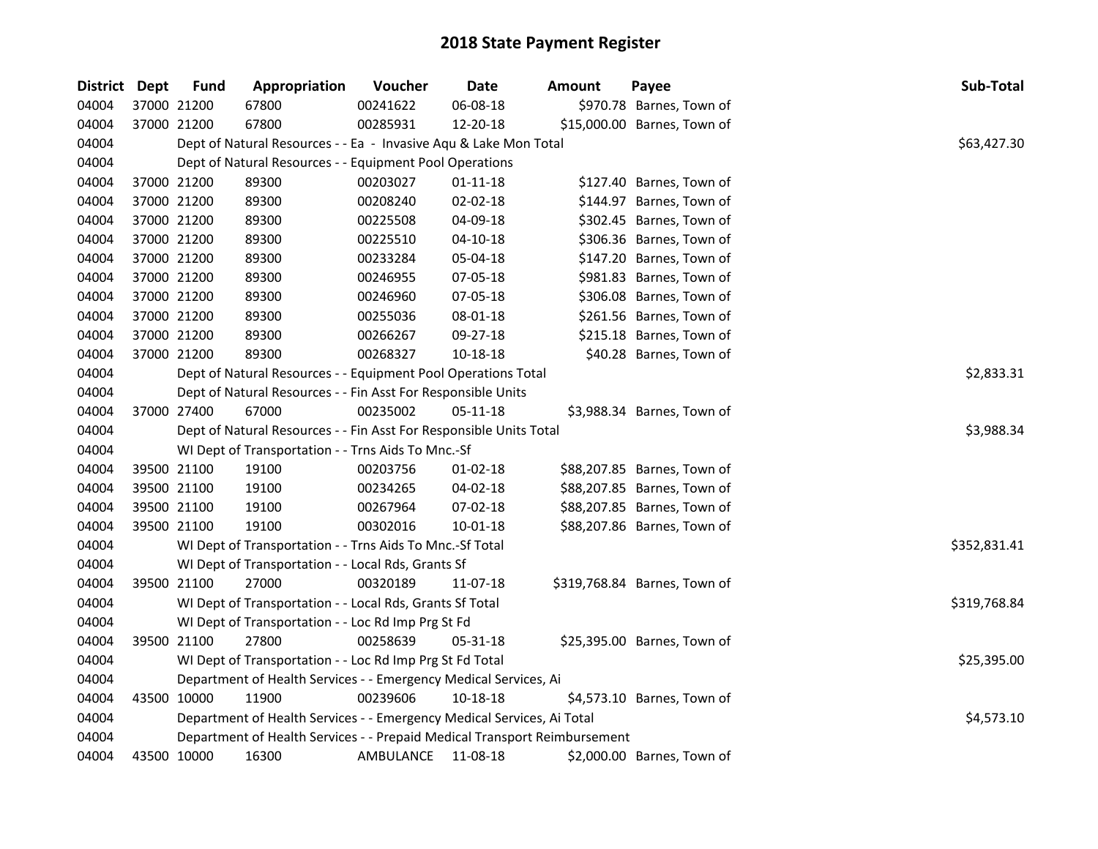| <b>District Dept</b> |             | <b>Fund</b>                                                               | Appropriation                                                          | Voucher   | Date           | <b>Amount</b> | Payee                        | Sub-Total    |  |  |  |
|----------------------|-------------|---------------------------------------------------------------------------|------------------------------------------------------------------------|-----------|----------------|---------------|------------------------------|--------------|--|--|--|
| 04004                |             | 37000 21200                                                               | 67800                                                                  | 00241622  | 06-08-18       |               | \$970.78 Barnes, Town of     |              |  |  |  |
| 04004                |             | 37000 21200                                                               | 67800                                                                  | 00285931  | 12-20-18       |               | \$15,000.00 Barnes, Town of  |              |  |  |  |
| 04004                |             |                                                                           | Dept of Natural Resources - - Ea - Invasive Aqu & Lake Mon Total       |           |                |               |                              | \$63,427.30  |  |  |  |
| 04004                |             |                                                                           | Dept of Natural Resources - - Equipment Pool Operations                |           |                |               |                              |              |  |  |  |
| 04004                |             | 37000 21200                                                               | 89300                                                                  | 00203027  | $01 - 11 - 18$ |               | \$127.40 Barnes, Town of     |              |  |  |  |
| 04004                |             | 37000 21200                                                               | 89300                                                                  | 00208240  | 02-02-18       |               | \$144.97 Barnes, Town of     |              |  |  |  |
| 04004                |             | 37000 21200                                                               | 89300                                                                  | 00225508  | 04-09-18       |               | \$302.45 Barnes, Town of     |              |  |  |  |
| 04004                | 37000 21200 |                                                                           | 89300                                                                  | 00225510  | 04-10-18       |               | \$306.36 Barnes, Town of     |              |  |  |  |
| 04004                | 37000 21200 |                                                                           | 89300                                                                  | 00233284  | 05-04-18       |               | \$147.20 Barnes, Town of     |              |  |  |  |
| 04004                |             | 37000 21200                                                               | 89300                                                                  | 00246955  | 07-05-18       |               | \$981.83 Barnes, Town of     |              |  |  |  |
| 04004                |             | 37000 21200                                                               | 89300                                                                  | 00246960  | 07-05-18       |               | \$306.08 Barnes, Town of     |              |  |  |  |
| 04004                |             | 37000 21200                                                               | 89300                                                                  | 00255036  | 08-01-18       |               | \$261.56 Barnes, Town of     |              |  |  |  |
| 04004                |             | 37000 21200                                                               | 89300                                                                  | 00266267  | 09-27-18       |               | \$215.18 Barnes, Town of     |              |  |  |  |
| 04004                |             | 37000 21200                                                               | 89300                                                                  | 00268327  | 10-18-18       |               | \$40.28 Barnes, Town of      |              |  |  |  |
| 04004                |             |                                                                           | Dept of Natural Resources - - Equipment Pool Operations Total          |           |                |               |                              | \$2,833.31   |  |  |  |
| 04004                |             |                                                                           | Dept of Natural Resources - - Fin Asst For Responsible Units           |           |                |               |                              |              |  |  |  |
| 04004                |             | 37000 27400                                                               | 67000                                                                  | 00235002  | 05-11-18       |               | \$3,988.34 Barnes, Town of   |              |  |  |  |
| 04004                |             |                                                                           | Dept of Natural Resources - - Fin Asst For Responsible Units Total     |           |                |               |                              | \$3,988.34   |  |  |  |
| 04004                |             |                                                                           | WI Dept of Transportation - - Trns Aids To Mnc.-Sf                     |           |                |               |                              |              |  |  |  |
| 04004                |             | 39500 21100                                                               | 19100                                                                  | 00203756  | $01 - 02 - 18$ |               | \$88,207.85 Barnes, Town of  |              |  |  |  |
| 04004                | 39500 21100 |                                                                           | 19100                                                                  | 00234265  | 04-02-18       |               | \$88,207.85 Barnes, Town of  |              |  |  |  |
| 04004                |             | 39500 21100                                                               | 19100                                                                  | 00267964  | 07-02-18       |               | \$88,207.85 Barnes, Town of  |              |  |  |  |
| 04004                |             | 39500 21100                                                               | 19100                                                                  | 00302016  | 10-01-18       |               | \$88,207.86 Barnes, Town of  |              |  |  |  |
| 04004                |             |                                                                           | WI Dept of Transportation - - Trns Aids To Mnc.-Sf Total               |           |                |               |                              | \$352,831.41 |  |  |  |
| 04004                |             |                                                                           | WI Dept of Transportation - - Local Rds, Grants Sf                     |           |                |               |                              |              |  |  |  |
| 04004                |             | 39500 21100                                                               | 27000                                                                  | 00320189  | 11-07-18       |               | \$319,768.84 Barnes, Town of |              |  |  |  |
| 04004                |             |                                                                           | WI Dept of Transportation - - Local Rds, Grants Sf Total               |           |                |               |                              | \$319,768.84 |  |  |  |
| 04004                |             |                                                                           | WI Dept of Transportation - - Loc Rd Imp Prg St Fd                     |           |                |               |                              |              |  |  |  |
| 04004                |             | 39500 21100                                                               | 27800                                                                  | 00258639  | 05-31-18       |               | \$25,395.00 Barnes, Town of  |              |  |  |  |
| 04004                |             |                                                                           | WI Dept of Transportation - - Loc Rd Imp Prg St Fd Total               |           |                |               |                              | \$25,395.00  |  |  |  |
| 04004                |             |                                                                           | Department of Health Services - - Emergency Medical Services, Ai       |           |                |               |                              |              |  |  |  |
| 04004                |             | 43500 10000                                                               | 11900                                                                  | 00239606  | 10-18-18       |               | \$4,573.10 Barnes, Town of   |              |  |  |  |
| 04004                |             |                                                                           | Department of Health Services - - Emergency Medical Services, Ai Total |           |                |               |                              | \$4,573.10   |  |  |  |
| 04004                |             | Department of Health Services - - Prepaid Medical Transport Reimbursement |                                                                        |           |                |               |                              |              |  |  |  |
| 04004                |             | 43500 10000                                                               | 16300                                                                  | AMBULANCE | 11-08-18       |               | \$2,000.00 Barnes, Town of   |              |  |  |  |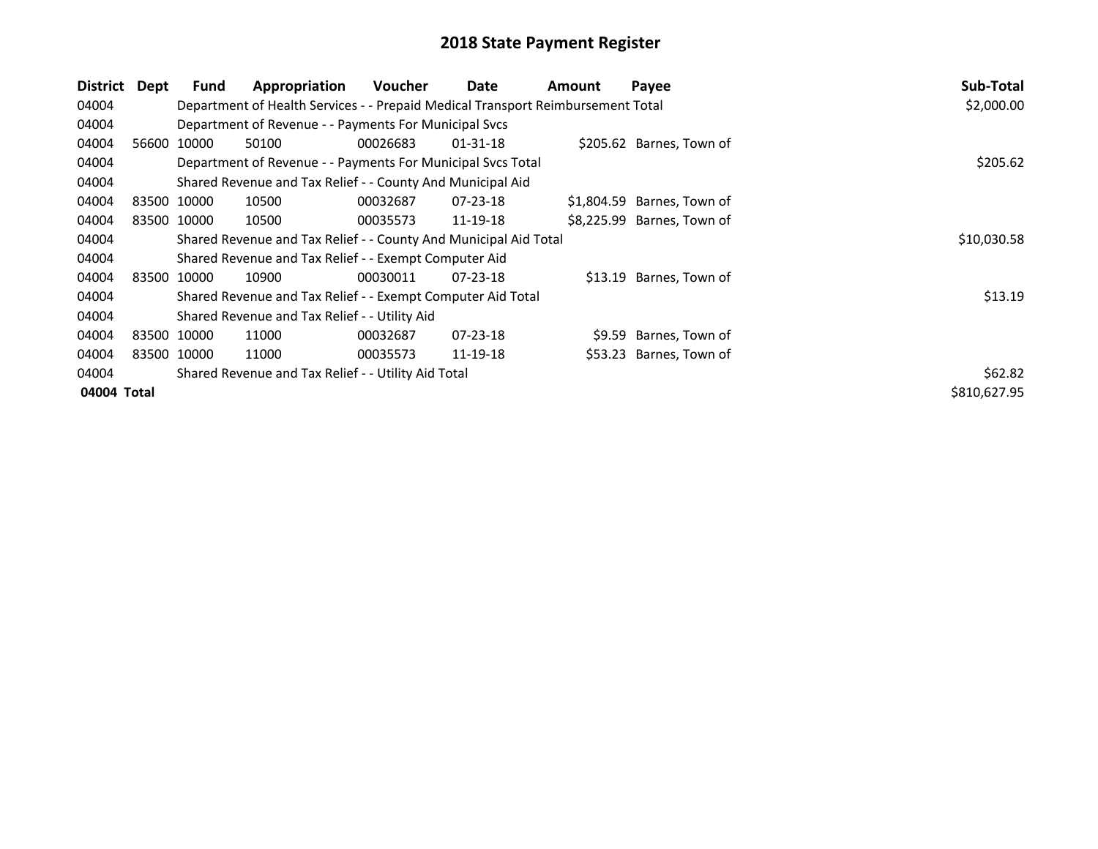| District    | Dept | <b>Fund</b> | Appropriation                                                                   | <b>Voucher</b> | Date           | Amount | Payee                      | Sub-Total    |
|-------------|------|-------------|---------------------------------------------------------------------------------|----------------|----------------|--------|----------------------------|--------------|
| 04004       |      |             | Department of Health Services - - Prepaid Medical Transport Reimbursement Total |                |                |        |                            | \$2,000.00   |
| 04004       |      |             | Department of Revenue - - Payments For Municipal Svcs                           |                |                |        |                            |              |
| 04004       |      | 56600 10000 | 50100                                                                           | 00026683       | $01 - 31 - 18$ |        | \$205.62 Barnes, Town of   |              |
| 04004       |      |             | Department of Revenue - - Payments For Municipal Svcs Total                     | \$205.62       |                |        |                            |              |
| 04004       |      |             | Shared Revenue and Tax Relief - - County And Municipal Aid                      |                |                |        |                            |              |
| 04004       |      | 83500 10000 | 10500                                                                           | 00032687       | $07 - 23 - 18$ |        | \$1,804.59 Barnes, Town of |              |
| 04004       |      | 83500 10000 | 10500                                                                           | 00035573       | 11-19-18       |        | \$8,225.99 Barnes, Town of |              |
| 04004       |      |             | Shared Revenue and Tax Relief - - County And Municipal Aid Total                | \$10,030.58    |                |        |                            |              |
| 04004       |      |             | Shared Revenue and Tax Relief - - Exempt Computer Aid                           |                |                |        |                            |              |
| 04004       |      | 83500 10000 | 10900                                                                           | 00030011       | $07 - 23 - 18$ |        | \$13.19 Barnes, Town of    |              |
| 04004       |      |             | Shared Revenue and Tax Relief - - Exempt Computer Aid Total                     |                |                |        |                            | \$13.19      |
| 04004       |      |             | Shared Revenue and Tax Relief - - Utility Aid                                   |                |                |        |                            |              |
| 04004       |      | 83500 10000 | 11000                                                                           | 00032687       | $07 - 23 - 18$ |        | \$9.59 Barnes, Town of     |              |
| 04004       |      | 83500 10000 | 11000                                                                           | 00035573       | 11-19-18       |        | \$53.23 Barnes, Town of    |              |
| 04004       |      |             | Shared Revenue and Tax Relief - - Utility Aid Total                             | \$62.82        |                |        |                            |              |
| 04004 Total |      |             |                                                                                 |                |                |        |                            | \$810,627.95 |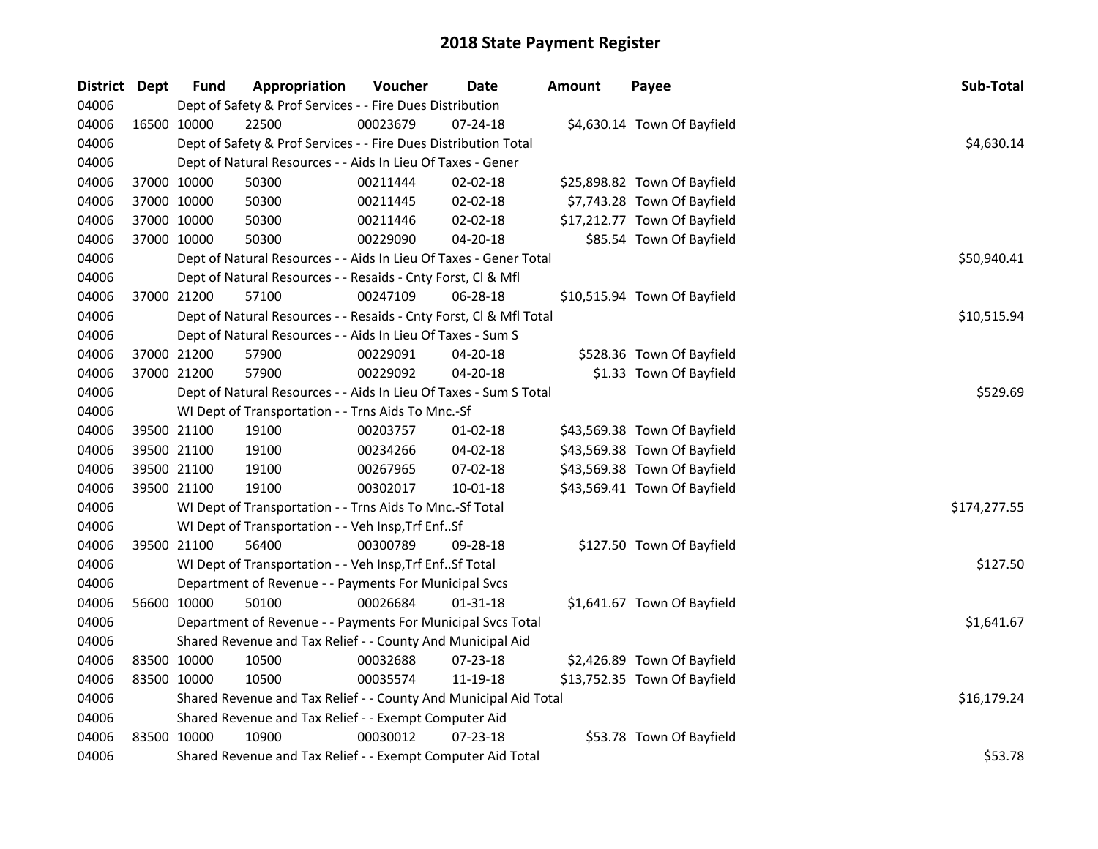| District Dept |             | <b>Fund</b>                                                | Appropriation                                                      | Voucher  | <b>Date</b>    | <b>Amount</b> | Payee                        | Sub-Total    |
|---------------|-------------|------------------------------------------------------------|--------------------------------------------------------------------|----------|----------------|---------------|------------------------------|--------------|
| 04006         |             |                                                            | Dept of Safety & Prof Services - - Fire Dues Distribution          |          |                |               |                              |              |
| 04006         | 16500 10000 |                                                            | 22500                                                              | 00023679 | 07-24-18       |               | \$4,630.14 Town Of Bayfield  |              |
| 04006         |             |                                                            | Dept of Safety & Prof Services - - Fire Dues Distribution Total    |          |                |               |                              | \$4,630.14   |
| 04006         |             |                                                            | Dept of Natural Resources - - Aids In Lieu Of Taxes - Gener        |          |                |               |                              |              |
| 04006         | 37000 10000 |                                                            | 50300                                                              | 00211444 | 02-02-18       |               | \$25,898.82 Town Of Bayfield |              |
| 04006         | 37000 10000 |                                                            | 50300                                                              | 00211445 | 02-02-18       |               | \$7,743.28 Town Of Bayfield  |              |
| 04006         | 37000 10000 |                                                            | 50300                                                              | 00211446 | $02 - 02 - 18$ |               | \$17,212.77 Town Of Bayfield |              |
| 04006         | 37000 10000 |                                                            | 50300                                                              | 00229090 | 04-20-18       |               | \$85.54 Town Of Bayfield     |              |
| 04006         |             |                                                            | Dept of Natural Resources - - Aids In Lieu Of Taxes - Gener Total  |          |                |               |                              | \$50,940.41  |
| 04006         |             |                                                            | Dept of Natural Resources - - Resaids - Cnty Forst, Cl & Mfl       |          |                |               |                              |              |
| 04006         | 37000 21200 |                                                            | 57100                                                              | 00247109 | 06-28-18       |               | \$10,515.94 Town Of Bayfield |              |
| 04006         |             |                                                            | Dept of Natural Resources - - Resaids - Cnty Forst, Cl & Mfl Total |          |                |               |                              | \$10,515.94  |
| 04006         |             |                                                            | Dept of Natural Resources - - Aids In Lieu Of Taxes - Sum S        |          |                |               |                              |              |
| 04006         | 37000 21200 |                                                            | 57900                                                              | 00229091 | 04-20-18       |               | \$528.36 Town Of Bayfield    |              |
| 04006         | 37000 21200 |                                                            | 57900                                                              | 00229092 | 04-20-18       |               | \$1.33 Town Of Bayfield      |              |
| 04006         |             |                                                            | Dept of Natural Resources - - Aids In Lieu Of Taxes - Sum S Total  | \$529.69 |                |               |                              |              |
| 04006         |             |                                                            | WI Dept of Transportation - - Trns Aids To Mnc.-Sf                 |          |                |               |                              |              |
| 04006         | 39500 21100 |                                                            | 19100                                                              | 00203757 | $01-02-18$     |               | \$43,569.38 Town Of Bayfield |              |
| 04006         | 39500 21100 |                                                            | 19100                                                              | 00234266 | $04 - 02 - 18$ |               | \$43,569.38 Town Of Bayfield |              |
| 04006         | 39500 21100 |                                                            | 19100                                                              | 00267965 | 07-02-18       |               | \$43,569.38 Town Of Bayfield |              |
| 04006         | 39500 21100 |                                                            | 19100                                                              | 00302017 | 10-01-18       |               | \$43,569.41 Town Of Bayfield |              |
| 04006         |             |                                                            | WI Dept of Transportation - - Trns Aids To Mnc.-Sf Total           |          |                |               |                              | \$174,277.55 |
| 04006         |             |                                                            | WI Dept of Transportation - - Veh Insp, Trf EnfSf                  |          |                |               |                              |              |
| 04006         | 39500 21100 |                                                            | 56400                                                              | 00300789 | 09-28-18       |               | \$127.50 Town Of Bayfield    |              |
| 04006         |             |                                                            | WI Dept of Transportation - - Veh Insp, Trf EnfSf Total            |          |                |               |                              | \$127.50     |
| 04006         |             |                                                            | Department of Revenue - - Payments For Municipal Svcs              |          |                |               |                              |              |
| 04006         | 56600 10000 |                                                            | 50100                                                              | 00026684 | 01-31-18       |               | \$1,641.67 Town Of Bayfield  |              |
| 04006         |             |                                                            | Department of Revenue - - Payments For Municipal Svcs Total        |          |                |               |                              | \$1,641.67   |
| 04006         |             | Shared Revenue and Tax Relief - - County And Municipal Aid |                                                                    |          |                |               |                              |              |
| 04006         | 83500 10000 |                                                            | 10500                                                              | 00032688 | 07-23-18       |               | \$2,426.89 Town Of Bayfield  |              |
| 04006         | 83500 10000 |                                                            | 10500                                                              | 00035574 | 11-19-18       |               | \$13,752.35 Town Of Bayfield |              |
| 04006         |             |                                                            | Shared Revenue and Tax Relief - - County And Municipal Aid Total   |          |                |               |                              | \$16,179.24  |
| 04006         |             |                                                            | Shared Revenue and Tax Relief - - Exempt Computer Aid              |          |                |               |                              |              |
| 04006         | 83500 10000 |                                                            | 10900                                                              | 00030012 | 07-23-18       |               | \$53.78 Town Of Bayfield     |              |
| 04006         |             |                                                            | Shared Revenue and Tax Relief - - Exempt Computer Aid Total        |          |                |               |                              | \$53.78      |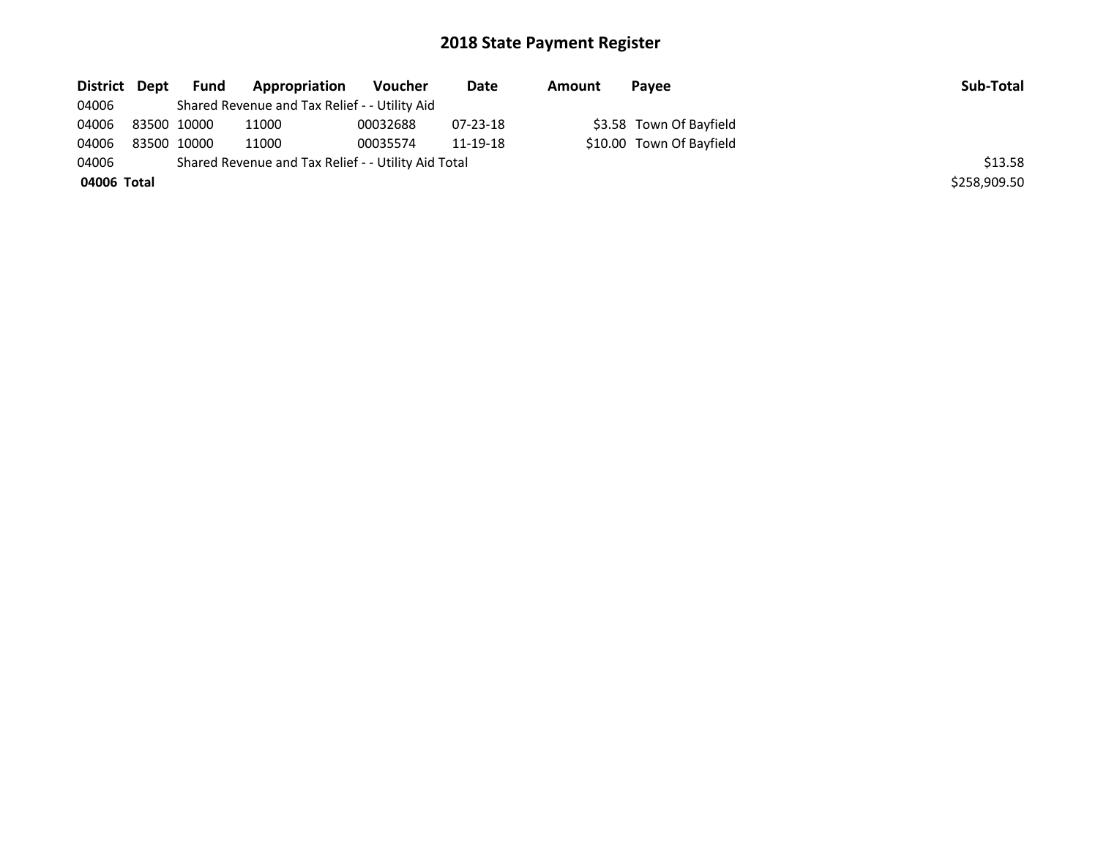| District Dept | <b>Fund</b> | Appropriation                                       | <b>Voucher</b> | Date           | Amount | Payee                    | Sub-Total    |
|---------------|-------------|-----------------------------------------------------|----------------|----------------|--------|--------------------------|--------------|
| 04006         |             | Shared Revenue and Tax Relief - - Utility Aid       |                |                |        |                          |              |
| 04006         | 83500 10000 | 11000                                               | 00032688       | $07 - 23 - 18$ |        | \$3.58 Town Of Bayfield  |              |
| 04006         | 83500 10000 | 11000                                               | 00035574       | 11-19-18       |        | \$10.00 Town Of Bayfield |              |
| 04006         |             | Shared Revenue and Tax Relief - - Utility Aid Total |                |                |        |                          | \$13.58      |
| 04006 Total   |             |                                                     |                |                |        |                          | \$258.909.50 |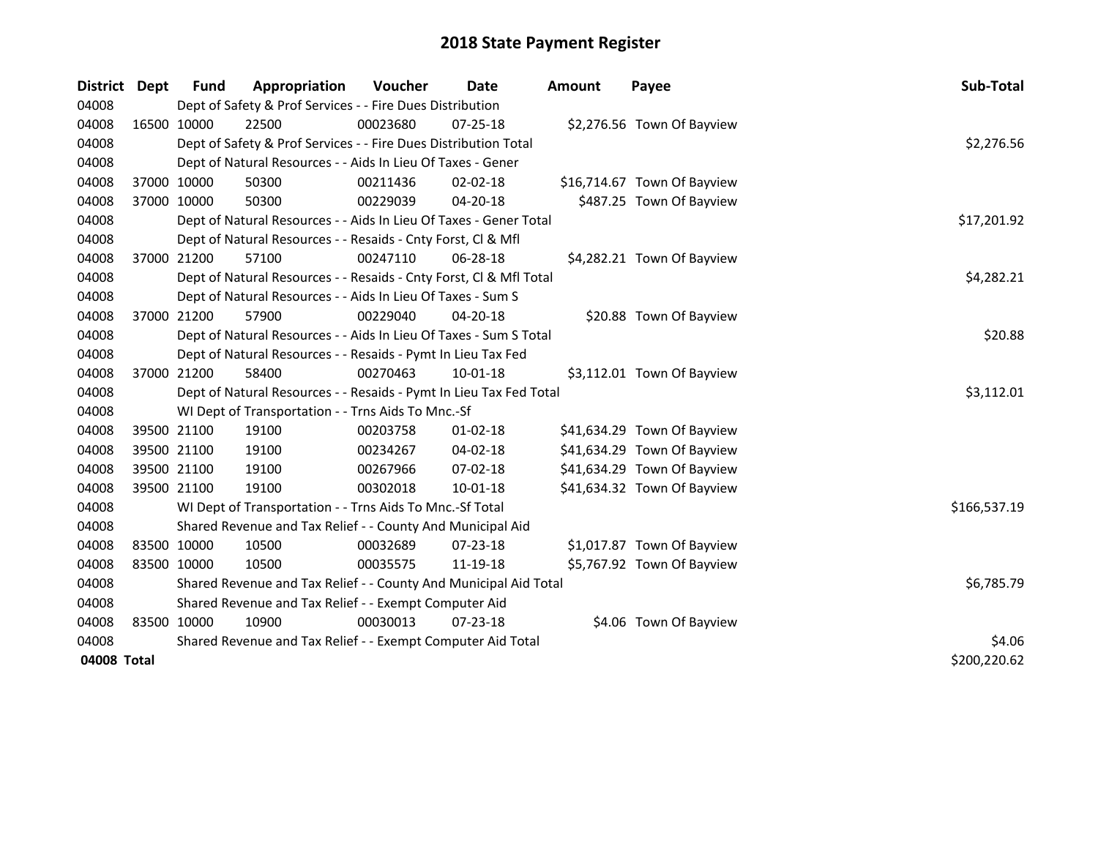| District    | <b>Dept</b> | <b>Fund</b>                                           | Appropriation                                                      | Voucher    | Date           | <b>Amount</b> | Payee                       | Sub-Total    |  |
|-------------|-------------|-------------------------------------------------------|--------------------------------------------------------------------|------------|----------------|---------------|-----------------------------|--------------|--|
| 04008       |             |                                                       | Dept of Safety & Prof Services - - Fire Dues Distribution          |            |                |               |                             |              |  |
| 04008       |             | 16500 10000                                           | 22500                                                              | 00023680   | 07-25-18       |               | \$2,276.56 Town Of Bayview  |              |  |
| 04008       |             |                                                       | Dept of Safety & Prof Services - - Fire Dues Distribution Total    |            |                |               |                             | \$2,276.56   |  |
| 04008       |             |                                                       | Dept of Natural Resources - - Aids In Lieu Of Taxes - Gener        |            |                |               |                             |              |  |
| 04008       | 37000 10000 |                                                       | 50300                                                              | 00211436   | 02-02-18       |               | \$16,714.67 Town Of Bayview |              |  |
| 04008       | 37000 10000 |                                                       | 50300                                                              | 00229039   | 04-20-18       |               | \$487.25 Town Of Bayview    |              |  |
| 04008       |             |                                                       | Dept of Natural Resources - - Aids In Lieu Of Taxes - Gener Total  |            |                |               |                             | \$17,201.92  |  |
| 04008       |             |                                                       | Dept of Natural Resources - - Resaids - Cnty Forst, Cl & Mfl       |            |                |               |                             |              |  |
| 04008       | 37000 21200 |                                                       | 57100                                                              | 00247110   | 06-28-18       |               | \$4,282.21 Town Of Bayview  |              |  |
| 04008       |             |                                                       | Dept of Natural Resources - - Resaids - Cnty Forst, Cl & Mfl Total |            |                |               |                             | \$4,282.21   |  |
| 04008       |             |                                                       | Dept of Natural Resources - - Aids In Lieu Of Taxes - Sum S        |            |                |               |                             |              |  |
| 04008       |             | 37000 21200                                           | 57900                                                              | 00229040   | 04-20-18       |               | \$20.88 Town Of Bayview     |              |  |
| 04008       |             |                                                       | Dept of Natural Resources - - Aids In Lieu Of Taxes - Sum S Total  |            |                |               |                             | \$20.88      |  |
| 04008       |             |                                                       | Dept of Natural Resources - - Resaids - Pymt In Lieu Tax Fed       |            |                |               |                             |              |  |
| 04008       |             | 37000 21200                                           | 58400                                                              | 00270463   | 10-01-18       |               | \$3,112.01 Town Of Bayview  |              |  |
| 04008       |             |                                                       | Dept of Natural Resources - - Resaids - Pymt In Lieu Tax Fed Total |            |                |               |                             | \$3,112.01   |  |
| 04008       |             |                                                       | WI Dept of Transportation - - Trns Aids To Mnc.-Sf                 |            |                |               |                             |              |  |
| 04008       |             | 39500 21100                                           | 19100                                                              | 00203758   | $01 - 02 - 18$ |               | \$41,634.29 Town Of Bayview |              |  |
| 04008       | 39500 21100 |                                                       | 19100                                                              | 00234267   | 04-02-18       |               | \$41,634.29 Town Of Bayview |              |  |
| 04008       | 39500 21100 |                                                       | 19100                                                              | 00267966   | 07-02-18       |               | \$41,634.29 Town Of Bayview |              |  |
| 04008       | 39500 21100 |                                                       | 19100                                                              | 00302018   | 10-01-18       |               | \$41,634.32 Town Of Bayview |              |  |
| 04008       |             |                                                       | WI Dept of Transportation - - Trns Aids To Mnc.-Sf Total           |            |                |               |                             | \$166,537.19 |  |
| 04008       |             |                                                       | Shared Revenue and Tax Relief - - County And Municipal Aid         |            |                |               |                             |              |  |
| 04008       | 83500 10000 |                                                       | 10500                                                              | 00032689   | $07 - 23 - 18$ |               | \$1,017.87 Town Of Bayview  |              |  |
| 04008       | 83500 10000 |                                                       | 10500                                                              | 00035575   | 11-19-18       |               | \$5,767.92 Town Of Bayview  |              |  |
| 04008       |             |                                                       | Shared Revenue and Tax Relief - - County And Municipal Aid Total   | \$6,785.79 |                |               |                             |              |  |
| 04008       |             | Shared Revenue and Tax Relief - - Exempt Computer Aid |                                                                    |            |                |               |                             |              |  |
| 04008       |             | 83500 10000                                           | 10900                                                              | 00030013   | $07 - 23 - 18$ |               | \$4.06 Town Of Bayview      |              |  |
| 04008       |             |                                                       | Shared Revenue and Tax Relief - - Exempt Computer Aid Total        |            |                |               |                             | \$4.06       |  |
| 04008 Total |             |                                                       |                                                                    |            |                |               |                             | \$200,220.62 |  |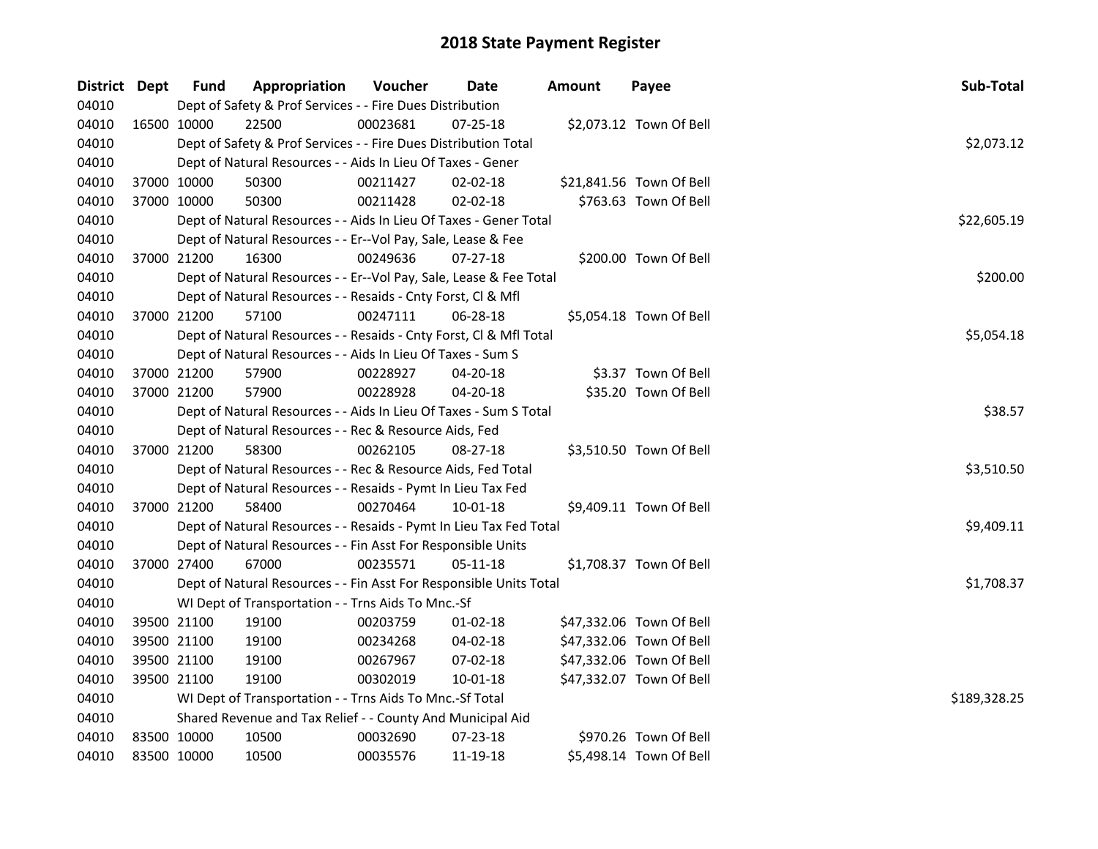| District Dept |             | <b>Fund</b> | Appropriation                                                      | Voucher  | Date           | <b>Amount</b> | Payee                    | Sub-Total    |
|---------------|-------------|-------------|--------------------------------------------------------------------|----------|----------------|---------------|--------------------------|--------------|
| 04010         |             |             | Dept of Safety & Prof Services - - Fire Dues Distribution          |          |                |               |                          |              |
| 04010         |             | 16500 10000 | 22500                                                              | 00023681 | $07 - 25 - 18$ |               | \$2,073.12 Town Of Bell  |              |
| 04010         |             |             | Dept of Safety & Prof Services - - Fire Dues Distribution Total    |          |                |               |                          | \$2,073.12   |
| 04010         |             |             | Dept of Natural Resources - - Aids In Lieu Of Taxes - Gener        |          |                |               |                          |              |
| 04010         |             | 37000 10000 | 50300                                                              | 00211427 | $02 - 02 - 18$ |               | \$21,841.56 Town Of Bell |              |
| 04010         |             | 37000 10000 | 50300                                                              | 00211428 | 02-02-18       |               | \$763.63 Town Of Bell    |              |
| 04010         |             |             | Dept of Natural Resources - - Aids In Lieu Of Taxes - Gener Total  |          |                |               |                          | \$22,605.19  |
| 04010         |             |             | Dept of Natural Resources - - Er--Vol Pay, Sale, Lease & Fee       |          |                |               |                          |              |
| 04010         |             | 37000 21200 | 16300                                                              | 00249636 | 07-27-18       |               | \$200.00 Town Of Bell    |              |
| 04010         |             |             | Dept of Natural Resources - - Er--Vol Pay, Sale, Lease & Fee Total |          |                |               |                          | \$200.00     |
| 04010         |             |             | Dept of Natural Resources - - Resaids - Cnty Forst, Cl & Mfl       |          |                |               |                          |              |
| 04010         |             | 37000 21200 | 57100                                                              | 00247111 | 06-28-18       |               | \$5,054.18 Town Of Bell  |              |
| 04010         |             |             | Dept of Natural Resources - - Resaids - Cnty Forst, CI & Mfl Total |          |                |               |                          | \$5,054.18   |
| 04010         |             |             | Dept of Natural Resources - - Aids In Lieu Of Taxes - Sum S        |          |                |               |                          |              |
| 04010         |             | 37000 21200 | 57900                                                              | 00228927 | 04-20-18       |               | \$3.37 Town Of Bell      |              |
| 04010         |             | 37000 21200 | 57900                                                              | 00228928 | 04-20-18       |               | \$35.20 Town Of Bell     |              |
| 04010         |             |             | Dept of Natural Resources - - Aids In Lieu Of Taxes - Sum S Total  | \$38.57  |                |               |                          |              |
| 04010         |             |             | Dept of Natural Resources - - Rec & Resource Aids, Fed             |          |                |               |                          |              |
| 04010         |             | 37000 21200 | 58300                                                              | 00262105 | 08-27-18       |               | \$3,510.50 Town Of Bell  |              |
| 04010         |             |             | Dept of Natural Resources - - Rec & Resource Aids, Fed Total       |          |                |               |                          | \$3,510.50   |
| 04010         |             |             | Dept of Natural Resources - - Resaids - Pymt In Lieu Tax Fed       |          |                |               |                          |              |
| 04010         |             | 37000 21200 | 58400                                                              | 00270464 | 10-01-18       |               | \$9,409.11 Town Of Bell  |              |
| 04010         |             |             | Dept of Natural Resources - - Resaids - Pymt In Lieu Tax Fed Total |          |                |               |                          | \$9,409.11   |
| 04010         |             |             | Dept of Natural Resources - - Fin Asst For Responsible Units       |          |                |               |                          |              |
| 04010         |             | 37000 27400 | 67000                                                              | 00235571 | 05-11-18       |               | \$1,708.37 Town Of Bell  |              |
| 04010         |             |             | Dept of Natural Resources - - Fin Asst For Responsible Units Total |          |                |               |                          | \$1,708.37   |
| 04010         |             |             | WI Dept of Transportation - - Trns Aids To Mnc.-Sf                 |          |                |               |                          |              |
| 04010         |             | 39500 21100 | 19100                                                              | 00203759 | $01 - 02 - 18$ |               | \$47,332.06 Town Of Bell |              |
| 04010         |             | 39500 21100 | 19100                                                              | 00234268 | 04-02-18       |               | \$47,332.06 Town Of Bell |              |
| 04010         |             | 39500 21100 | 19100                                                              | 00267967 | 07-02-18       |               | \$47,332.06 Town Of Bell |              |
| 04010         |             | 39500 21100 | 19100                                                              | 00302019 | 10-01-18       |               | \$47,332.07 Town Of Bell |              |
| 04010         |             |             | WI Dept of Transportation - - Trns Aids To Mnc.-Sf Total           |          |                |               |                          | \$189,328.25 |
| 04010         |             |             | Shared Revenue and Tax Relief - - County And Municipal Aid         |          |                |               |                          |              |
| 04010         |             | 83500 10000 | 10500                                                              | 00032690 | 07-23-18       |               | \$970.26 Town Of Bell    |              |
| 04010         | 83500 10000 |             | 10500                                                              | 00035576 | 11-19-18       |               | \$5,498.14 Town Of Bell  |              |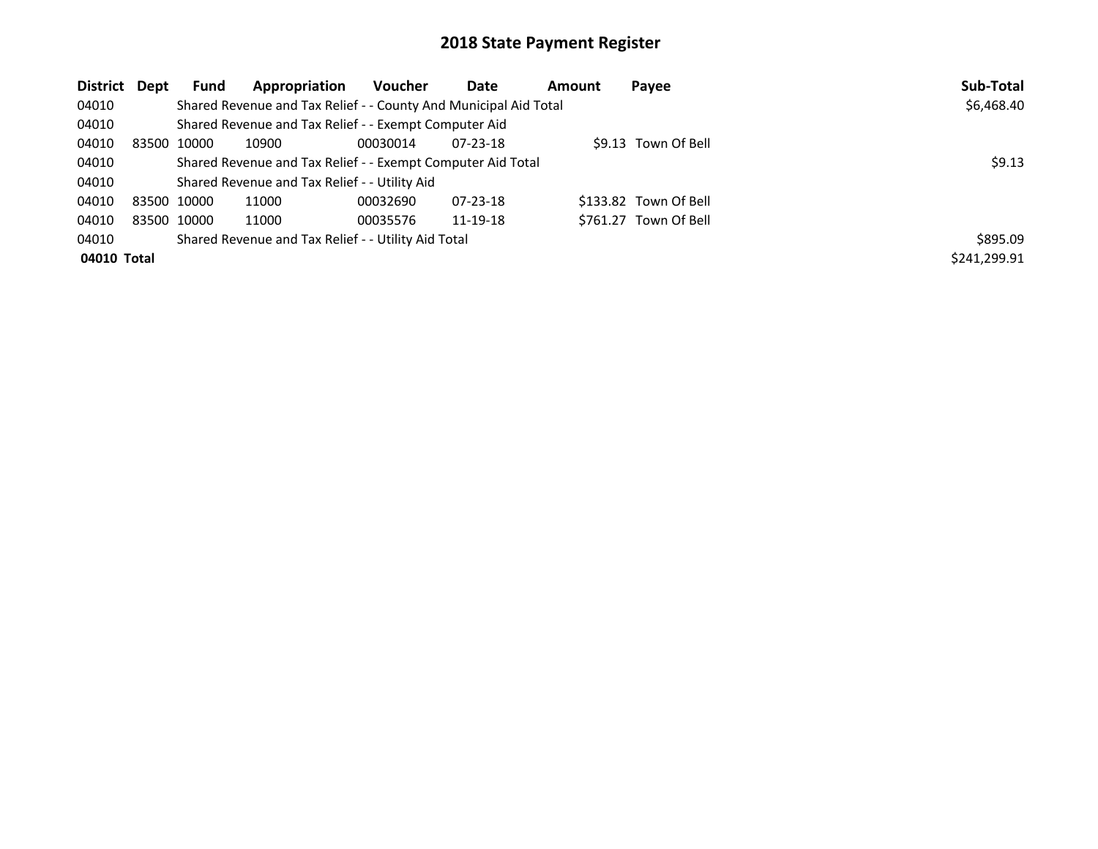| District Dept | <b>Fund</b> | Appropriation                                                    | Voucher  | Date           | Amount | Payee                 | Sub-Total    |
|---------------|-------------|------------------------------------------------------------------|----------|----------------|--------|-----------------------|--------------|
| 04010         |             | Shared Revenue and Tax Relief - - County And Municipal Aid Total |          |                |        |                       | \$6,468.40   |
| 04010         |             | Shared Revenue and Tax Relief - - Exempt Computer Aid            |          |                |        |                       |              |
| 04010         | 83500 10000 | 10900                                                            | 00030014 | $07 - 23 - 18$ |        | \$9.13 Town Of Bell   |              |
| 04010         |             | Shared Revenue and Tax Relief - - Exempt Computer Aid Total      | \$9.13   |                |        |                       |              |
| 04010         |             | Shared Revenue and Tax Relief - - Utility Aid                    |          |                |        |                       |              |
| 04010         | 83500 10000 | 11000                                                            | 00032690 | $07 - 23 - 18$ |        | \$133.82 Town Of Bell |              |
| 04010         | 83500 10000 | 11000                                                            | 00035576 | 11-19-18       |        | \$761.27 Town Of Bell |              |
| 04010         |             | Shared Revenue and Tax Relief - - Utility Aid Total              |          |                |        |                       | \$895.09     |
| 04010 Total   |             |                                                                  |          |                |        |                       | \$241,299.91 |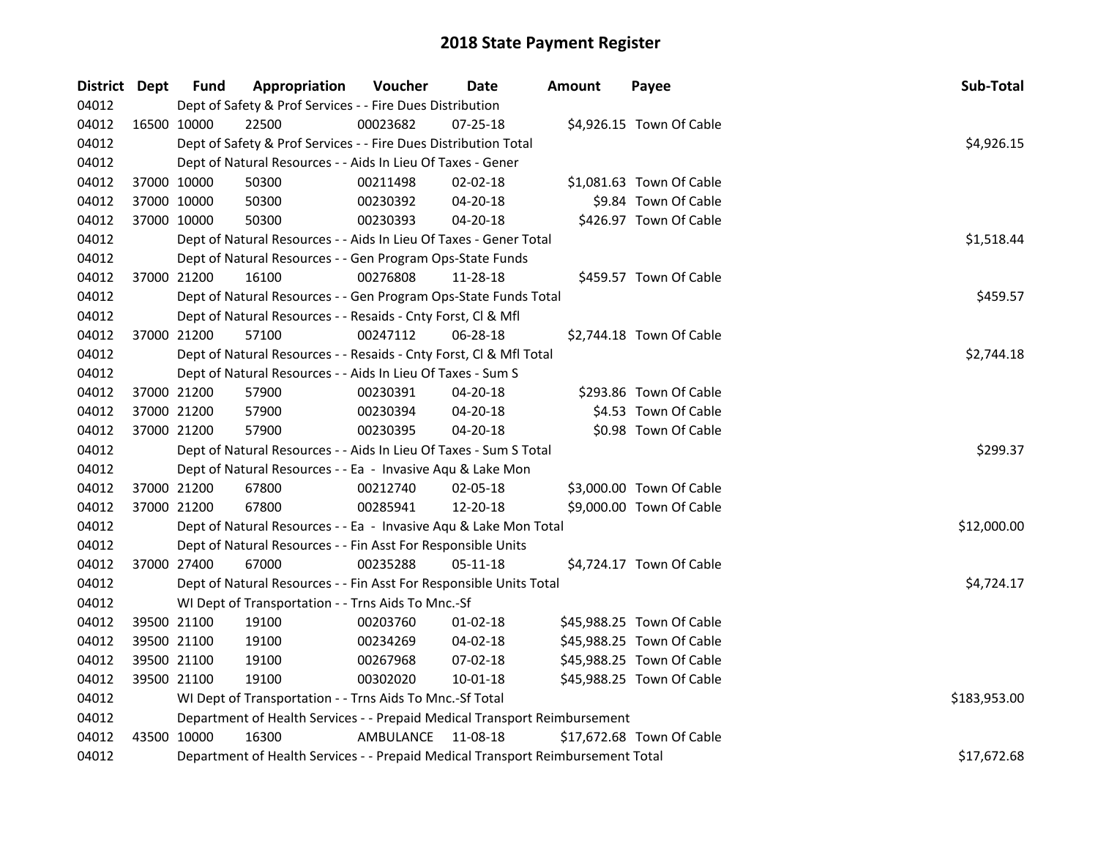| District Dept |             | <b>Fund</b> | Appropriation                                                                   | Voucher   | Date           | <b>Amount</b> | Payee                     | Sub-Total    |  |  |  |
|---------------|-------------|-------------|---------------------------------------------------------------------------------|-----------|----------------|---------------|---------------------------|--------------|--|--|--|
| 04012         |             |             | Dept of Safety & Prof Services - - Fire Dues Distribution                       |           |                |               |                           |              |  |  |  |
| 04012         |             | 16500 10000 | 22500                                                                           | 00023682  | 07-25-18       |               | \$4,926.15 Town Of Cable  |              |  |  |  |
| 04012         |             |             | Dept of Safety & Prof Services - - Fire Dues Distribution Total                 |           |                |               |                           | \$4,926.15   |  |  |  |
| 04012         |             |             | Dept of Natural Resources - - Aids In Lieu Of Taxes - Gener                     |           |                |               |                           |              |  |  |  |
| 04012         |             | 37000 10000 | 50300                                                                           | 00211498  | $02 - 02 - 18$ |               | \$1,081.63 Town Of Cable  |              |  |  |  |
| 04012         | 37000 10000 |             | 50300                                                                           | 00230392  | 04-20-18       |               | \$9.84 Town Of Cable      |              |  |  |  |
| 04012         | 37000 10000 |             | 50300                                                                           | 00230393  | 04-20-18       |               | \$426.97 Town Of Cable    |              |  |  |  |
| 04012         |             |             | Dept of Natural Resources - - Aids In Lieu Of Taxes - Gener Total               |           |                |               |                           | \$1,518.44   |  |  |  |
| 04012         |             |             | Dept of Natural Resources - - Gen Program Ops-State Funds                       |           |                |               |                           |              |  |  |  |
| 04012         |             | 37000 21200 | 16100                                                                           | 00276808  | 11-28-18       |               | \$459.57 Town Of Cable    |              |  |  |  |
| 04012         |             |             | \$459.57<br>Dept of Natural Resources - - Gen Program Ops-State Funds Total     |           |                |               |                           |              |  |  |  |
| 04012         |             |             | Dept of Natural Resources - - Resaids - Cnty Forst, Cl & Mfl                    |           |                |               |                           |              |  |  |  |
| 04012         |             | 37000 21200 | 57100                                                                           | 00247112  | 06-28-18       |               | \$2,744.18 Town Of Cable  |              |  |  |  |
| 04012         |             |             | Dept of Natural Resources - - Resaids - Cnty Forst, Cl & Mfl Total              |           |                |               |                           | \$2,744.18   |  |  |  |
| 04012         |             |             | Dept of Natural Resources - - Aids In Lieu Of Taxes - Sum S                     |           |                |               |                           |              |  |  |  |
| 04012         |             | 37000 21200 | 57900                                                                           | 00230391  | 04-20-18       |               | \$293.86 Town Of Cable    |              |  |  |  |
| 04012         | 37000 21200 |             | 57900                                                                           | 00230394  | $04 - 20 - 18$ |               | \$4.53 Town Of Cable      |              |  |  |  |
| 04012         | 37000 21200 |             | 57900                                                                           | 00230395  | 04-20-18       |               | \$0.98 Town Of Cable      |              |  |  |  |
| 04012         |             |             | Dept of Natural Resources - - Aids In Lieu Of Taxes - Sum S Total               |           |                |               |                           | \$299.37     |  |  |  |
| 04012         |             |             | Dept of Natural Resources - - Ea - Invasive Aqu & Lake Mon                      |           |                |               |                           |              |  |  |  |
| 04012         |             | 37000 21200 | 67800                                                                           | 00212740  | 02-05-18       |               | \$3,000.00 Town Of Cable  |              |  |  |  |
| 04012         |             | 37000 21200 | 67800                                                                           | 00285941  | 12-20-18       |               | \$9,000.00 Town Of Cable  |              |  |  |  |
| 04012         |             |             | Dept of Natural Resources - - Ea - Invasive Aqu & Lake Mon Total                |           |                |               |                           | \$12,000.00  |  |  |  |
| 04012         |             |             | Dept of Natural Resources - - Fin Asst For Responsible Units                    |           |                |               |                           |              |  |  |  |
| 04012         |             | 37000 27400 | 67000                                                                           | 00235288  | 05-11-18       |               | \$4,724.17 Town Of Cable  |              |  |  |  |
| 04012         |             |             | Dept of Natural Resources - - Fin Asst For Responsible Units Total              |           |                |               |                           | \$4,724.17   |  |  |  |
| 04012         |             |             | WI Dept of Transportation - - Trns Aids To Mnc.-Sf                              |           |                |               |                           |              |  |  |  |
| 04012         |             | 39500 21100 | 19100                                                                           | 00203760  | $01 - 02 - 18$ |               | \$45,988.25 Town Of Cable |              |  |  |  |
| 04012         | 39500 21100 |             | 19100                                                                           | 00234269  | 04-02-18       |               | \$45,988.25 Town Of Cable |              |  |  |  |
| 04012         | 39500 21100 |             | 19100                                                                           | 00267968  | 07-02-18       |               | \$45,988.25 Town Of Cable |              |  |  |  |
| 04012         |             | 39500 21100 | 19100                                                                           | 00302020  | 10-01-18       |               | \$45,988.25 Town Of Cable |              |  |  |  |
| 04012         |             |             | WI Dept of Transportation - - Trns Aids To Mnc.-Sf Total                        |           |                |               |                           | \$183,953.00 |  |  |  |
| 04012         |             |             | Department of Health Services - - Prepaid Medical Transport Reimbursement       |           |                |               |                           |              |  |  |  |
| 04012         |             | 43500 10000 | 16300                                                                           | AMBULANCE | 11-08-18       |               | \$17,672.68 Town Of Cable |              |  |  |  |
| 04012         |             |             | Department of Health Services - - Prepaid Medical Transport Reimbursement Total |           |                |               |                           | \$17,672.68  |  |  |  |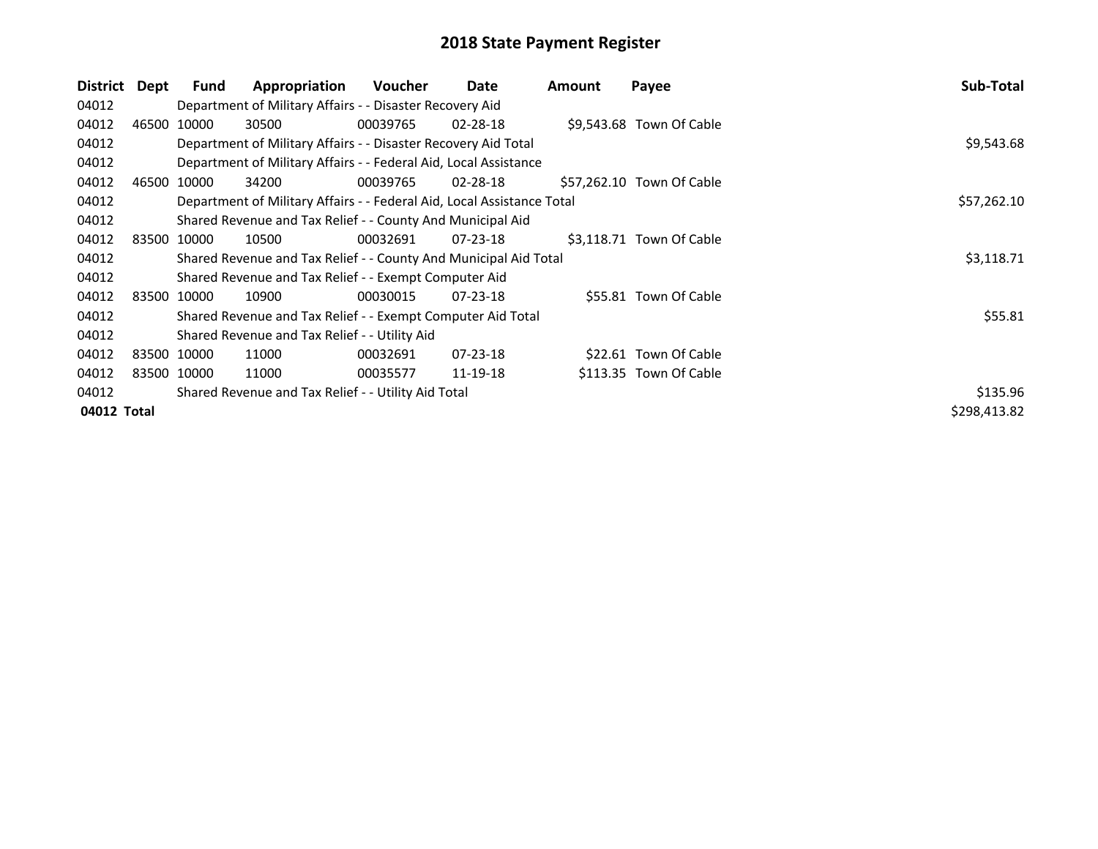| District    | Dept | <b>Fund</b> | Appropriation                                                          | <b>Voucher</b> | Date           | Amount | Payee                     | Sub-Total    |
|-------------|------|-------------|------------------------------------------------------------------------|----------------|----------------|--------|---------------------------|--------------|
| 04012       |      |             | Department of Military Affairs - - Disaster Recovery Aid               |                |                |        |                           |              |
| 04012       |      | 46500 10000 | 30500                                                                  | 00039765       | 02-28-18       |        | \$9,543.68 Town Of Cable  |              |
| 04012       |      |             | Department of Military Affairs - - Disaster Recovery Aid Total         |                |                |        |                           | \$9,543.68   |
| 04012       |      |             | Department of Military Affairs - - Federal Aid, Local Assistance       |                |                |        |                           |              |
| 04012       |      | 46500 10000 | 34200                                                                  | 00039765       | 02-28-18       |        | \$57,262.10 Town Of Cable |              |
| 04012       |      |             | Department of Military Affairs - - Federal Aid, Local Assistance Total |                |                |        |                           | \$57,262.10  |
| 04012       |      |             | Shared Revenue and Tax Relief - - County And Municipal Aid             |                |                |        |                           |              |
| 04012       |      | 83500 10000 | 10500                                                                  | 00032691       | $07 - 23 - 18$ |        | \$3,118.71 Town Of Cable  |              |
| 04012       |      |             | Shared Revenue and Tax Relief - - County And Municipal Aid Total       |                |                |        |                           | \$3,118.71   |
| 04012       |      |             | Shared Revenue and Tax Relief - - Exempt Computer Aid                  |                |                |        |                           |              |
| 04012       |      | 83500 10000 | 10900                                                                  | 00030015       | $07 - 23 - 18$ |        | \$55.81 Town Of Cable     |              |
| 04012       |      |             | Shared Revenue and Tax Relief - - Exempt Computer Aid Total            |                |                |        |                           | \$55.81      |
| 04012       |      |             | Shared Revenue and Tax Relief - - Utility Aid                          |                |                |        |                           |              |
| 04012       |      | 83500 10000 | 11000                                                                  | 00032691       | $07 - 23 - 18$ |        | \$22.61 Town Of Cable     |              |
| 04012       |      | 83500 10000 | 11000                                                                  | 00035577       | 11-19-18       |        | \$113.35 Town Of Cable    |              |
| 04012       |      |             | Shared Revenue and Tax Relief - - Utility Aid Total                    |                |                |        |                           | \$135.96     |
| 04012 Total |      |             |                                                                        |                |                |        |                           | \$298,413.82 |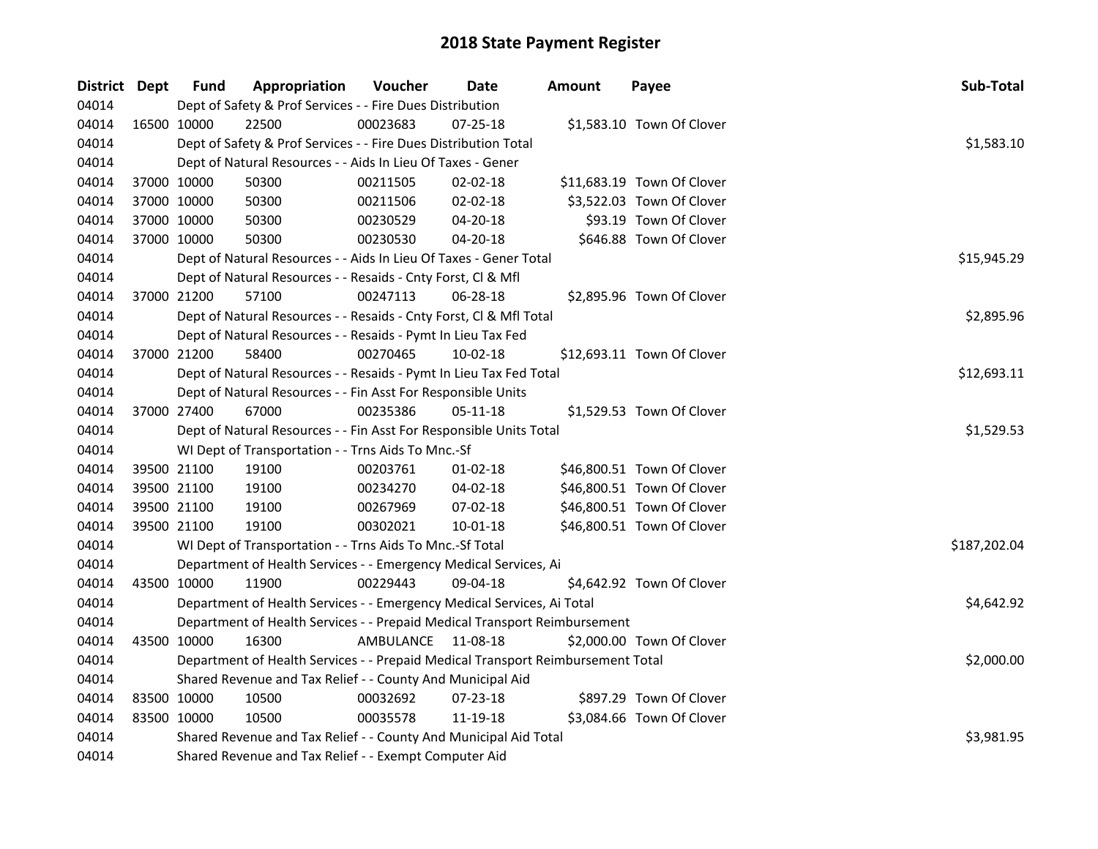| District Dept |             | <b>Fund</b> | Appropriation                                                                   | Voucher   | Date           | <b>Amount</b> | Payee                      | Sub-Total    |
|---------------|-------------|-------------|---------------------------------------------------------------------------------|-----------|----------------|---------------|----------------------------|--------------|
| 04014         |             |             | Dept of Safety & Prof Services - - Fire Dues Distribution                       |           |                |               |                            |              |
| 04014         | 16500 10000 |             | 22500                                                                           | 00023683  | 07-25-18       |               | \$1,583.10 Town Of Clover  |              |
| 04014         |             |             | Dept of Safety & Prof Services - - Fire Dues Distribution Total                 |           |                |               |                            | \$1,583.10   |
| 04014         |             |             | Dept of Natural Resources - - Aids In Lieu Of Taxes - Gener                     |           |                |               |                            |              |
| 04014         |             | 37000 10000 | 50300                                                                           | 00211505  | 02-02-18       |               | \$11,683.19 Town Of Clover |              |
| 04014         |             | 37000 10000 | 50300                                                                           | 00211506  | 02-02-18       |               | \$3,522.03 Town Of Clover  |              |
| 04014         |             | 37000 10000 | 50300                                                                           | 00230529  | 04-20-18       |               | \$93.19 Town Of Clover     |              |
| 04014         | 37000 10000 |             | 50300                                                                           | 00230530  | 04-20-18       |               | \$646.88 Town Of Clover    |              |
| 04014         |             |             | Dept of Natural Resources - - Aids In Lieu Of Taxes - Gener Total               |           |                |               |                            | \$15,945.29  |
| 04014         |             |             | Dept of Natural Resources - - Resaids - Cnty Forst, Cl & Mfl                    |           |                |               |                            |              |
| 04014         |             | 37000 21200 | 57100                                                                           | 00247113  | 06-28-18       |               | \$2,895.96 Town Of Clover  |              |
| 04014         |             |             | Dept of Natural Resources - - Resaids - Cnty Forst, Cl & Mfl Total              |           |                |               |                            | \$2,895.96   |
| 04014         |             |             | Dept of Natural Resources - - Resaids - Pymt In Lieu Tax Fed                    |           |                |               |                            |              |
| 04014         |             | 37000 21200 | 58400                                                                           | 00270465  | 10-02-18       |               | \$12,693.11 Town Of Clover |              |
| 04014         |             |             | Dept of Natural Resources - - Resaids - Pymt In Lieu Tax Fed Total              |           |                |               |                            | \$12,693.11  |
| 04014         |             |             | Dept of Natural Resources - - Fin Asst For Responsible Units                    |           |                |               |                            |              |
| 04014         |             | 37000 27400 | 67000                                                                           | 00235386  | 05-11-18       |               | \$1,529.53 Town Of Clover  |              |
| 04014         |             |             | Dept of Natural Resources - - Fin Asst For Responsible Units Total              |           |                |               |                            | \$1,529.53   |
| 04014         |             |             | WI Dept of Transportation - - Trns Aids To Mnc.-Sf                              |           |                |               |                            |              |
| 04014         |             | 39500 21100 | 19100                                                                           | 00203761  | $01 - 02 - 18$ |               | \$46,800.51 Town Of Clover |              |
| 04014         |             | 39500 21100 | 19100                                                                           | 00234270  | 04-02-18       |               | \$46,800.51 Town Of Clover |              |
| 04014         |             | 39500 21100 | 19100                                                                           | 00267969  | 07-02-18       |               | \$46,800.51 Town Of Clover |              |
| 04014         |             | 39500 21100 | 19100                                                                           | 00302021  | 10-01-18       |               | \$46,800.51 Town Of Clover |              |
| 04014         |             |             | WI Dept of Transportation - - Trns Aids To Mnc.-Sf Total                        |           |                |               |                            | \$187,202.04 |
| 04014         |             |             | Department of Health Services - - Emergency Medical Services, Ai                |           |                |               |                            |              |
| 04014         | 43500 10000 |             | 11900                                                                           | 00229443  | 09-04-18       |               | \$4,642.92 Town Of Clover  |              |
| 04014         |             |             | Department of Health Services - - Emergency Medical Services, Ai Total          |           |                |               |                            | \$4,642.92   |
| 04014         |             |             | Department of Health Services - - Prepaid Medical Transport Reimbursement       |           |                |               |                            |              |
| 04014         | 43500 10000 |             | 16300                                                                           | AMBULANCE | 11-08-18       |               | \$2,000.00 Town Of Clover  |              |
| 04014         |             |             | Department of Health Services - - Prepaid Medical Transport Reimbursement Total |           |                |               |                            | \$2,000.00   |
| 04014         |             |             | Shared Revenue and Tax Relief - - County And Municipal Aid                      |           |                |               |                            |              |
| 04014         |             | 83500 10000 | 10500                                                                           | 00032692  | 07-23-18       |               | \$897.29 Town Of Clover    |              |
| 04014         | 83500 10000 |             | 10500                                                                           | 00035578  | 11-19-18       |               | \$3,084.66 Town Of Clover  |              |
| 04014         |             |             | Shared Revenue and Tax Relief - - County And Municipal Aid Total                |           |                |               |                            | \$3,981.95   |
| 04014         |             |             | Shared Revenue and Tax Relief - - Exempt Computer Aid                           |           |                |               |                            |              |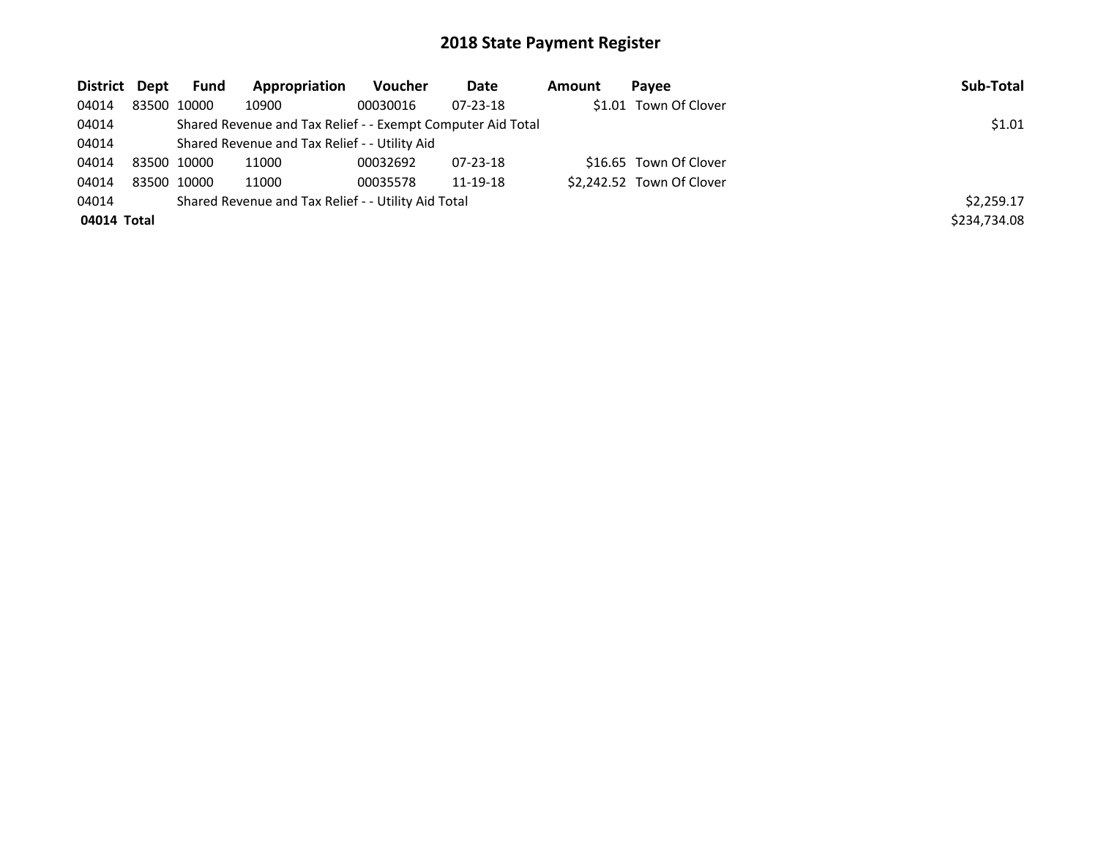| District Dept | Fund        | Appropriation                                               | Voucher  | Date           | Amount | Pavee                     | Sub-Total    |
|---------------|-------------|-------------------------------------------------------------|----------|----------------|--------|---------------------------|--------------|
| 04014         | 83500 10000 | 10900                                                       | 00030016 | $07 - 23 - 18$ |        | \$1.01 Town Of Clover     |              |
| 04014         |             | Shared Revenue and Tax Relief - - Exempt Computer Aid Total |          |                |        |                           | \$1.01       |
| 04014         |             | Shared Revenue and Tax Relief - - Utility Aid               |          |                |        |                           |              |
| 04014         | 83500 10000 | 11000                                                       | 00032692 | 07-23-18       |        | \$16.65 Town Of Clover    |              |
| 04014         | 83500 10000 | 11000                                                       | 00035578 | 11-19-18       |        | \$2,242.52 Town Of Clover |              |
| 04014         |             | Shared Revenue and Tax Relief - - Utility Aid Total         |          |                |        |                           | \$2,259.17   |
| 04014 Total   |             |                                                             |          |                |        |                           | \$234,734.08 |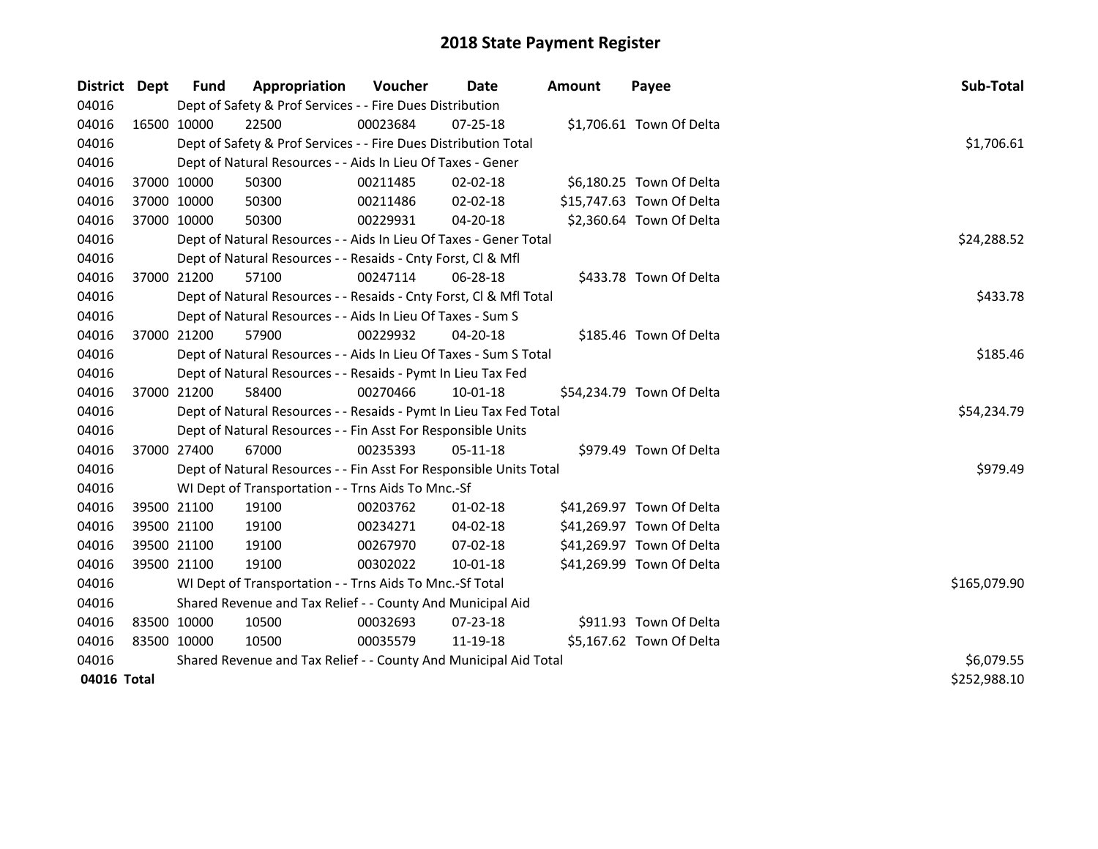| District Dept |             | <b>Fund</b> | Appropriation                                                      | Voucher  | <b>Date</b>    | <b>Amount</b> | Payee                     | Sub-Total    |
|---------------|-------------|-------------|--------------------------------------------------------------------|----------|----------------|---------------|---------------------------|--------------|
| 04016         |             |             | Dept of Safety & Prof Services - - Fire Dues Distribution          |          |                |               |                           |              |
| 04016         | 16500 10000 |             | 22500                                                              | 00023684 | 07-25-18       |               | \$1,706.61 Town Of Delta  |              |
| 04016         |             |             | Dept of Safety & Prof Services - - Fire Dues Distribution Total    |          |                |               |                           | \$1,706.61   |
| 04016         |             |             | Dept of Natural Resources - - Aids In Lieu Of Taxes - Gener        |          |                |               |                           |              |
| 04016         |             | 37000 10000 | 50300                                                              | 00211485 | $02 - 02 - 18$ |               | \$6,180.25 Town Of Delta  |              |
| 04016         | 37000 10000 |             | 50300                                                              | 00211486 | $02 - 02 - 18$ |               | \$15,747.63 Town Of Delta |              |
| 04016         | 37000 10000 |             | 50300                                                              | 00229931 | 04-20-18       |               | \$2,360.64 Town Of Delta  |              |
| 04016         |             |             | Dept of Natural Resources - - Aids In Lieu Of Taxes - Gener Total  |          |                |               |                           | \$24,288.52  |
| 04016         |             |             | Dept of Natural Resources - - Resaids - Cnty Forst, Cl & Mfl       |          |                |               |                           |              |
| 04016         |             | 37000 21200 | 57100                                                              | 00247114 | 06-28-18       |               | \$433.78 Town Of Delta    |              |
| 04016         |             |             | Dept of Natural Resources - - Resaids - Cnty Forst, Cl & Mfl Total |          |                |               |                           | \$433.78     |
| 04016         |             |             | Dept of Natural Resources - - Aids In Lieu Of Taxes - Sum S        |          |                |               |                           |              |
| 04016         |             | 37000 21200 | 57900                                                              | 00229932 | 04-20-18       |               | \$185.46 Town Of Delta    |              |
| 04016         |             |             | Dept of Natural Resources - - Aids In Lieu Of Taxes - Sum S Total  |          |                |               |                           | \$185.46     |
| 04016         |             |             | Dept of Natural Resources - - Resaids - Pymt In Lieu Tax Fed       |          |                |               |                           |              |
| 04016         |             | 37000 21200 | 58400                                                              | 00270466 | 10-01-18       |               | \$54,234.79 Town Of Delta |              |
| 04016         |             |             | Dept of Natural Resources - - Resaids - Pymt In Lieu Tax Fed Total |          |                |               |                           | \$54,234.79  |
| 04016         |             |             | Dept of Natural Resources - - Fin Asst For Responsible Units       |          |                |               |                           |              |
| 04016         |             | 37000 27400 | 67000                                                              | 00235393 | 05-11-18       |               | \$979.49 Town Of Delta    |              |
| 04016         |             |             | Dept of Natural Resources - - Fin Asst For Responsible Units Total |          |                |               |                           | \$979.49     |
| 04016         |             |             | WI Dept of Transportation - - Trns Aids To Mnc.-Sf                 |          |                |               |                           |              |
| 04016         |             | 39500 21100 | 19100                                                              | 00203762 | $01 - 02 - 18$ |               | \$41,269.97 Town Of Delta |              |
| 04016         |             | 39500 21100 | 19100                                                              | 00234271 | 04-02-18       |               | \$41,269.97 Town Of Delta |              |
| 04016         |             | 39500 21100 | 19100                                                              | 00267970 | 07-02-18       |               | \$41,269.97 Town Of Delta |              |
| 04016         |             | 39500 21100 | 19100                                                              | 00302022 | 10-01-18       |               | \$41,269.99 Town Of Delta |              |
| 04016         |             |             | WI Dept of Transportation - - Trns Aids To Mnc.-Sf Total           |          |                |               |                           | \$165,079.90 |
| 04016         |             |             | Shared Revenue and Tax Relief - - County And Municipal Aid         |          |                |               |                           |              |
| 04016         | 83500 10000 |             | 10500                                                              | 00032693 | $07 - 23 - 18$ |               | \$911.93 Town Of Delta    |              |
| 04016         | 83500 10000 |             | 10500                                                              | 00035579 | 11-19-18       |               | \$5,167.62 Town Of Delta  |              |
| 04016         |             |             | Shared Revenue and Tax Relief - - County And Municipal Aid Total   |          |                |               |                           | \$6,079.55   |
| 04016 Total   |             |             |                                                                    |          |                |               |                           | \$252,988.10 |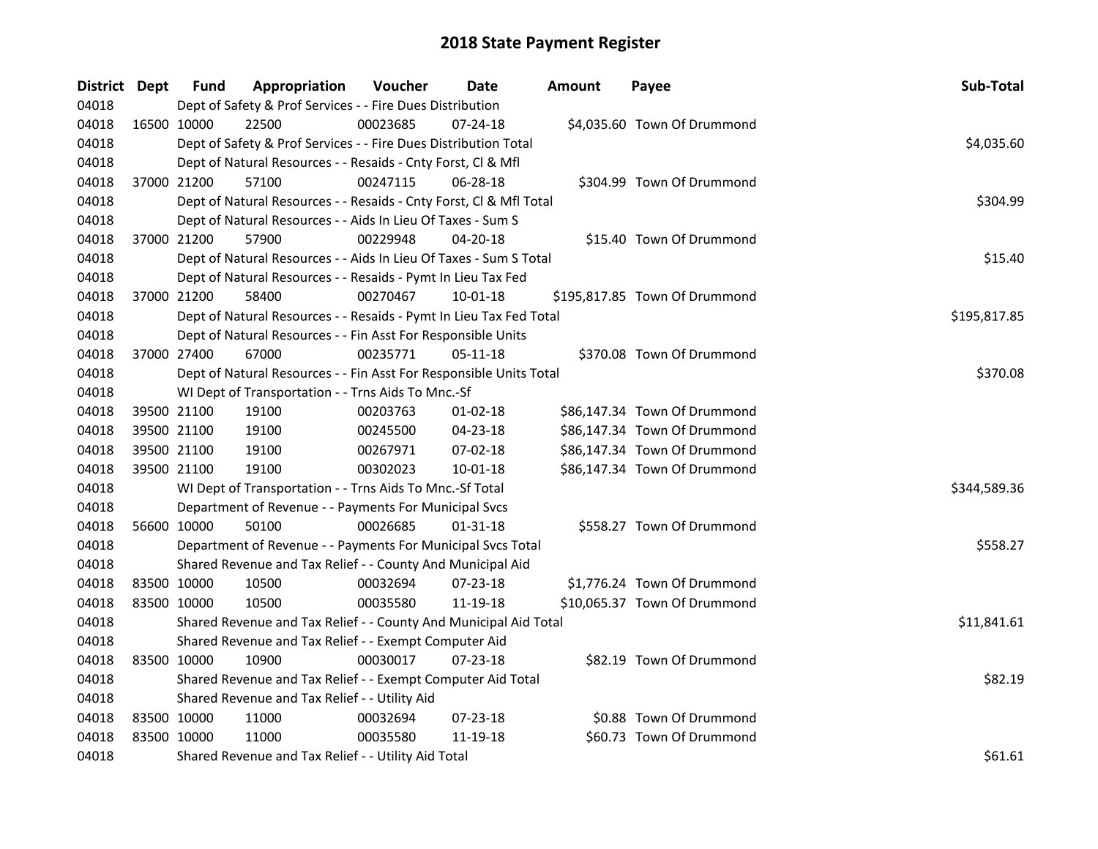| District Dept |             | Fund        | Appropriation                                                      | Voucher  | Date           | Amount | Payee                         | Sub-Total    |
|---------------|-------------|-------------|--------------------------------------------------------------------|----------|----------------|--------|-------------------------------|--------------|
| 04018         |             |             | Dept of Safety & Prof Services - - Fire Dues Distribution          |          |                |        |                               |              |
| 04018         | 16500 10000 |             | 22500                                                              | 00023685 | 07-24-18       |        | \$4,035.60 Town Of Drummond   |              |
| 04018         |             |             | Dept of Safety & Prof Services - - Fire Dues Distribution Total    |          |                |        |                               | \$4,035.60   |
| 04018         |             |             | Dept of Natural Resources - - Resaids - Cnty Forst, Cl & Mfl       |          |                |        |                               |              |
| 04018         |             | 37000 21200 | 57100                                                              | 00247115 | 06-28-18       |        | \$304.99 Town Of Drummond     |              |
| 04018         |             |             | Dept of Natural Resources - - Resaids - Cnty Forst, Cl & Mfl Total |          |                |        |                               | \$304.99     |
| 04018         |             |             | Dept of Natural Resources - - Aids In Lieu Of Taxes - Sum S        |          |                |        |                               |              |
| 04018         |             | 37000 21200 | 57900                                                              | 00229948 | 04-20-18       |        | \$15.40 Town Of Drummond      |              |
| 04018         |             |             | Dept of Natural Resources - - Aids In Lieu Of Taxes - Sum S Total  |          |                |        |                               | \$15.40      |
| 04018         |             |             | Dept of Natural Resources - - Resaids - Pymt In Lieu Tax Fed       |          |                |        |                               |              |
| 04018         |             | 37000 21200 | 58400                                                              | 00270467 | 10-01-18       |        | \$195,817.85 Town Of Drummond |              |
| 04018         |             |             | Dept of Natural Resources - - Resaids - Pymt In Lieu Tax Fed Total |          |                |        |                               | \$195,817.85 |
| 04018         |             |             | Dept of Natural Resources - - Fin Asst For Responsible Units       |          |                |        |                               |              |
| 04018         |             | 37000 27400 | 67000                                                              | 00235771 | 05-11-18       |        | \$370.08 Town Of Drummond     |              |
| 04018         |             |             | Dept of Natural Resources - - Fin Asst For Responsible Units Total |          |                |        |                               | \$370.08     |
| 04018         |             |             | WI Dept of Transportation - - Trns Aids To Mnc.-Sf                 |          |                |        |                               |              |
| 04018         |             | 39500 21100 | 19100                                                              | 00203763 | $01-02-18$     |        | \$86,147.34 Town Of Drummond  |              |
| 04018         | 39500 21100 |             | 19100                                                              | 00245500 | 04-23-18       |        | \$86,147.34 Town Of Drummond  |              |
| 04018         | 39500 21100 |             | 19100                                                              | 00267971 | 07-02-18       |        | \$86,147.34 Town Of Drummond  |              |
| 04018         |             | 39500 21100 | 19100                                                              | 00302023 | $10-01-18$     |        | \$86,147.34 Town Of Drummond  |              |
| 04018         |             |             | WI Dept of Transportation - - Trns Aids To Mnc.-Sf Total           |          |                |        |                               | \$344,589.36 |
| 04018         |             |             | Department of Revenue - - Payments For Municipal Svcs              |          |                |        |                               |              |
| 04018         | 56600 10000 |             | 50100                                                              | 00026685 | $01 - 31 - 18$ |        | \$558.27 Town Of Drummond     |              |
| 04018         |             |             | Department of Revenue - - Payments For Municipal Svcs Total        |          |                |        |                               | \$558.27     |
| 04018         |             |             | Shared Revenue and Tax Relief - - County And Municipal Aid         |          |                |        |                               |              |
| 04018         | 83500 10000 |             | 10500                                                              | 00032694 | 07-23-18       |        | \$1,776.24 Town Of Drummond   |              |
| 04018         | 83500 10000 |             | 10500                                                              | 00035580 | 11-19-18       |        | \$10,065.37 Town Of Drummond  |              |
| 04018         |             |             | Shared Revenue and Tax Relief - - County And Municipal Aid Total   |          |                |        |                               | \$11,841.61  |
| 04018         |             |             | Shared Revenue and Tax Relief - - Exempt Computer Aid              |          |                |        |                               |              |
| 04018         | 83500 10000 |             | 10900                                                              | 00030017 | $07 - 23 - 18$ |        | \$82.19 Town Of Drummond      |              |
| 04018         |             |             | Shared Revenue and Tax Relief - - Exempt Computer Aid Total        |          |                |        |                               | \$82.19      |
| 04018         |             |             | Shared Revenue and Tax Relief - - Utility Aid                      |          |                |        |                               |              |
| 04018         | 83500 10000 |             | 11000                                                              | 00032694 | $07 - 23 - 18$ |        | \$0.88 Town Of Drummond       |              |
| 04018         | 83500 10000 |             | 11000                                                              | 00035580 | 11-19-18       |        | \$60.73 Town Of Drummond      |              |
| 04018         |             |             | Shared Revenue and Tax Relief - - Utility Aid Total                |          |                |        |                               | \$61.61      |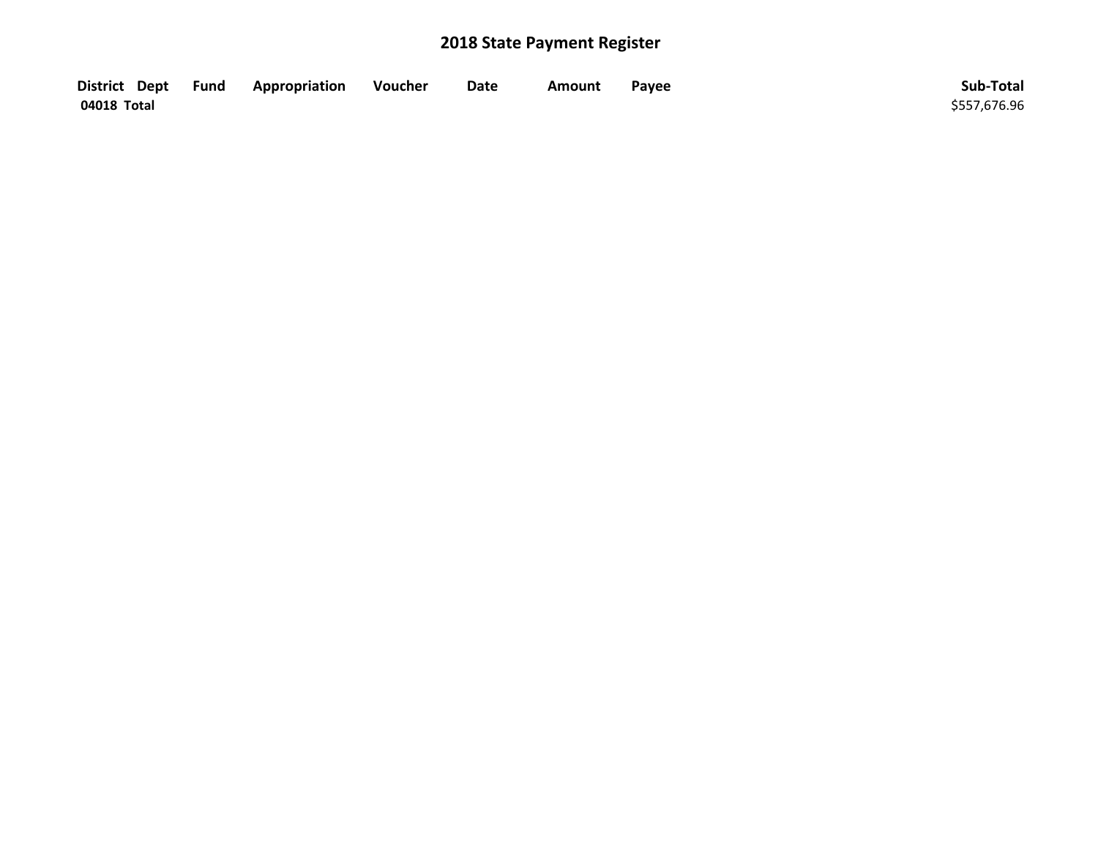| District Dept Fund | Appropriation | Voucher | Date | <b>Amount</b> | Payee | Sub-Total    |
|--------------------|---------------|---------|------|---------------|-------|--------------|
| 04018 Total        |               |         |      |               |       | \$557,676.96 |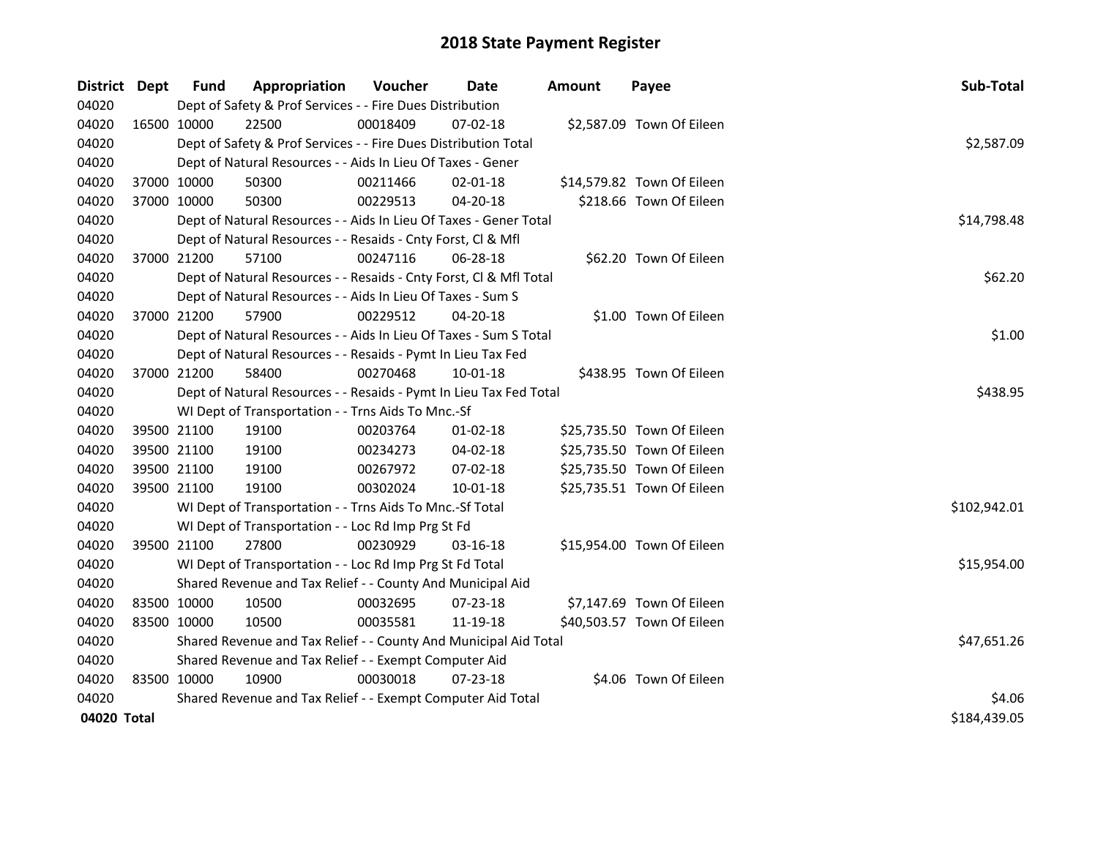| District Dept |             | <b>Fund</b> | Appropriation                                                      | Voucher     | Date           | <b>Amount</b> | Payee                      | Sub-Total    |
|---------------|-------------|-------------|--------------------------------------------------------------------|-------------|----------------|---------------|----------------------------|--------------|
| 04020         |             |             | Dept of Safety & Prof Services - - Fire Dues Distribution          |             |                |               |                            |              |
| 04020         |             | 16500 10000 | 22500                                                              | 00018409    | $07 - 02 - 18$ |               | \$2,587.09 Town Of Eileen  |              |
| 04020         |             |             | Dept of Safety & Prof Services - - Fire Dues Distribution Total    |             |                |               |                            | \$2,587.09   |
| 04020         |             |             | Dept of Natural Resources - - Aids In Lieu Of Taxes - Gener        |             |                |               |                            |              |
| 04020         |             | 37000 10000 | 50300                                                              | 00211466    | $02 - 01 - 18$ |               | \$14,579.82 Town Of Eileen |              |
| 04020         | 37000 10000 |             | 50300                                                              | 00229513    | $04 - 20 - 18$ |               | \$218.66 Town Of Eileen    |              |
| 04020         |             |             | Dept of Natural Resources - - Aids In Lieu Of Taxes - Gener Total  | \$14,798.48 |                |               |                            |              |
| 04020         |             |             | Dept of Natural Resources - - Resaids - Cnty Forst, Cl & Mfl       |             |                |               |                            |              |
| 04020         | 37000 21200 |             | 57100                                                              | 00247116    | 06-28-18       |               | \$62.20 Town Of Eileen     |              |
| 04020         |             |             | Dept of Natural Resources - - Resaids - Cnty Forst, Cl & Mfl Total |             |                |               |                            | \$62.20      |
| 04020         |             |             | Dept of Natural Resources - - Aids In Lieu Of Taxes - Sum S        |             |                |               |                            |              |
| 04020         |             | 37000 21200 | 57900                                                              | 00229512    | 04-20-18       |               | \$1.00 Town Of Eileen      |              |
| 04020         |             |             | Dept of Natural Resources - - Aids In Lieu Of Taxes - Sum S Total  |             |                |               |                            | \$1.00       |
| 04020         |             |             | Dept of Natural Resources - - Resaids - Pymt In Lieu Tax Fed       |             |                |               |                            |              |
| 04020         |             | 37000 21200 | 58400                                                              | 00270468    | 10-01-18       |               | \$438.95 Town Of Eileen    |              |
| 04020         |             |             | Dept of Natural Resources - - Resaids - Pymt In Lieu Tax Fed Total |             |                |               |                            | \$438.95     |
| 04020         |             |             | WI Dept of Transportation - - Trns Aids To Mnc.-Sf                 |             |                |               |                            |              |
| 04020         |             | 39500 21100 | 19100                                                              | 00203764    | $01 - 02 - 18$ |               | \$25,735.50 Town Of Eileen |              |
| 04020         |             | 39500 21100 | 19100                                                              | 00234273    | 04-02-18       |               | \$25,735.50 Town Of Eileen |              |
| 04020         |             | 39500 21100 | 19100                                                              | 00267972    | 07-02-18       |               | \$25,735.50 Town Of Eileen |              |
| 04020         | 39500 21100 |             | 19100                                                              | 00302024    | $10 - 01 - 18$ |               | \$25,735.51 Town Of Eileen |              |
| 04020         |             |             | WI Dept of Transportation - - Trns Aids To Mnc.-Sf Total           |             |                |               |                            | \$102,942.01 |
| 04020         |             |             | WI Dept of Transportation - - Loc Rd Imp Prg St Fd                 |             |                |               |                            |              |
| 04020         |             | 39500 21100 | 27800                                                              | 00230929    | $03 - 16 - 18$ |               | \$15,954.00 Town Of Eileen |              |
| 04020         |             |             | WI Dept of Transportation - - Loc Rd Imp Prg St Fd Total           |             |                |               |                            | \$15,954.00  |
| 04020         |             |             | Shared Revenue and Tax Relief - - County And Municipal Aid         |             |                |               |                            |              |
| 04020         | 83500 10000 |             | 10500                                                              | 00032695    | 07-23-18       |               | \$7,147.69 Town Of Eileen  |              |
| 04020         | 83500 10000 |             | 10500                                                              | 00035581    | 11-19-18       |               | \$40,503.57 Town Of Eileen |              |
| 04020         |             |             | Shared Revenue and Tax Relief - - County And Municipal Aid Total   |             |                |               |                            | \$47,651.26  |
| 04020         |             |             | Shared Revenue and Tax Relief - - Exempt Computer Aid              |             |                |               |                            |              |
| 04020         | 83500 10000 |             | 10900                                                              | 00030018    | 07-23-18       |               | \$4.06 Town Of Eileen      |              |
| 04020         |             |             | Shared Revenue and Tax Relief - - Exempt Computer Aid Total        |             |                |               |                            | \$4.06       |
| 04020 Total   |             |             |                                                                    |             |                |               |                            | \$184,439.05 |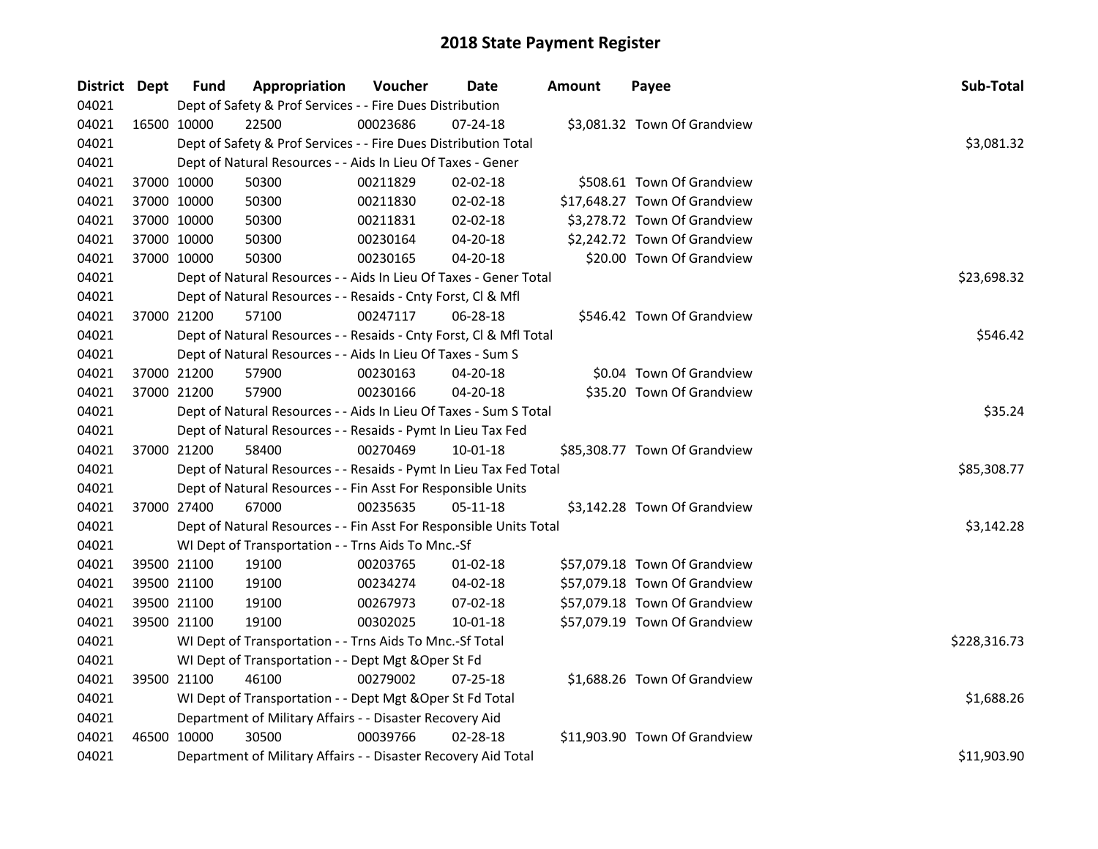| District Dept | <b>Fund</b>                                         | Appropriation                                                      | Voucher  | Date           | Amount | Payee                         | Sub-Total    |
|---------------|-----------------------------------------------------|--------------------------------------------------------------------|----------|----------------|--------|-------------------------------|--------------|
| 04021         |                                                     | Dept of Safety & Prof Services - - Fire Dues Distribution          |          |                |        |                               |              |
| 04021         | 16500 10000                                         | 22500                                                              | 00023686 | $07 - 24 - 18$ |        | \$3,081.32 Town Of Grandview  |              |
| 04021         |                                                     | Dept of Safety & Prof Services - - Fire Dues Distribution Total    |          |                |        |                               | \$3,081.32   |
| 04021         |                                                     | Dept of Natural Resources - - Aids In Lieu Of Taxes - Gener        |          |                |        |                               |              |
| 04021         | 37000 10000                                         | 50300                                                              | 00211829 | 02-02-18       |        | \$508.61 Town Of Grandview    |              |
| 04021         | 37000 10000                                         | 50300                                                              | 00211830 | 02-02-18       |        | \$17,648.27 Town Of Grandview |              |
| 04021         | 37000 10000                                         | 50300                                                              | 00211831 | 02-02-18       |        | \$3,278.72 Town Of Grandview  |              |
| 04021         | 37000 10000                                         | 50300                                                              | 00230164 | 04-20-18       |        | \$2,242.72 Town Of Grandview  |              |
| 04021         | 37000 10000                                         | 50300                                                              | 00230165 | 04-20-18       |        | \$20.00 Town Of Grandview     |              |
| 04021         |                                                     | Dept of Natural Resources - - Aids In Lieu Of Taxes - Gener Total  |          |                |        |                               | \$23,698.32  |
| 04021         |                                                     | Dept of Natural Resources - - Resaids - Cnty Forst, Cl & Mfl       |          |                |        |                               |              |
| 04021         | 37000 21200                                         | 57100                                                              | 00247117 | 06-28-18       |        | \$546.42 Town Of Grandview    |              |
| 04021         |                                                     | Dept of Natural Resources - - Resaids - Cnty Forst, CI & Mfl Total |          |                |        |                               | \$546.42     |
| 04021         |                                                     | Dept of Natural Resources - - Aids In Lieu Of Taxes - Sum S        |          |                |        |                               |              |
| 04021         | 37000 21200                                         | 57900                                                              | 00230163 | 04-20-18       |        | \$0.04 Town Of Grandview      |              |
| 04021         | 37000 21200                                         | 57900                                                              | 00230166 | 04-20-18       |        | \$35.20 Town Of Grandview     |              |
| 04021         |                                                     | Dept of Natural Resources - - Aids In Lieu Of Taxes - Sum S Total  | \$35.24  |                |        |                               |              |
| 04021         |                                                     | Dept of Natural Resources - - Resaids - Pymt In Lieu Tax Fed       |          |                |        |                               |              |
| 04021         | 37000 21200                                         | 58400                                                              | 00270469 | $10 - 01 - 18$ |        | \$85,308.77 Town Of Grandview |              |
| 04021         |                                                     | Dept of Natural Resources - - Resaids - Pymt In Lieu Tax Fed Total |          |                |        |                               | \$85,308.77  |
| 04021         |                                                     | Dept of Natural Resources - - Fin Asst For Responsible Units       |          |                |        |                               |              |
| 04021         | 37000 27400                                         | 67000                                                              | 00235635 | 05-11-18       |        | \$3,142.28 Town Of Grandview  |              |
| 04021         |                                                     | Dept of Natural Resources - - Fin Asst For Responsible Units Total |          |                |        |                               | \$3,142.28   |
| 04021         |                                                     | WI Dept of Transportation - - Trns Aids To Mnc.-Sf                 |          |                |        |                               |              |
| 04021         | 39500 21100                                         | 19100                                                              | 00203765 | $01 - 02 - 18$ |        | \$57,079.18 Town Of Grandview |              |
| 04021         | 39500 21100                                         | 19100                                                              | 00234274 | 04-02-18       |        | \$57,079.18 Town Of Grandview |              |
| 04021         | 39500 21100                                         | 19100                                                              | 00267973 | 07-02-18       |        | \$57,079.18 Town Of Grandview |              |
| 04021         | 39500 21100                                         | 19100                                                              | 00302025 | 10-01-18       |        | \$57,079.19 Town Of Grandview |              |
| 04021         |                                                     | WI Dept of Transportation - - Trns Aids To Mnc.-Sf Total           |          |                |        |                               | \$228,316.73 |
| 04021         | WI Dept of Transportation - - Dept Mgt & Oper St Fd |                                                                    |          |                |        |                               |              |
| 04021         | 39500 21100                                         | 46100                                                              | 00279002 | 07-25-18       |        | \$1,688.26 Town Of Grandview  |              |
| 04021         |                                                     | WI Dept of Transportation - - Dept Mgt & Oper St Fd Total          |          |                |        |                               | \$1,688.26   |
| 04021         |                                                     | Department of Military Affairs - - Disaster Recovery Aid           |          |                |        |                               |              |
| 04021         | 46500 10000                                         | 30500                                                              | 00039766 | 02-28-18       |        | \$11,903.90 Town Of Grandview |              |
| 04021         |                                                     | Department of Military Affairs - - Disaster Recovery Aid Total     |          |                |        |                               | \$11,903.90  |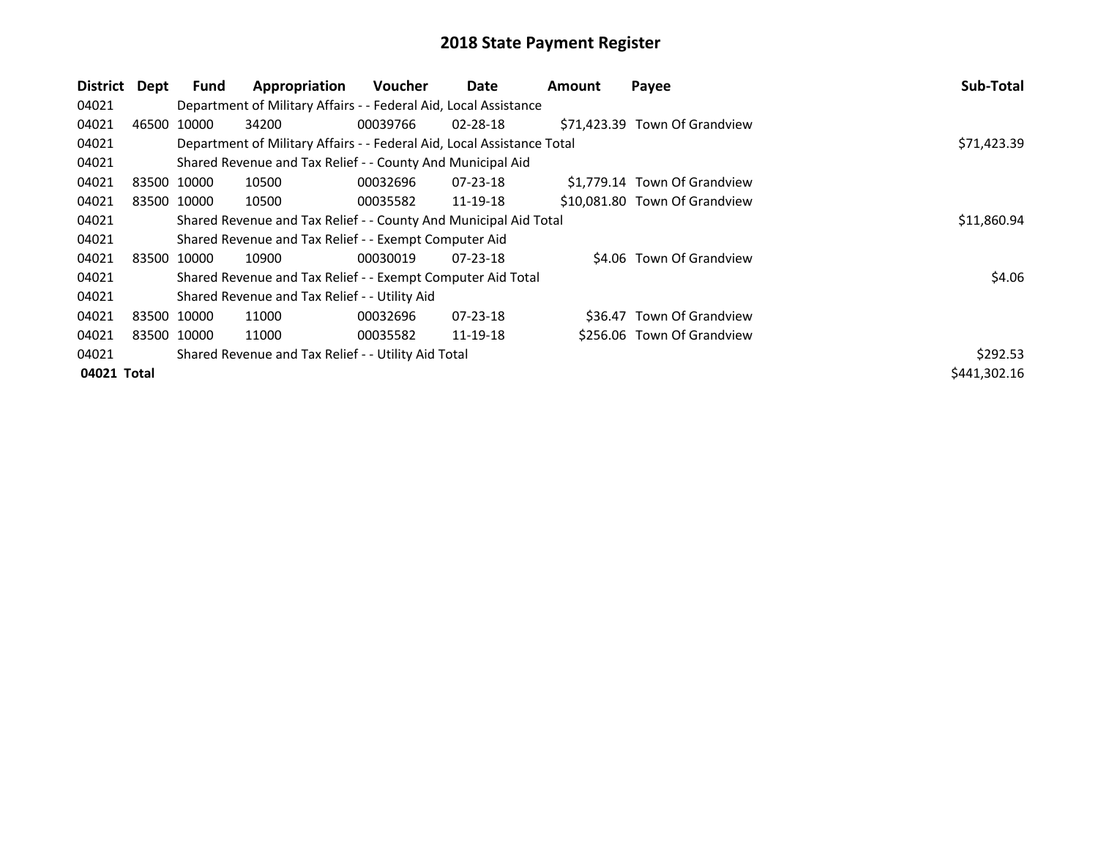| District    | Dept | Fund        | Appropriation                                                          | Voucher     | Date           | Amount | Payee                         | Sub-Total    |
|-------------|------|-------------|------------------------------------------------------------------------|-------------|----------------|--------|-------------------------------|--------------|
| 04021       |      |             | Department of Military Affairs - - Federal Aid, Local Assistance       |             |                |        |                               |              |
| 04021       |      | 46500 10000 | 34200                                                                  | 00039766    | 02-28-18       |        | \$71,423.39 Town Of Grandview |              |
| 04021       |      |             | Department of Military Affairs - - Federal Aid, Local Assistance Total |             |                |        |                               | \$71,423.39  |
| 04021       |      |             | Shared Revenue and Tax Relief - - County And Municipal Aid             |             |                |        |                               |              |
| 04021       |      | 83500 10000 | 10500                                                                  | 00032696    | 07-23-18       |        | \$1,779.14 Town Of Grandview  |              |
| 04021       |      | 83500 10000 | 10500                                                                  | 00035582    | 11-19-18       |        | \$10,081.80 Town Of Grandview |              |
| 04021       |      |             | Shared Revenue and Tax Relief - - County And Municipal Aid Total       | \$11,860.94 |                |        |                               |              |
| 04021       |      |             | Shared Revenue and Tax Relief - - Exempt Computer Aid                  |             |                |        |                               |              |
| 04021       |      | 83500 10000 | 10900                                                                  | 00030019    | $07 - 23 - 18$ |        | \$4.06 Town Of Grandview      |              |
| 04021       |      |             | Shared Revenue and Tax Relief - - Exempt Computer Aid Total            |             |                |        |                               | \$4.06       |
| 04021       |      |             | Shared Revenue and Tax Relief - - Utility Aid                          |             |                |        |                               |              |
| 04021       |      | 83500 10000 | 11000                                                                  | 00032696    | $07 - 23 - 18$ |        | \$36.47 Town Of Grandview     |              |
| 04021       |      | 83500 10000 | 11000                                                                  | 00035582    | 11-19-18       |        | \$256.06 Town Of Grandview    |              |
| 04021       |      |             | Shared Revenue and Tax Relief - - Utility Aid Total                    |             |                |        |                               | \$292.53     |
| 04021 Total |      |             |                                                                        |             |                |        |                               | \$441,302.16 |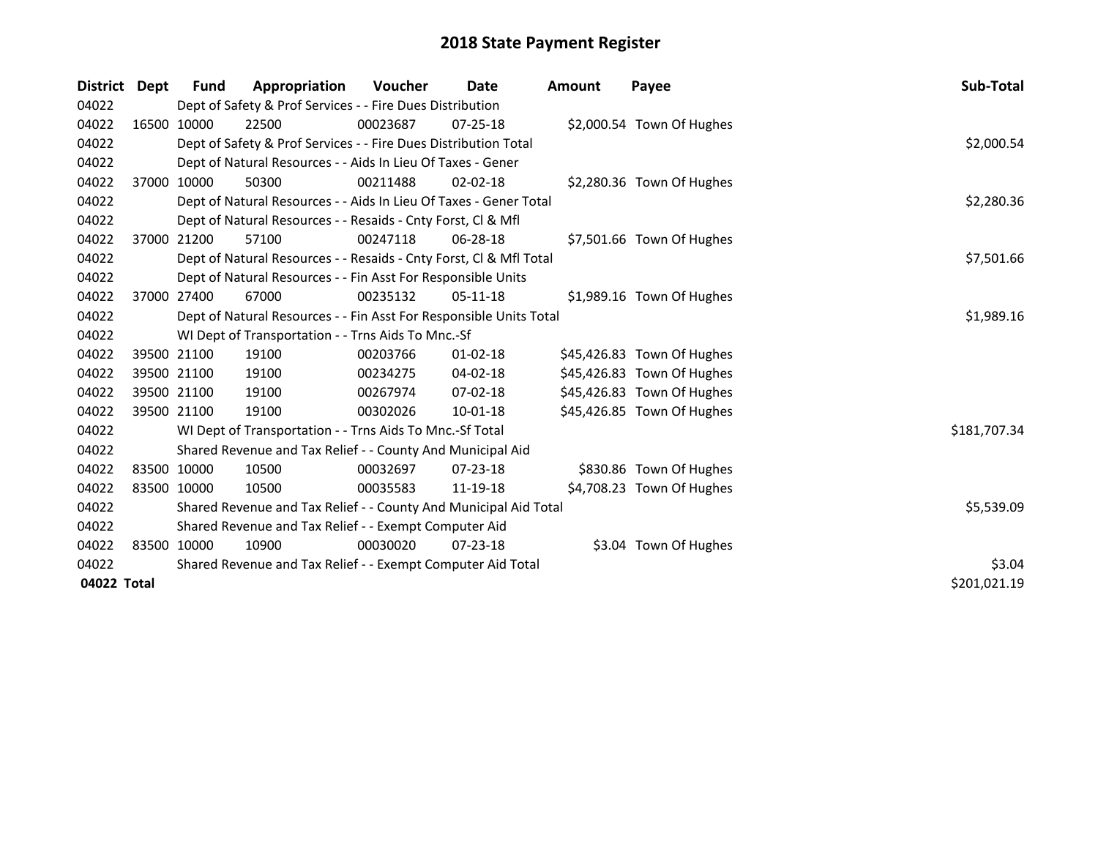| District    | Dept        | Fund        | Appropriation                                                      | <b>Voucher</b> | Date           | <b>Amount</b> | Payee                      | Sub-Total    |
|-------------|-------------|-------------|--------------------------------------------------------------------|----------------|----------------|---------------|----------------------------|--------------|
| 04022       |             |             | Dept of Safety & Prof Services - - Fire Dues Distribution          |                |                |               |                            |              |
| 04022       |             | 16500 10000 | 22500                                                              | 00023687       | $07 - 25 - 18$ |               | \$2,000.54 Town Of Hughes  |              |
| 04022       |             |             | Dept of Safety & Prof Services - - Fire Dues Distribution Total    |                |                |               |                            | \$2,000.54   |
| 04022       |             |             | Dept of Natural Resources - - Aids In Lieu Of Taxes - Gener        |                |                |               |                            |              |
| 04022       |             | 37000 10000 | 50300                                                              | 00211488       | $02 - 02 - 18$ |               | \$2,280.36 Town Of Hughes  |              |
| 04022       |             |             | Dept of Natural Resources - - Aids In Lieu Of Taxes - Gener Total  |                |                |               |                            | \$2,280.36   |
| 04022       |             |             | Dept of Natural Resources - - Resaids - Cnty Forst, CI & Mfl       |                |                |               |                            |              |
| 04022       |             | 37000 21200 | 57100                                                              | 00247118       | 06-28-18       |               | \$7,501.66 Town Of Hughes  |              |
| 04022       |             |             | Dept of Natural Resources - - Resaids - Cnty Forst, Cl & Mfl Total |                |                |               |                            | \$7,501.66   |
| 04022       |             |             | Dept of Natural Resources - - Fin Asst For Responsible Units       |                |                |               |                            |              |
| 04022       |             | 37000 27400 | 67000                                                              | 00235132       | 05-11-18       |               | \$1,989.16 Town Of Hughes  |              |
| 04022       |             |             | Dept of Natural Resources - - Fin Asst For Responsible Units Total | \$1,989.16     |                |               |                            |              |
| 04022       |             |             | WI Dept of Transportation - - Trns Aids To Mnc.-Sf                 |                |                |               |                            |              |
| 04022       |             | 39500 21100 | 19100                                                              | 00203766       | $01 - 02 - 18$ |               | \$45,426.83 Town Of Hughes |              |
| 04022       |             | 39500 21100 | 19100                                                              | 00234275       | 04-02-18       |               | \$45,426.83 Town Of Hughes |              |
| 04022       |             | 39500 21100 | 19100                                                              | 00267974       | 07-02-18       |               | \$45,426.83 Town Of Hughes |              |
| 04022       |             | 39500 21100 | 19100                                                              | 00302026       | 10-01-18       |               | \$45,426.85 Town Of Hughes |              |
| 04022       |             |             | WI Dept of Transportation - - Trns Aids To Mnc.-Sf Total           |                |                |               |                            | \$181,707.34 |
| 04022       |             |             | Shared Revenue and Tax Relief - - County And Municipal Aid         |                |                |               |                            |              |
| 04022       | 83500 10000 |             | 10500                                                              | 00032697       | $07 - 23 - 18$ |               | \$830.86 Town Of Hughes    |              |
| 04022       | 83500 10000 |             | 10500                                                              | 00035583       | 11-19-18       |               | \$4,708.23 Town Of Hughes  |              |
| 04022       |             |             | Shared Revenue and Tax Relief - - County And Municipal Aid Total   | \$5,539.09     |                |               |                            |              |
| 04022       |             |             | Shared Revenue and Tax Relief - - Exempt Computer Aid              |                |                |               |                            |              |
| 04022       | 83500 10000 |             | 10900                                                              | 00030020       | $07 - 23 - 18$ |               | \$3.04 Town Of Hughes      |              |
| 04022       |             |             | Shared Revenue and Tax Relief - - Exempt Computer Aid Total        |                |                |               |                            | \$3.04       |
| 04022 Total |             |             |                                                                    |                |                |               |                            | \$201,021.19 |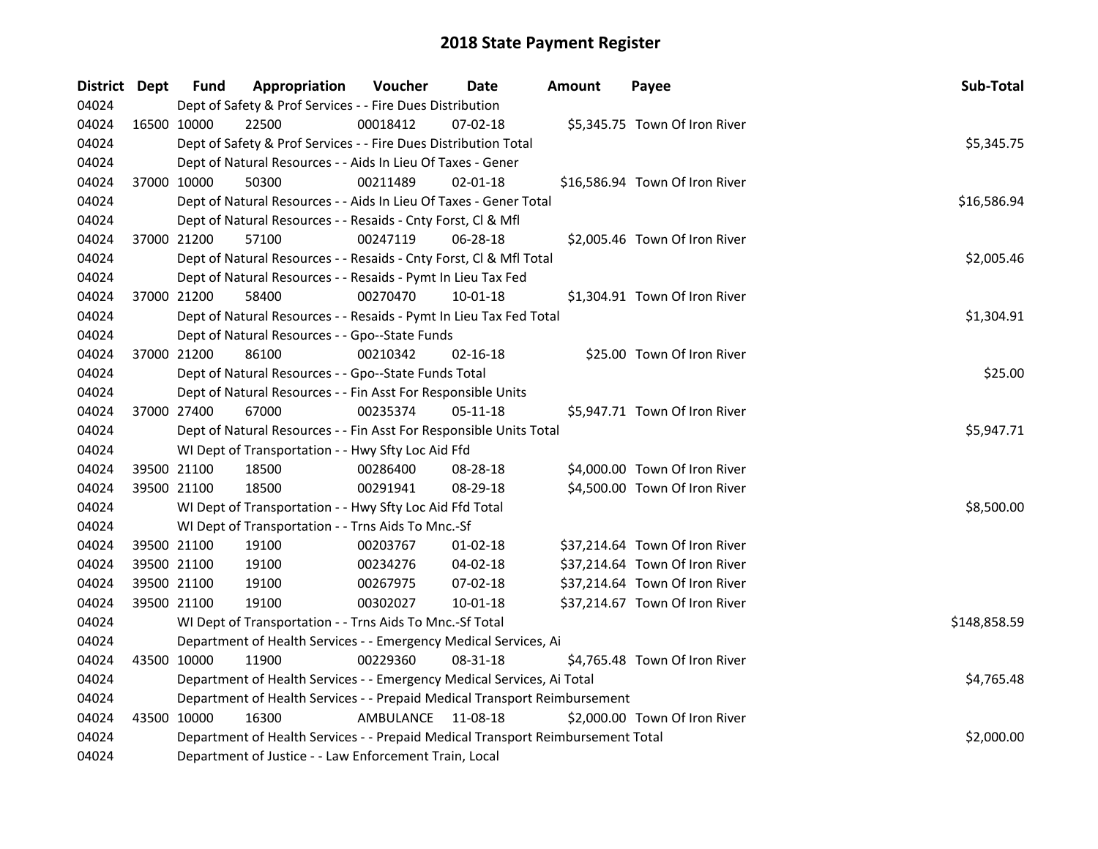| District Dept |             | <b>Fund</b> | Appropriation                                                                   | Voucher   | Date           | <b>Amount</b> | Payee                          | Sub-Total    |
|---------------|-------------|-------------|---------------------------------------------------------------------------------|-----------|----------------|---------------|--------------------------------|--------------|
| 04024         |             |             | Dept of Safety & Prof Services - - Fire Dues Distribution                       |           |                |               |                                |              |
| 04024         | 16500 10000 |             | 22500                                                                           | 00018412  | 07-02-18       |               | \$5,345.75 Town Of Iron River  |              |
| 04024         |             |             | Dept of Safety & Prof Services - - Fire Dues Distribution Total                 |           |                |               |                                | \$5,345.75   |
| 04024         |             |             | Dept of Natural Resources - - Aids In Lieu Of Taxes - Gener                     |           |                |               |                                |              |
| 04024         | 37000 10000 |             | 50300                                                                           | 00211489  | $02 - 01 - 18$ |               | \$16,586.94 Town Of Iron River |              |
| 04024         |             |             | Dept of Natural Resources - - Aids In Lieu Of Taxes - Gener Total               |           |                |               |                                | \$16,586.94  |
| 04024         |             |             | Dept of Natural Resources - - Resaids - Cnty Forst, Cl & Mfl                    |           |                |               |                                |              |
| 04024         | 37000 21200 |             | 57100                                                                           | 00247119  | 06-28-18       |               | \$2,005.46 Town Of Iron River  |              |
| 04024         |             |             | Dept of Natural Resources - - Resaids - Cnty Forst, Cl & Mfl Total              |           |                |               |                                | \$2,005.46   |
| 04024         |             |             | Dept of Natural Resources - - Resaids - Pymt In Lieu Tax Fed                    |           |                |               |                                |              |
| 04024         | 37000 21200 |             | 58400                                                                           | 00270470  | 10-01-18       |               | \$1,304.91 Town Of Iron River  |              |
| 04024         |             |             | Dept of Natural Resources - - Resaids - Pymt In Lieu Tax Fed Total              |           |                |               |                                | \$1,304.91   |
| 04024         |             |             | Dept of Natural Resources - - Gpo--State Funds                                  |           |                |               |                                |              |
| 04024         | 37000 21200 |             | 86100                                                                           | 00210342  | $02 - 16 - 18$ |               | \$25.00 Town Of Iron River     |              |
| 04024         |             |             | Dept of Natural Resources - - Gpo--State Funds Total                            |           |                |               |                                | \$25.00      |
| 04024         |             |             | Dept of Natural Resources - - Fin Asst For Responsible Units                    |           |                |               |                                |              |
| 04024         | 37000 27400 |             | 67000                                                                           | 00235374  | 05-11-18       |               | \$5,947.71 Town Of Iron River  |              |
| 04024         |             |             | Dept of Natural Resources - - Fin Asst For Responsible Units Total              |           |                |               |                                | \$5,947.71   |
| 04024         |             |             | WI Dept of Transportation - - Hwy Sfty Loc Aid Ffd                              |           |                |               |                                |              |
| 04024         | 39500 21100 |             | 18500                                                                           | 00286400  | 08-28-18       |               | \$4,000.00 Town Of Iron River  |              |
| 04024         | 39500 21100 |             | 18500                                                                           | 00291941  | 08-29-18       |               | \$4,500.00 Town Of Iron River  |              |
| 04024         |             |             | WI Dept of Transportation - - Hwy Sfty Loc Aid Ffd Total                        |           |                |               |                                | \$8,500.00   |
| 04024         |             |             | WI Dept of Transportation - - Trns Aids To Mnc.-Sf                              |           |                |               |                                |              |
| 04024         | 39500 21100 |             | 19100                                                                           | 00203767  | $01 - 02 - 18$ |               | \$37,214.64 Town Of Iron River |              |
| 04024         | 39500 21100 |             | 19100                                                                           | 00234276  | 04-02-18       |               | \$37,214.64 Town Of Iron River |              |
| 04024         | 39500 21100 |             | 19100                                                                           | 00267975  | 07-02-18       |               | \$37,214.64 Town Of Iron River |              |
| 04024         | 39500 21100 |             | 19100                                                                           | 00302027  | 10-01-18       |               | \$37,214.67 Town Of Iron River |              |
| 04024         |             |             | WI Dept of Transportation - - Trns Aids To Mnc.-Sf Total                        |           |                |               |                                | \$148,858.59 |
| 04024         |             |             | Department of Health Services - - Emergency Medical Services, Ai                |           |                |               |                                |              |
| 04024         |             | 43500 10000 | 11900                                                                           | 00229360  | 08-31-18       |               | \$4,765.48 Town Of Iron River  |              |
| 04024         |             |             | Department of Health Services - - Emergency Medical Services, Ai Total          |           |                |               |                                | \$4,765.48   |
| 04024         |             |             | Department of Health Services - - Prepaid Medical Transport Reimbursement       |           |                |               |                                |              |
| 04024         | 43500 10000 |             | 16300                                                                           | AMBULANCE | 11-08-18       |               | \$2,000.00 Town Of Iron River  |              |
| 04024         |             |             | Department of Health Services - - Prepaid Medical Transport Reimbursement Total |           |                |               |                                | \$2,000.00   |
| 04024         |             |             | Department of Justice - - Law Enforcement Train, Local                          |           |                |               |                                |              |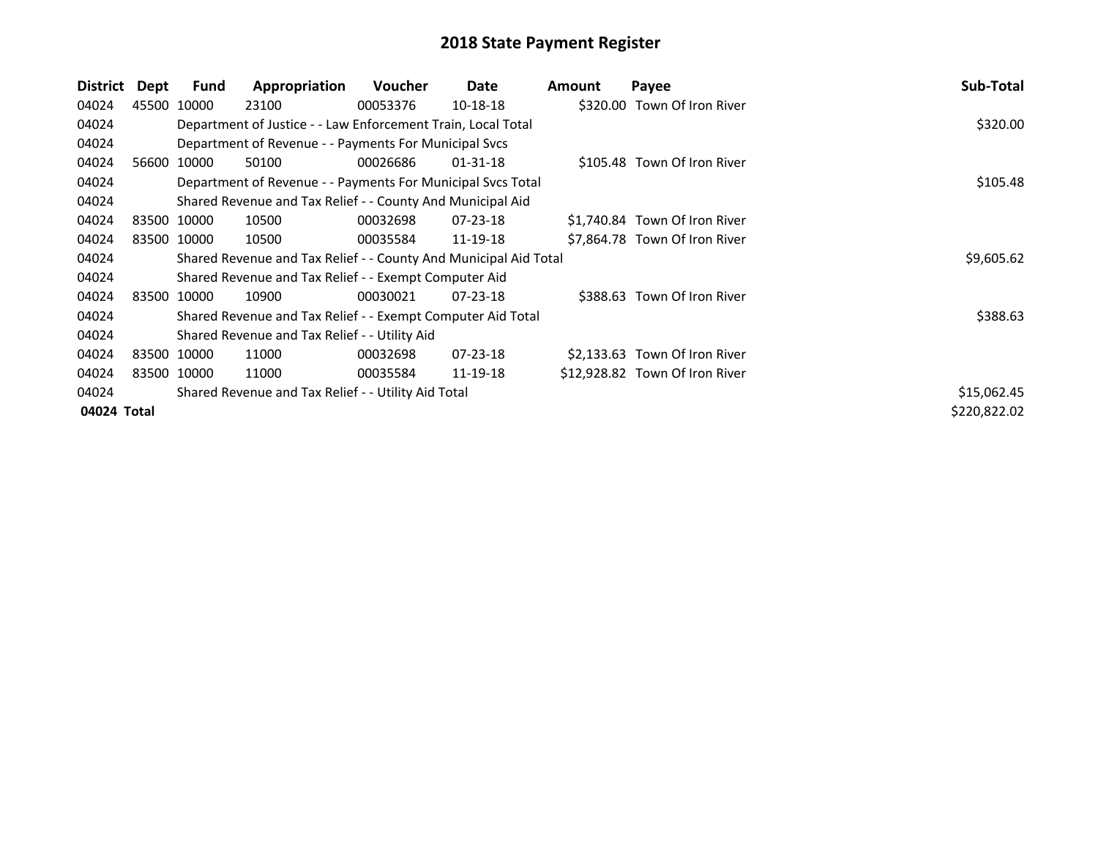| District    | Dept | Fund        | Appropriation                                                    | <b>Voucher</b> | Date           | <b>Amount</b> | Payee                          | Sub-Total    |
|-------------|------|-------------|------------------------------------------------------------------|----------------|----------------|---------------|--------------------------------|--------------|
| 04024       |      | 45500 10000 | 23100                                                            | 00053376       | 10-18-18       |               | \$320.00 Town Of Iron River    |              |
| 04024       |      |             | Department of Justice - - Law Enforcement Train, Local Total     |                |                |               |                                | \$320.00     |
| 04024       |      |             | Department of Revenue - - Payments For Municipal Svcs            |                |                |               |                                |              |
| 04024       |      | 56600 10000 | 50100                                                            | 00026686       | $01 - 31 - 18$ |               | \$105.48 Town Of Iron River    |              |
| 04024       |      |             | Department of Revenue - - Payments For Municipal Svcs Total      |                |                |               |                                | \$105.48     |
| 04024       |      |             | Shared Revenue and Tax Relief - - County And Municipal Aid       |                |                |               |                                |              |
| 04024       |      | 83500 10000 | 10500                                                            | 00032698       | $07 - 23 - 18$ |               | \$1,740.84 Town Of Iron River  |              |
| 04024       |      | 83500 10000 | 10500                                                            | 00035584       | 11-19-18       |               | \$7,864.78 Town Of Iron River  |              |
| 04024       |      |             | Shared Revenue and Tax Relief - - County And Municipal Aid Total |                |                |               |                                | \$9,605.62   |
| 04024       |      |             | Shared Revenue and Tax Relief - - Exempt Computer Aid            |                |                |               |                                |              |
| 04024       |      | 83500 10000 | 10900                                                            | 00030021       | $07 - 23 - 18$ |               | \$388.63 Town Of Iron River    |              |
| 04024       |      |             | Shared Revenue and Tax Relief - - Exempt Computer Aid Total      |                |                |               |                                | \$388.63     |
| 04024       |      |             | Shared Revenue and Tax Relief - - Utility Aid                    |                |                |               |                                |              |
| 04024       |      | 83500 10000 | 11000                                                            | 00032698       | $07 - 23 - 18$ |               | \$2,133.63 Town Of Iron River  |              |
| 04024       |      | 83500 10000 | 11000                                                            | 00035584       | 11-19-18       |               | \$12,928.82 Town Of Iron River |              |
| 04024       |      |             | Shared Revenue and Tax Relief - - Utility Aid Total              |                |                |               |                                | \$15,062.45  |
| 04024 Total |      |             |                                                                  |                |                |               |                                | \$220,822.02 |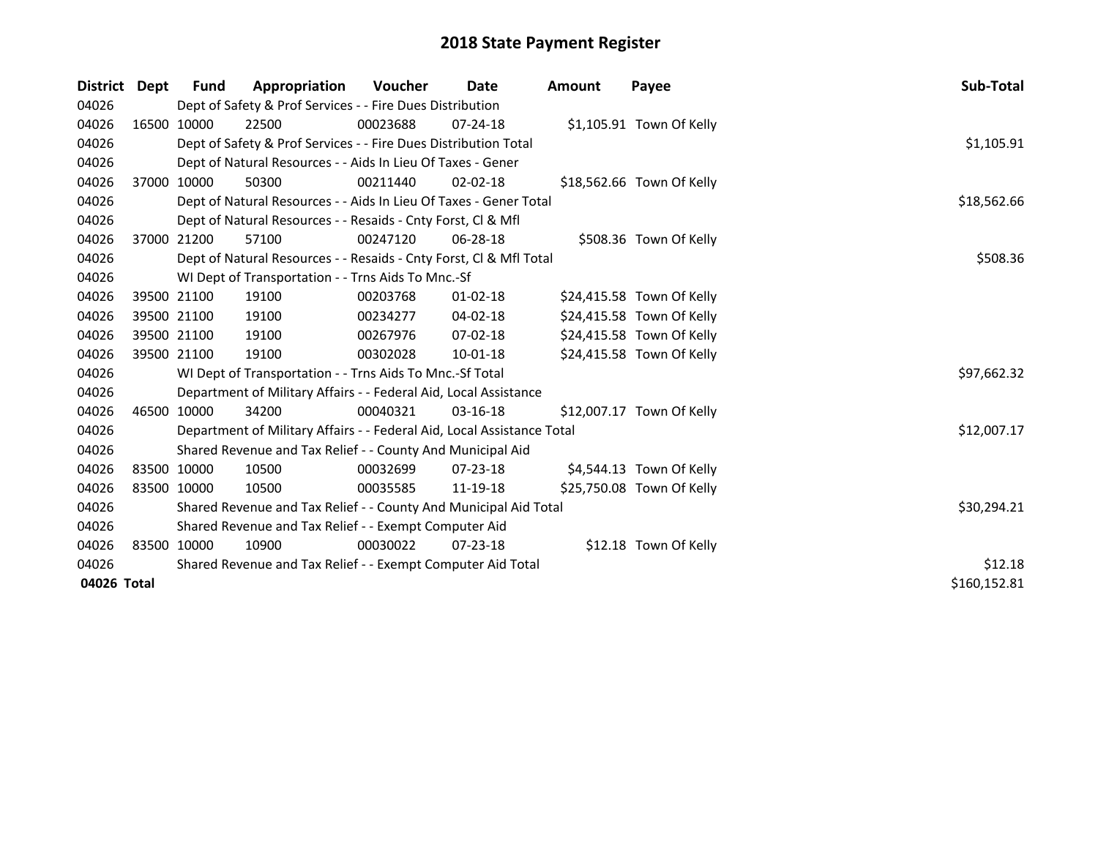| District    | Dept        | <b>Fund</b> | Appropriation                                                          | Voucher  | Date           | <b>Amount</b> | Payee                     | Sub-Total    |
|-------------|-------------|-------------|------------------------------------------------------------------------|----------|----------------|---------------|---------------------------|--------------|
| 04026       |             |             | Dept of Safety & Prof Services - - Fire Dues Distribution              |          |                |               |                           |              |
| 04026       |             | 16500 10000 | 22500                                                                  | 00023688 | $07 - 24 - 18$ |               | \$1,105.91 Town Of Kelly  |              |
| 04026       |             |             | Dept of Safety & Prof Services - - Fire Dues Distribution Total        |          |                |               |                           | \$1,105.91   |
| 04026       |             |             | Dept of Natural Resources - - Aids In Lieu Of Taxes - Gener            |          |                |               |                           |              |
| 04026       |             | 37000 10000 | 50300                                                                  | 00211440 | $02 - 02 - 18$ |               | \$18,562.66 Town Of Kelly |              |
| 04026       |             |             | Dept of Natural Resources - - Aids In Lieu Of Taxes - Gener Total      |          |                |               |                           | \$18,562.66  |
| 04026       |             |             | Dept of Natural Resources - - Resaids - Cnty Forst, CI & Mfl           |          |                |               |                           |              |
| 04026       |             | 37000 21200 | 57100                                                                  | 00247120 | 06-28-18       |               | \$508.36 Town Of Kelly    |              |
| 04026       |             |             | Dept of Natural Resources - - Resaids - Cnty Forst, CI & Mfl Total     |          |                |               |                           | \$508.36     |
| 04026       |             |             | WI Dept of Transportation - - Trns Aids To Mnc.-Sf                     |          |                |               |                           |              |
| 04026       |             | 39500 21100 | 19100                                                                  | 00203768 | $01 - 02 - 18$ |               | \$24,415.58 Town Of Kelly |              |
| 04026       |             | 39500 21100 | 19100                                                                  | 00234277 | 04-02-18       |               | \$24,415.58 Town Of Kelly |              |
| 04026       |             | 39500 21100 | 19100                                                                  | 00267976 | $07 - 02 - 18$ |               | \$24,415.58 Town Of Kelly |              |
| 04026       |             | 39500 21100 | 19100                                                                  | 00302028 | 10-01-18       |               | \$24,415.58 Town Of Kelly |              |
| 04026       |             |             | WI Dept of Transportation - - Trns Aids To Mnc.-Sf Total               |          |                |               |                           | \$97,662.32  |
| 04026       |             |             | Department of Military Affairs - - Federal Aid, Local Assistance       |          |                |               |                           |              |
| 04026       |             | 46500 10000 | 34200                                                                  | 00040321 | $03 - 16 - 18$ |               | \$12,007.17 Town Of Kelly |              |
| 04026       |             |             | Department of Military Affairs - - Federal Aid, Local Assistance Total |          |                |               |                           | \$12,007.17  |
| 04026       |             |             | Shared Revenue and Tax Relief - - County And Municipal Aid             |          |                |               |                           |              |
| 04026       | 83500 10000 |             | 10500                                                                  | 00032699 | $07 - 23 - 18$ |               | \$4,544.13 Town Of Kelly  |              |
| 04026       | 83500 10000 |             | 10500                                                                  | 00035585 | 11-19-18       |               | \$25,750.08 Town Of Kelly |              |
| 04026       |             |             | Shared Revenue and Tax Relief - - County And Municipal Aid Total       |          |                |               |                           | \$30,294.21  |
| 04026       |             |             | Shared Revenue and Tax Relief - - Exempt Computer Aid                  |          |                |               |                           |              |
| 04026       |             | 83500 10000 | 10900                                                                  | 00030022 | $07 - 23 - 18$ |               | \$12.18 Town Of Kelly     |              |
| 04026       |             |             | Shared Revenue and Tax Relief - - Exempt Computer Aid Total            | \$12.18  |                |               |                           |              |
| 04026 Total |             |             |                                                                        |          |                |               |                           | \$160,152.81 |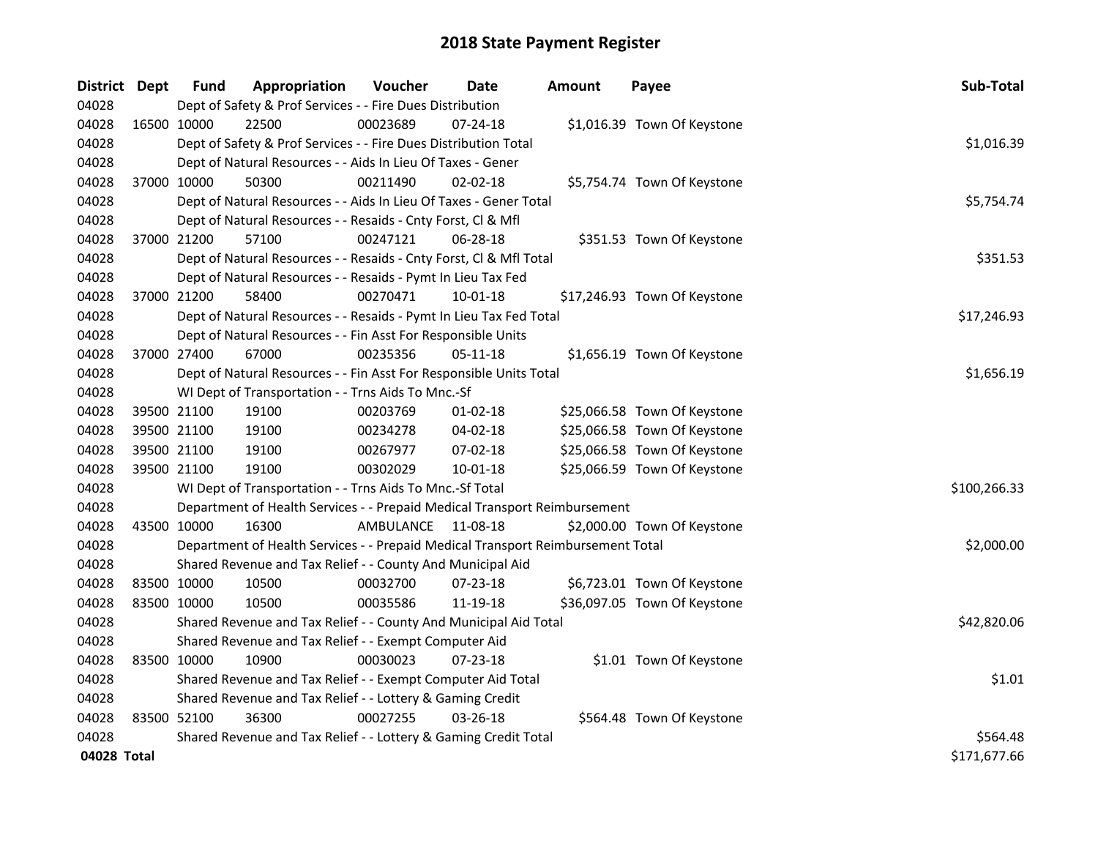| District Dept |             | <b>Fund</b> | Appropriation                                                                   | Voucher   | Date           | <b>Amount</b> | Payee                        | Sub-Total    |
|---------------|-------------|-------------|---------------------------------------------------------------------------------|-----------|----------------|---------------|------------------------------|--------------|
| 04028         |             |             | Dept of Safety & Prof Services - - Fire Dues Distribution                       |           |                |               |                              |              |
| 04028         | 16500 10000 |             | 22500                                                                           | 00023689  | 07-24-18       |               | \$1,016.39 Town Of Keystone  |              |
| 04028         |             |             | Dept of Safety & Prof Services - - Fire Dues Distribution Total                 |           |                |               |                              | \$1,016.39   |
| 04028         |             |             | Dept of Natural Resources - - Aids In Lieu Of Taxes - Gener                     |           |                |               |                              |              |
| 04028         |             | 37000 10000 | 50300                                                                           | 00211490  | $02 - 02 - 18$ |               | \$5,754.74 Town Of Keystone  |              |
| 04028         |             |             | Dept of Natural Resources - - Aids In Lieu Of Taxes - Gener Total               |           |                |               |                              | \$5,754.74   |
| 04028         |             |             | Dept of Natural Resources - - Resaids - Cnty Forst, Cl & Mfl                    |           |                |               |                              |              |
| 04028         |             | 37000 21200 | 57100                                                                           | 00247121  | 06-28-18       |               | \$351.53 Town Of Keystone    |              |
| 04028         |             |             | Dept of Natural Resources - - Resaids - Cnty Forst, Cl & Mfl Total              |           |                |               |                              | \$351.53     |
| 04028         |             |             | Dept of Natural Resources - - Resaids - Pymt In Lieu Tax Fed                    |           |                |               |                              |              |
| 04028         |             | 37000 21200 | 58400                                                                           | 00270471  | 10-01-18       |               | \$17,246.93 Town Of Keystone |              |
| 04028         |             |             | Dept of Natural Resources - - Resaids - Pymt In Lieu Tax Fed Total              |           |                |               |                              | \$17,246.93  |
| 04028         |             |             | Dept of Natural Resources - - Fin Asst For Responsible Units                    |           |                |               |                              |              |
| 04028         |             | 37000 27400 | 67000                                                                           | 00235356  | 05-11-18       |               | \$1,656.19 Town Of Keystone  |              |
| 04028         |             |             | Dept of Natural Resources - - Fin Asst For Responsible Units Total              |           |                |               |                              | \$1,656.19   |
| 04028         |             |             | WI Dept of Transportation - - Trns Aids To Mnc.-Sf                              |           |                |               |                              |              |
| 04028         |             | 39500 21100 | 19100                                                                           | 00203769  | $01-02-18$     |               | \$25,066.58 Town Of Keystone |              |
| 04028         |             | 39500 21100 | 19100                                                                           | 00234278  | $04 - 02 - 18$ |               | \$25,066.58 Town Of Keystone |              |
| 04028         |             | 39500 21100 | 19100                                                                           | 00267977  | 07-02-18       |               | \$25,066.58 Town Of Keystone |              |
| 04028         |             | 39500 21100 | 19100                                                                           | 00302029  | $10 - 01 - 18$ |               | \$25,066.59 Town Of Keystone |              |
| 04028         |             |             | WI Dept of Transportation - - Trns Aids To Mnc.-Sf Total                        |           |                |               |                              | \$100,266.33 |
| 04028         |             |             | Department of Health Services - - Prepaid Medical Transport Reimbursement       |           |                |               |                              |              |
| 04028         | 43500 10000 |             | 16300                                                                           | AMBULANCE | 11-08-18       |               | \$2,000.00 Town Of Keystone  |              |
| 04028         |             |             | Department of Health Services - - Prepaid Medical Transport Reimbursement Total |           |                |               |                              | \$2,000.00   |
| 04028         |             |             | Shared Revenue and Tax Relief - - County And Municipal Aid                      |           |                |               |                              |              |
| 04028         |             | 83500 10000 | 10500                                                                           | 00032700  | 07-23-18       |               | \$6,723.01 Town Of Keystone  |              |
| 04028         |             | 83500 10000 | 10500                                                                           | 00035586  | 11-19-18       |               | \$36,097.05 Town Of Keystone |              |
| 04028         |             |             | Shared Revenue and Tax Relief - - County And Municipal Aid Total                |           |                |               |                              | \$42,820.06  |
| 04028         |             |             | Shared Revenue and Tax Relief - - Exempt Computer Aid                           |           |                |               |                              |              |
| 04028         | 83500 10000 |             | 10900                                                                           | 00030023  | 07-23-18       |               | \$1.01 Town Of Keystone      |              |
| 04028         |             |             | Shared Revenue and Tax Relief - - Exempt Computer Aid Total                     |           |                |               |                              | \$1.01       |
| 04028         |             |             | Shared Revenue and Tax Relief - - Lottery & Gaming Credit                       |           |                |               |                              |              |
| 04028         |             | 83500 52100 | 36300                                                                           | 00027255  | $03 - 26 - 18$ |               | \$564.48 Town Of Keystone    |              |
| 04028         |             |             | Shared Revenue and Tax Relief - - Lottery & Gaming Credit Total                 |           |                |               |                              | \$564.48     |
| 04028 Total   |             |             |                                                                                 |           |                |               |                              | \$171,677.66 |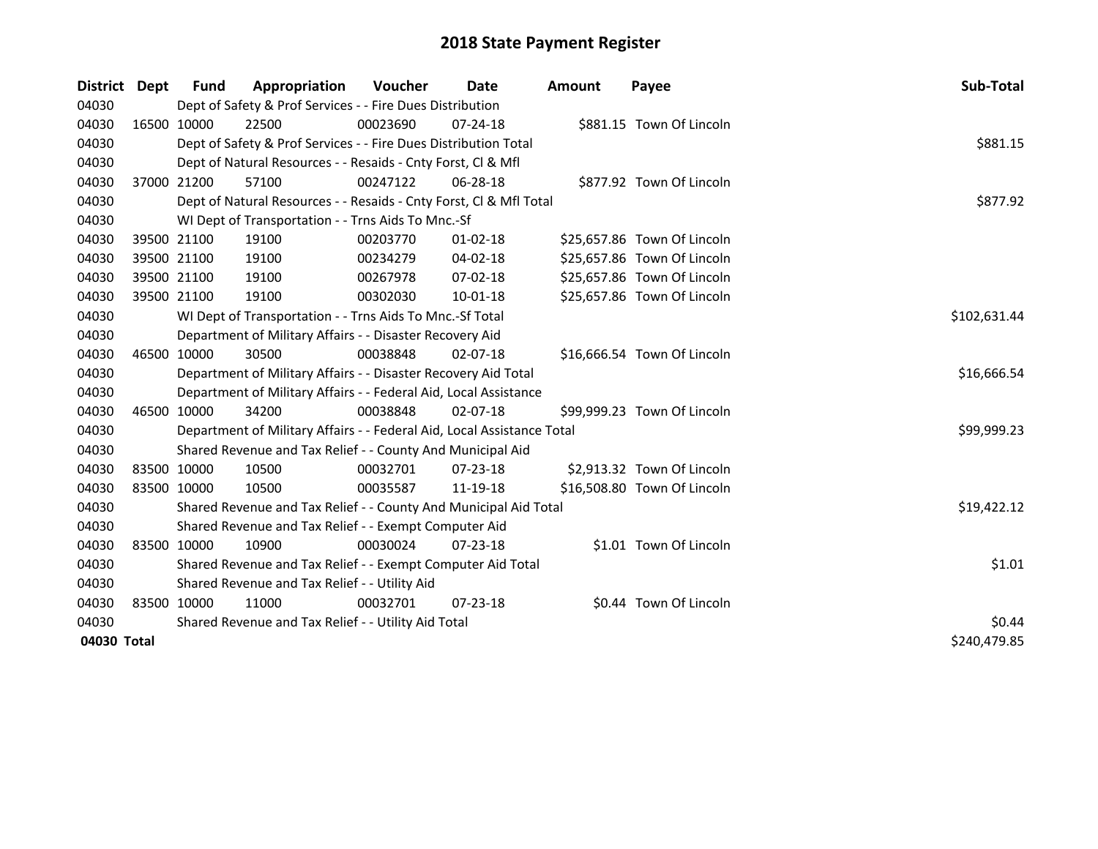| District    | Dept        | <b>Fund</b> | Appropriation                                                          | <b>Voucher</b> | Date           | Amount | Payee                       | Sub-Total    |
|-------------|-------------|-------------|------------------------------------------------------------------------|----------------|----------------|--------|-----------------------------|--------------|
| 04030       |             |             | Dept of Safety & Prof Services - - Fire Dues Distribution              |                |                |        |                             |              |
| 04030       |             | 16500 10000 | 22500                                                                  | 00023690       | $07 - 24 - 18$ |        | \$881.15 Town Of Lincoln    |              |
| 04030       |             |             | Dept of Safety & Prof Services - - Fire Dues Distribution Total        |                |                |        |                             | \$881.15     |
| 04030       |             |             | Dept of Natural Resources - - Resaids - Cnty Forst, Cl & Mfl           |                |                |        |                             |              |
| 04030       |             | 37000 21200 | 57100                                                                  | 00247122       | $06 - 28 - 18$ |        | \$877.92 Town Of Lincoln    |              |
| 04030       |             |             | Dept of Natural Resources - - Resaids - Cnty Forst, Cl & Mfl Total     |                |                |        |                             | \$877.92     |
| 04030       |             |             | WI Dept of Transportation - - Trns Aids To Mnc.-Sf                     |                |                |        |                             |              |
| 04030       |             | 39500 21100 | 19100                                                                  | 00203770       | $01 - 02 - 18$ |        | \$25,657.86 Town Of Lincoln |              |
| 04030       |             | 39500 21100 | 19100                                                                  | 00234279       | 04-02-18       |        | \$25,657.86 Town Of Lincoln |              |
| 04030       |             | 39500 21100 | 19100                                                                  | 00267978       | 07-02-18       |        | \$25,657.86 Town Of Lincoln |              |
| 04030       | 39500 21100 |             | 19100                                                                  | 00302030       | $10 - 01 - 18$ |        | \$25,657.86 Town Of Lincoln |              |
| 04030       |             |             | WI Dept of Transportation - - Trns Aids To Mnc.-Sf Total               |                |                |        |                             | \$102,631.44 |
| 04030       |             |             | Department of Military Affairs - - Disaster Recovery Aid               |                |                |        |                             |              |
| 04030       |             | 46500 10000 | 30500                                                                  | 00038848       | $02 - 07 - 18$ |        | \$16,666.54 Town Of Lincoln |              |
| 04030       |             |             | Department of Military Affairs - - Disaster Recovery Aid Total         |                |                |        |                             | \$16,666.54  |
| 04030       |             |             | Department of Military Affairs - - Federal Aid, Local Assistance       |                |                |        |                             |              |
| 04030       |             | 46500 10000 | 34200                                                                  | 00038848       | $02 - 07 - 18$ |        | \$99,999.23 Town Of Lincoln |              |
| 04030       |             |             | Department of Military Affairs - - Federal Aid, Local Assistance Total |                |                |        |                             | \$99,999.23  |
| 04030       |             |             | Shared Revenue and Tax Relief - - County And Municipal Aid             |                |                |        |                             |              |
| 04030       | 83500 10000 |             | 10500                                                                  | 00032701       | 07-23-18       |        | \$2,913.32 Town Of Lincoln  |              |
| 04030       | 83500 10000 |             | 10500                                                                  | 00035587       | 11-19-18       |        | \$16,508.80 Town Of Lincoln |              |
| 04030       |             |             | Shared Revenue and Tax Relief - - County And Municipal Aid Total       |                |                |        |                             | \$19,422.12  |
| 04030       |             |             | Shared Revenue and Tax Relief - - Exempt Computer Aid                  |                |                |        |                             |              |
| 04030       | 83500 10000 |             | 10900                                                                  | 00030024       | 07-23-18       |        | \$1.01 Town Of Lincoln      |              |
| 04030       |             |             | Shared Revenue and Tax Relief - - Exempt Computer Aid Total            |                |                |        |                             | \$1.01       |
| 04030       |             |             | Shared Revenue and Tax Relief - - Utility Aid                          |                |                |        |                             |              |
| 04030       |             | 83500 10000 | 11000                                                                  | 00032701       | $07 - 23 - 18$ |        | \$0.44 Town Of Lincoln      |              |
| 04030       |             |             | Shared Revenue and Tax Relief - - Utility Aid Total                    | \$0.44         |                |        |                             |              |
| 04030 Total |             |             |                                                                        |                |                |        |                             | \$240,479.85 |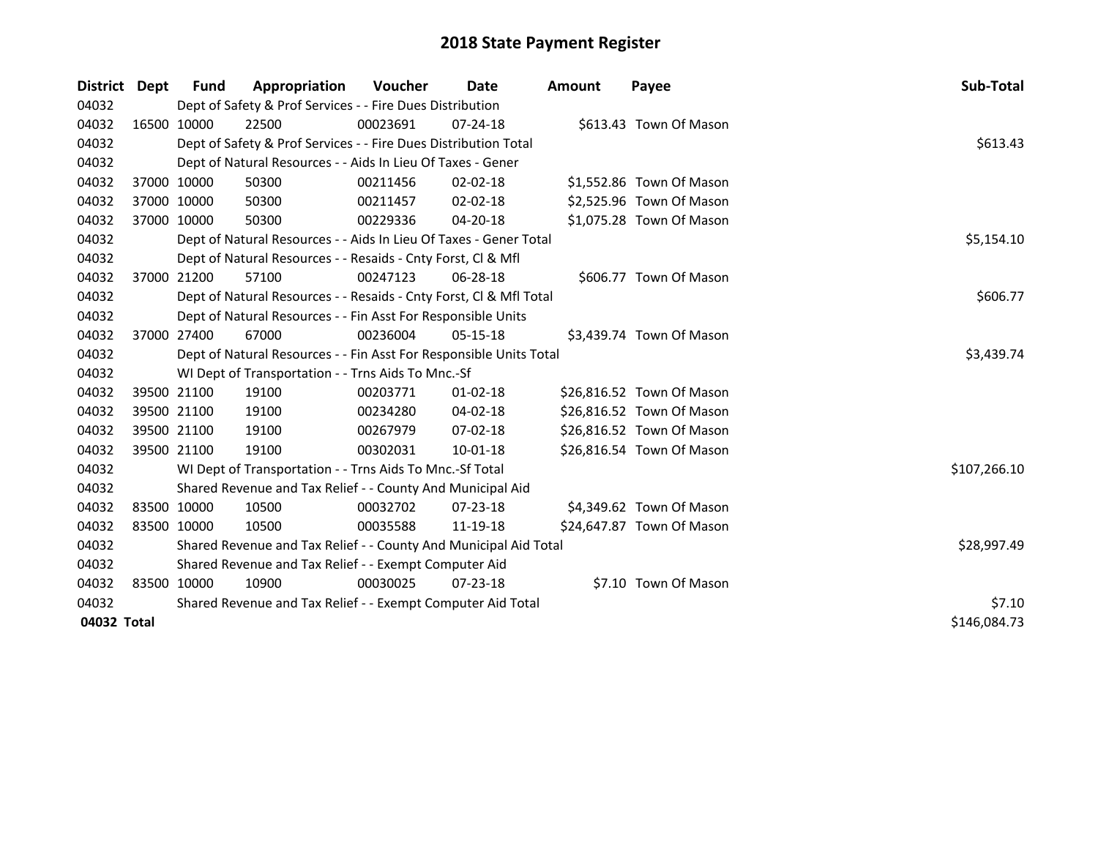| District Dept | Fund        | Appropriation                                                      | <b>Voucher</b> | Date           | Amount | Payee                     | Sub-Total    |
|---------------|-------------|--------------------------------------------------------------------|----------------|----------------|--------|---------------------------|--------------|
| 04032         |             | Dept of Safety & Prof Services - - Fire Dues Distribution          |                |                |        |                           |              |
| 04032         | 16500 10000 | 22500                                                              | 00023691       | $07 - 24 - 18$ |        | \$613.43 Town Of Mason    |              |
| 04032         |             | Dept of Safety & Prof Services - - Fire Dues Distribution Total    |                |                |        |                           | \$613.43     |
| 04032         |             | Dept of Natural Resources - - Aids In Lieu Of Taxes - Gener        |                |                |        |                           |              |
| 04032         | 37000 10000 | 50300                                                              | 00211456       | $02 - 02 - 18$ |        | \$1,552.86 Town Of Mason  |              |
| 04032         | 37000 10000 | 50300                                                              | 00211457       | $02 - 02 - 18$ |        | \$2,525.96 Town Of Mason  |              |
| 04032         | 37000 10000 | 50300                                                              | 00229336       | 04-20-18       |        | \$1,075.28 Town Of Mason  |              |
| 04032         |             | Dept of Natural Resources - - Aids In Lieu Of Taxes - Gener Total  |                |                |        |                           | \$5,154.10   |
| 04032         |             | Dept of Natural Resources - - Resaids - Cnty Forst, CI & Mfl       |                |                |        |                           |              |
| 04032         | 37000 21200 | 57100                                                              | 00247123       | 06-28-18       |        | \$606.77 Town Of Mason    |              |
| 04032         |             | Dept of Natural Resources - - Resaids - Cnty Forst, Cl & Mfl Total |                |                |        |                           | \$606.77     |
| 04032         |             | Dept of Natural Resources - - Fin Asst For Responsible Units       |                |                |        |                           |              |
| 04032         | 37000 27400 | 67000                                                              | 00236004       | 05-15-18       |        | \$3,439.74 Town Of Mason  |              |
| 04032         |             | Dept of Natural Resources - - Fin Asst For Responsible Units Total |                |                |        |                           | \$3,439.74   |
| 04032         |             | WI Dept of Transportation - - Trns Aids To Mnc.-Sf                 |                |                |        |                           |              |
| 04032         | 39500 21100 | 19100                                                              | 00203771       | $01 - 02 - 18$ |        | \$26,816.52 Town Of Mason |              |
| 04032         | 39500 21100 | 19100                                                              | 00234280       | 04-02-18       |        | \$26,816.52 Town Of Mason |              |
| 04032         | 39500 21100 | 19100                                                              | 00267979       | 07-02-18       |        | \$26,816.52 Town Of Mason |              |
| 04032         | 39500 21100 | 19100                                                              | 00302031       | $10 - 01 - 18$ |        | \$26,816.54 Town Of Mason |              |
| 04032         |             | WI Dept of Transportation - - Trns Aids To Mnc.-Sf Total           |                |                |        |                           | \$107,266.10 |
| 04032         |             | Shared Revenue and Tax Relief - - County And Municipal Aid         |                |                |        |                           |              |
| 04032         | 83500 10000 | 10500                                                              | 00032702       | $07 - 23 - 18$ |        | \$4,349.62 Town Of Mason  |              |
| 04032         | 83500 10000 | 10500                                                              | 00035588       | 11-19-18       |        | \$24,647.87 Town Of Mason |              |
| 04032         |             | Shared Revenue and Tax Relief - - County And Municipal Aid Total   |                |                |        |                           | \$28,997.49  |
| 04032         |             | Shared Revenue and Tax Relief - - Exempt Computer Aid              |                |                |        |                           |              |
| 04032         | 83500 10000 | 10900                                                              | 00030025       | $07 - 23 - 18$ |        | \$7.10 Town Of Mason      |              |
| 04032         |             | Shared Revenue and Tax Relief - - Exempt Computer Aid Total        |                |                |        |                           | \$7.10       |
| 04032 Total   |             |                                                                    |                |                |        |                           | \$146,084.73 |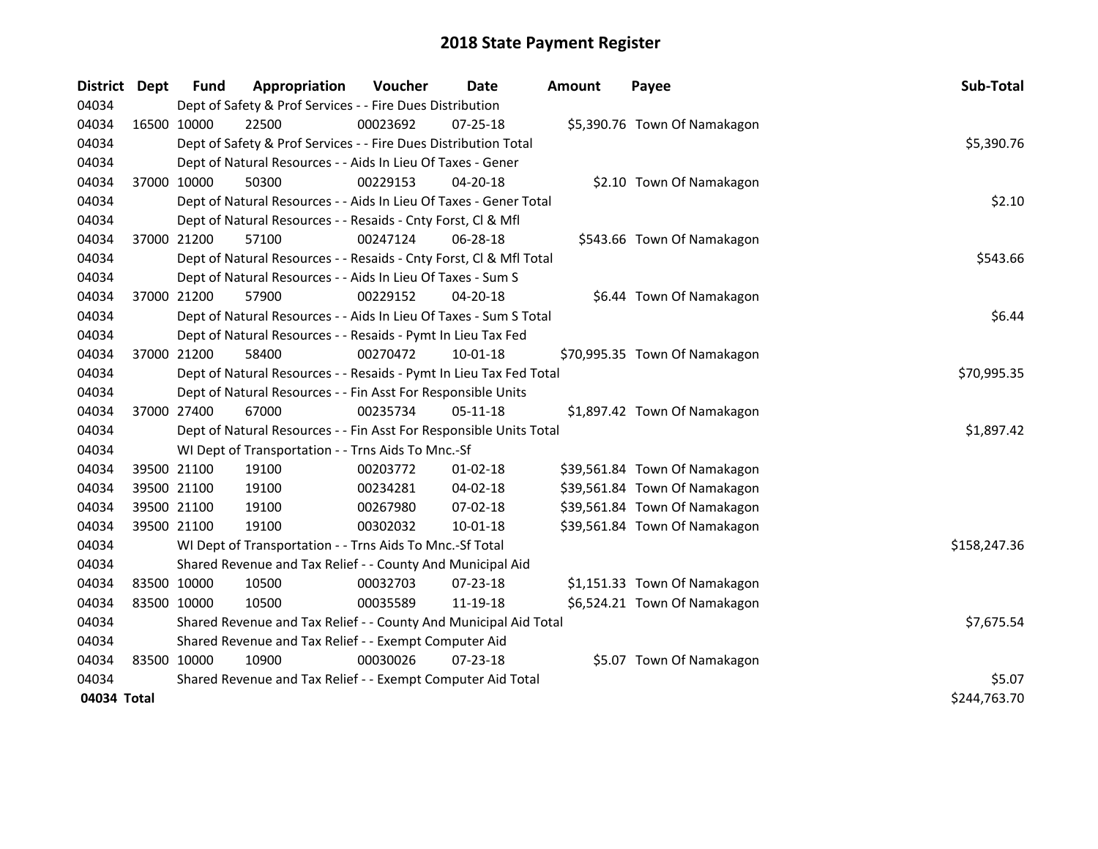| District Dept |             | <b>Fund</b>                                           | Appropriation                                                      | Voucher     | <b>Date</b>    | <b>Amount</b> | Payee                         | Sub-Total    |  |  |
|---------------|-------------|-------------------------------------------------------|--------------------------------------------------------------------|-------------|----------------|---------------|-------------------------------|--------------|--|--|
| 04034         |             |                                                       | Dept of Safety & Prof Services - - Fire Dues Distribution          |             |                |               |                               |              |  |  |
| 04034         |             | 16500 10000                                           | 22500                                                              | 00023692    | 07-25-18       |               | \$5,390.76 Town Of Namakagon  |              |  |  |
| 04034         |             |                                                       | Dept of Safety & Prof Services - - Fire Dues Distribution Total    |             |                |               |                               | \$5,390.76   |  |  |
| 04034         |             |                                                       | Dept of Natural Resources - - Aids In Lieu Of Taxes - Gener        |             |                |               |                               |              |  |  |
| 04034         |             | 37000 10000                                           | 50300                                                              | 00229153    | 04-20-18       |               | \$2.10 Town Of Namakagon      |              |  |  |
| 04034         |             |                                                       | Dept of Natural Resources - - Aids In Lieu Of Taxes - Gener Total  |             |                | \$2.10        |                               |              |  |  |
| 04034         |             |                                                       | Dept of Natural Resources - - Resaids - Cnty Forst, Cl & Mfl       |             |                |               |                               |              |  |  |
| 04034         | 37000 21200 |                                                       | 57100                                                              | 00247124    | 06-28-18       |               | \$543.66 Town Of Namakagon    |              |  |  |
| 04034         |             |                                                       | Dept of Natural Resources - - Resaids - Cnty Forst, Cl & Mfl Total |             |                |               |                               |              |  |  |
| 04034         |             |                                                       | Dept of Natural Resources - - Aids In Lieu Of Taxes - Sum S        |             |                |               |                               |              |  |  |
| 04034         |             | 37000 21200                                           | 57900                                                              | 00229152    | 04-20-18       |               | \$6.44 Town Of Namakagon      |              |  |  |
| 04034         |             |                                                       | Dept of Natural Resources - - Aids In Lieu Of Taxes - Sum S Total  |             |                |               |                               | \$6.44       |  |  |
| 04034         |             |                                                       | Dept of Natural Resources - - Resaids - Pymt In Lieu Tax Fed       |             |                |               |                               |              |  |  |
| 04034         | 37000 21200 |                                                       | 58400                                                              | 00270472    | 10-01-18       |               | \$70,995.35 Town Of Namakagon |              |  |  |
| 04034         |             |                                                       | Dept of Natural Resources - - Resaids - Pymt In Lieu Tax Fed Total | \$70,995.35 |                |               |                               |              |  |  |
| 04034         |             |                                                       | Dept of Natural Resources - - Fin Asst For Responsible Units       |             |                |               |                               |              |  |  |
| 04034         |             | 37000 27400                                           | 67000                                                              | 00235734    | $05-11-18$     |               | \$1,897.42 Town Of Namakagon  |              |  |  |
| 04034         |             |                                                       | Dept of Natural Resources - - Fin Asst For Responsible Units Total |             |                |               |                               | \$1,897.42   |  |  |
| 04034         |             |                                                       | WI Dept of Transportation - - Trns Aids To Mnc.-Sf                 |             |                |               |                               |              |  |  |
| 04034         |             | 39500 21100                                           | 19100                                                              | 00203772    | $01-02-18$     |               | \$39,561.84 Town Of Namakagon |              |  |  |
| 04034         |             | 39500 21100                                           | 19100                                                              | 00234281    | 04-02-18       |               | \$39,561.84 Town Of Namakagon |              |  |  |
| 04034         |             | 39500 21100                                           | 19100                                                              | 00267980    | 07-02-18       |               | \$39,561.84 Town Of Namakagon |              |  |  |
| 04034         |             | 39500 21100                                           | 19100                                                              | 00302032    | $10 - 01 - 18$ |               | \$39,561.84 Town Of Namakagon |              |  |  |
| 04034         |             |                                                       | WI Dept of Transportation - - Trns Aids To Mnc.-Sf Total           |             |                |               |                               | \$158,247.36 |  |  |
| 04034         |             |                                                       | Shared Revenue and Tax Relief - - County And Municipal Aid         |             |                |               |                               |              |  |  |
| 04034         |             | 83500 10000                                           | 10500                                                              | 00032703    | 07-23-18       |               | \$1,151.33 Town Of Namakagon  |              |  |  |
| 04034         |             | 83500 10000                                           | 10500                                                              | 00035589    | 11-19-18       |               | \$6,524.21 Town Of Namakagon  |              |  |  |
| 04034         |             |                                                       | Shared Revenue and Tax Relief - - County And Municipal Aid Total   |             |                |               |                               | \$7,675.54   |  |  |
| 04034         |             | Shared Revenue and Tax Relief - - Exempt Computer Aid |                                                                    |             |                |               |                               |              |  |  |
| 04034         | 83500 10000 |                                                       | 10900                                                              | 00030026    | 07-23-18       |               | \$5.07 Town Of Namakagon      |              |  |  |
| 04034         |             |                                                       | Shared Revenue and Tax Relief - - Exempt Computer Aid Total        | \$5.07      |                |               |                               |              |  |  |
| 04034 Total   |             |                                                       |                                                                    |             |                |               |                               | \$244,763.70 |  |  |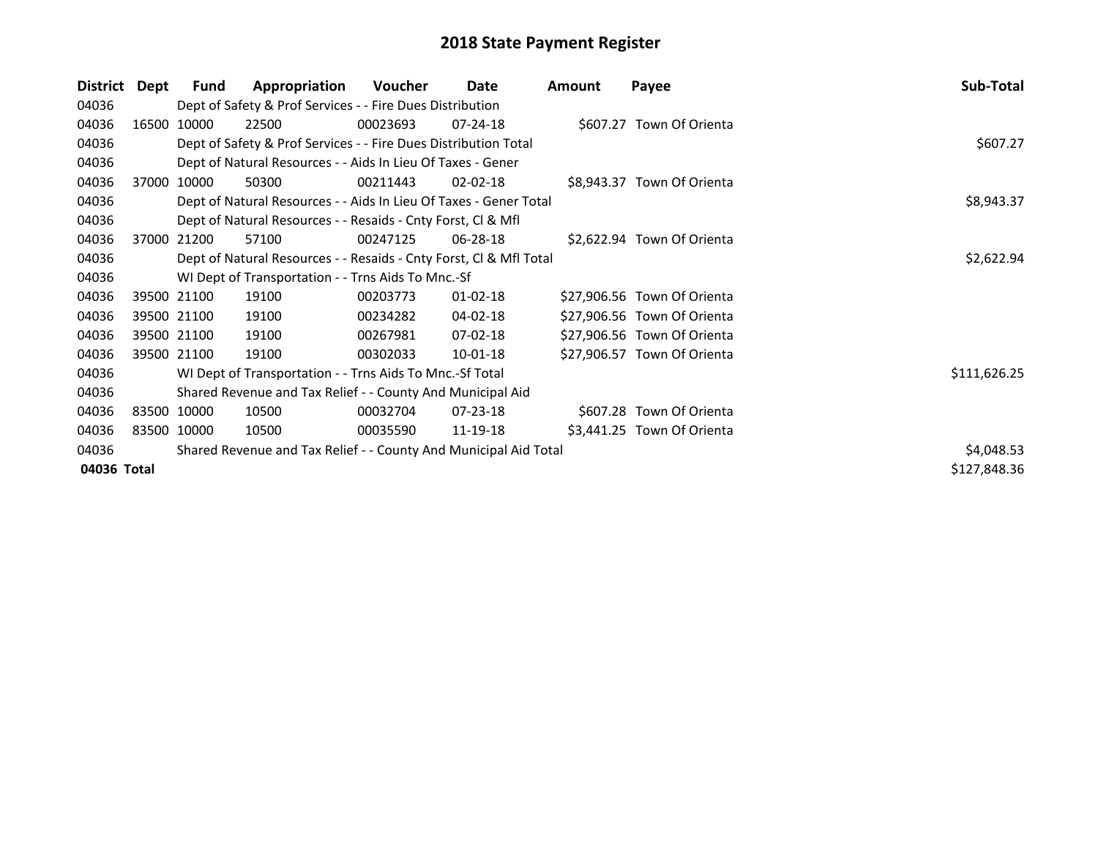| District    | Dept | Fund        | Appropriation                                                      | Voucher    | Date           | Amount | Payee                       | Sub-Total    |
|-------------|------|-------------|--------------------------------------------------------------------|------------|----------------|--------|-----------------------------|--------------|
| 04036       |      |             | Dept of Safety & Prof Services - - Fire Dues Distribution          |            |                |        |                             |              |
| 04036       |      | 16500 10000 | 22500                                                              | 00023693   | $07 - 24 - 18$ |        | \$607.27 Town Of Orienta    |              |
| 04036       |      |             | Dept of Safety & Prof Services - - Fire Dues Distribution Total    |            |                |        |                             | \$607.27     |
| 04036       |      |             | Dept of Natural Resources - - Aids In Lieu Of Taxes - Gener        |            |                |        |                             |              |
| 04036       |      | 37000 10000 | 50300                                                              | 00211443   | 02-02-18       |        | \$8,943.37 Town Of Orienta  |              |
| 04036       |      |             | Dept of Natural Resources - - Aids In Lieu Of Taxes - Gener Total  |            |                |        |                             | \$8,943.37   |
| 04036       |      |             | Dept of Natural Resources - - Resaids - Cnty Forst, Cl & Mfl       |            |                |        |                             |              |
| 04036       |      | 37000 21200 | 57100                                                              | 00247125   | $06 - 28 - 18$ |        | \$2,622.94 Town Of Orienta  |              |
| 04036       |      |             | Dept of Natural Resources - - Resaids - Cnty Forst, CI & Mfl Total | \$2,622.94 |                |        |                             |              |
| 04036       |      |             | WI Dept of Transportation - - Trns Aids To Mnc.-Sf                 |            |                |        |                             |              |
| 04036       |      | 39500 21100 | 19100                                                              | 00203773   | 01-02-18       |        | \$27,906.56 Town Of Orienta |              |
| 04036       |      | 39500 21100 | 19100                                                              | 00234282   | 04-02-18       |        | \$27,906.56 Town Of Orienta |              |
| 04036       |      | 39500 21100 | 19100                                                              | 00267981   | $07-02-18$     |        | \$27,906.56 Town Of Orienta |              |
| 04036       |      | 39500 21100 | 19100                                                              | 00302033   | 10-01-18       |        | \$27,906.57 Town Of Orienta |              |
| 04036       |      |             | WI Dept of Transportation - - Trns Aids To Mnc.-Sf Total           |            |                |        |                             | \$111,626.25 |
| 04036       |      |             | Shared Revenue and Tax Relief - - County And Municipal Aid         |            |                |        |                             |              |
| 04036       |      | 83500 10000 | 10500                                                              | 00032704   | 07-23-18       |        | \$607.28 Town Of Orienta    |              |
| 04036       |      | 83500 10000 | 10500                                                              | 00035590   | 11-19-18       |        | \$3,441.25 Town Of Orienta  |              |
| 04036       |      |             | Shared Revenue and Tax Relief - - County And Municipal Aid Total   |            |                |        |                             | \$4,048.53   |
| 04036 Total |      |             |                                                                    |            |                |        |                             | \$127,848.36 |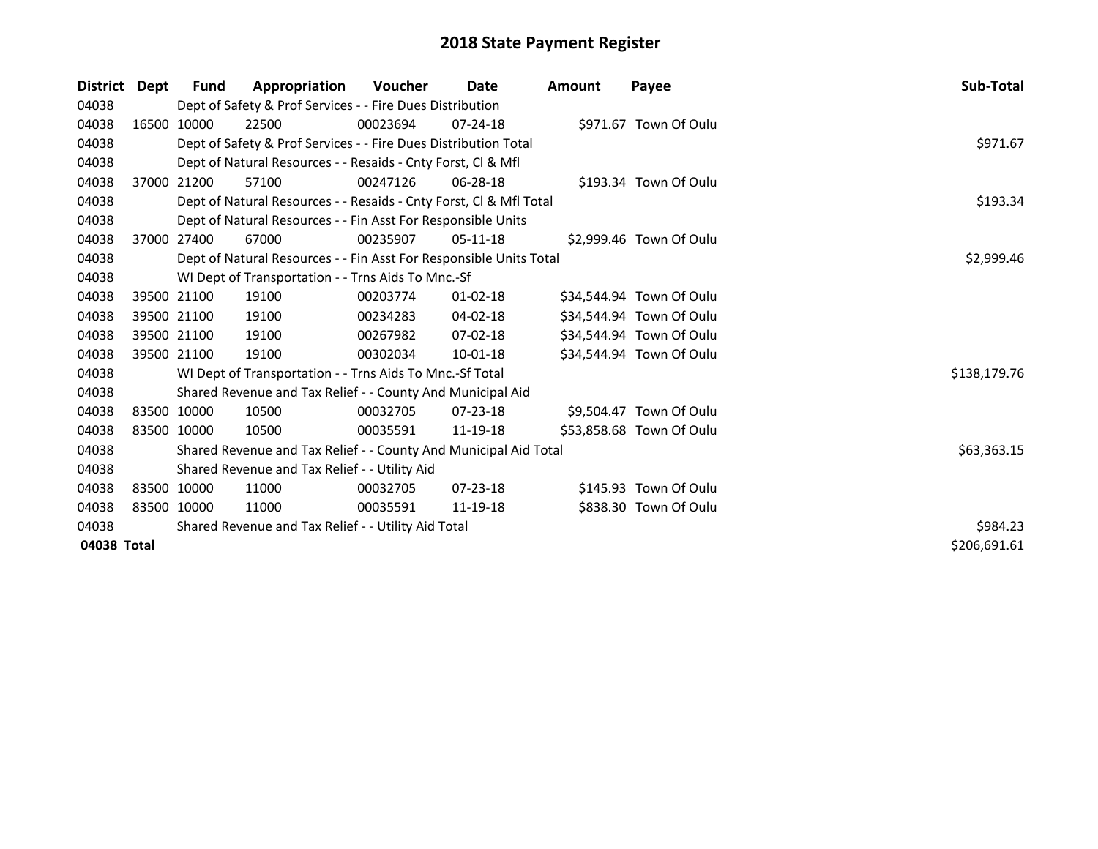| <b>District</b> | Dept        | <b>Fund</b> | Appropriation                                                      | Voucher  | Date           | <b>Amount</b> | Payee                    | Sub-Total    |
|-----------------|-------------|-------------|--------------------------------------------------------------------|----------|----------------|---------------|--------------------------|--------------|
| 04038           |             |             | Dept of Safety & Prof Services - - Fire Dues Distribution          |          |                |               |                          |              |
| 04038           |             | 16500 10000 | 22500                                                              | 00023694 | $07 - 24 - 18$ |               | \$971.67 Town Of Oulu    |              |
| 04038           |             |             | Dept of Safety & Prof Services - - Fire Dues Distribution Total    |          |                |               |                          | \$971.67     |
| 04038           |             |             | Dept of Natural Resources - - Resaids - Cnty Forst, CI & Mfl       |          |                |               |                          |              |
| 04038           |             | 37000 21200 | 57100                                                              | 00247126 | 06-28-18       |               | \$193.34 Town Of Oulu    |              |
| 04038           |             |             | Dept of Natural Resources - - Resaids - Cnty Forst, CI & Mfl Total |          |                |               |                          | \$193.34     |
| 04038           |             |             | Dept of Natural Resources - - Fin Asst For Responsible Units       |          |                |               |                          |              |
| 04038           |             | 37000 27400 | 67000                                                              | 00235907 | 05-11-18       |               | \$2,999.46 Town Of Oulu  |              |
| 04038           |             |             | Dept of Natural Resources - - Fin Asst For Responsible Units Total |          |                |               |                          | \$2,999.46   |
| 04038           |             |             | WI Dept of Transportation - - Trns Aids To Mnc.-Sf                 |          |                |               |                          |              |
| 04038           |             | 39500 21100 | 19100                                                              | 00203774 | $01 - 02 - 18$ |               | \$34,544.94 Town Of Oulu |              |
| 04038           |             | 39500 21100 | 19100                                                              | 00234283 | 04-02-18       |               | \$34,544.94 Town Of Oulu |              |
| 04038           |             | 39500 21100 | 19100                                                              | 00267982 | $07 - 02 - 18$ |               | \$34,544.94 Town Of Oulu |              |
| 04038           |             | 39500 21100 | 19100                                                              | 00302034 | $10 - 01 - 18$ |               | \$34,544.94 Town Of Oulu |              |
| 04038           |             |             | WI Dept of Transportation - - Trns Aids To Mnc.-Sf Total           |          |                |               |                          | \$138,179.76 |
| 04038           |             |             | Shared Revenue and Tax Relief - - County And Municipal Aid         |          |                |               |                          |              |
| 04038           | 83500 10000 |             | 10500                                                              | 00032705 | $07 - 23 - 18$ |               | \$9,504.47 Town Of Oulu  |              |
| 04038           | 83500 10000 |             | 10500                                                              | 00035591 | 11-19-18       |               | \$53,858.68 Town Of Oulu |              |
| 04038           |             |             | Shared Revenue and Tax Relief - - County And Municipal Aid Total   |          |                |               |                          | \$63,363.15  |
| 04038           |             |             | Shared Revenue and Tax Relief - - Utility Aid                      |          |                |               |                          |              |
| 04038           | 83500 10000 |             | 11000                                                              | 00032705 | $07 - 23 - 18$ |               | \$145.93 Town Of Oulu    |              |
| 04038           | 83500 10000 |             | 11000                                                              | 00035591 | 11-19-18       |               | \$838.30 Town Of Oulu    |              |
| 04038           |             |             | Shared Revenue and Tax Relief - - Utility Aid Total                | \$984.23 |                |               |                          |              |
| 04038 Total     |             |             |                                                                    |          |                |               |                          | \$206,691.61 |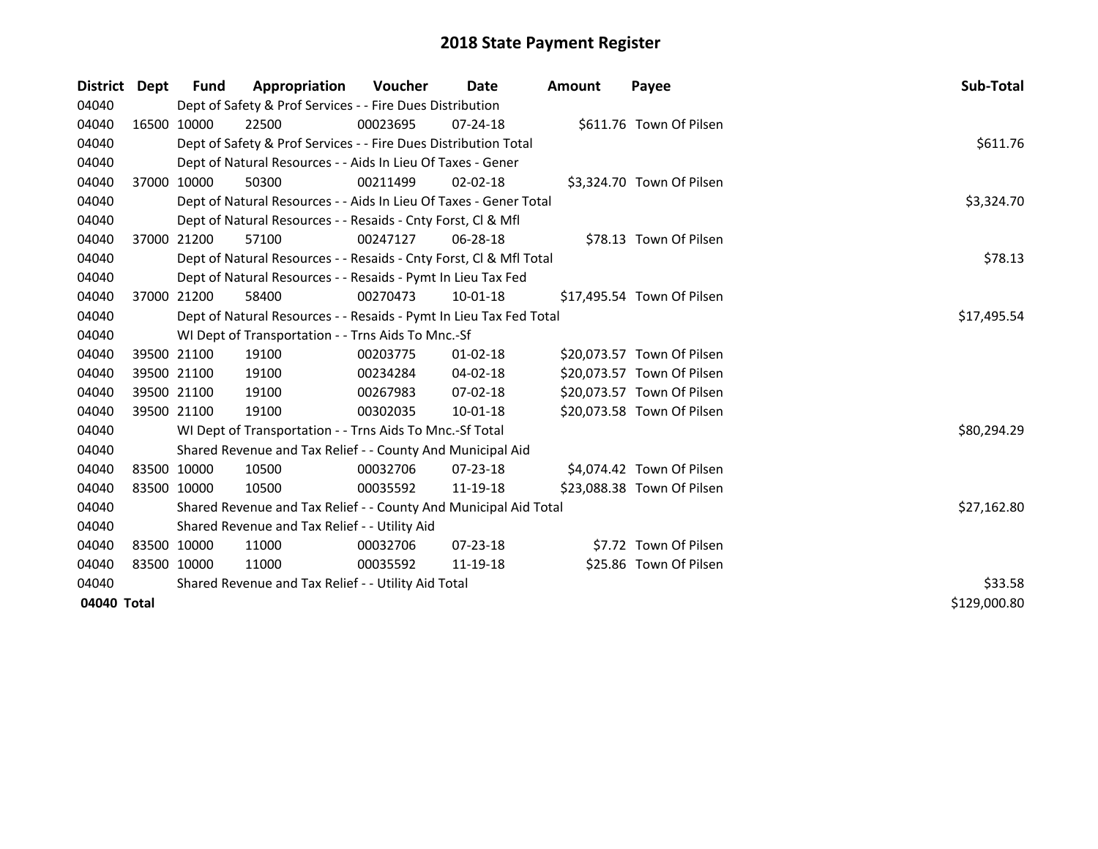| <b>District</b> | Dept | <b>Fund</b> | Appropriation                                                      | <b>Voucher</b> | Date           | Amount | Payee                      | Sub-Total    |
|-----------------|------|-------------|--------------------------------------------------------------------|----------------|----------------|--------|----------------------------|--------------|
| 04040           |      |             | Dept of Safety & Prof Services - - Fire Dues Distribution          |                |                |        |                            |              |
| 04040           |      | 16500 10000 | 22500                                                              | 00023695       | $07 - 24 - 18$ |        | \$611.76 Town Of Pilsen    |              |
| 04040           |      |             | Dept of Safety & Prof Services - - Fire Dues Distribution Total    |                |                |        |                            | \$611.76     |
| 04040           |      |             | Dept of Natural Resources - - Aids In Lieu Of Taxes - Gener        |                |                |        |                            |              |
| 04040           |      | 37000 10000 | 50300                                                              | 00211499       | $02 - 02 - 18$ |        | \$3,324.70 Town Of Pilsen  |              |
| 04040           |      |             | Dept of Natural Resources - - Aids In Lieu Of Taxes - Gener Total  |                |                |        |                            | \$3,324.70   |
| 04040           |      |             | Dept of Natural Resources - - Resaids - Cnty Forst, CI & Mfl       |                |                |        |                            |              |
| 04040           |      | 37000 21200 | 57100                                                              | 00247127       | 06-28-18       |        | \$78.13 Town Of Pilsen     |              |
| 04040           |      |             | Dept of Natural Resources - - Resaids - Cnty Forst, CI & Mfl Total |                |                |        |                            | \$78.13      |
| 04040           |      |             | Dept of Natural Resources - - Resaids - Pymt In Lieu Tax Fed       |                |                |        |                            |              |
| 04040           |      | 37000 21200 | 58400                                                              | 00270473       | $10 - 01 - 18$ |        | \$17,495.54 Town Of Pilsen |              |
| 04040           |      |             | Dept of Natural Resources - - Resaids - Pymt In Lieu Tax Fed Total |                |                |        |                            | \$17,495.54  |
| 04040           |      |             | WI Dept of Transportation - - Trns Aids To Mnc.-Sf                 |                |                |        |                            |              |
| 04040           |      | 39500 21100 | 19100                                                              | 00203775       | $01 - 02 - 18$ |        | \$20,073.57 Town Of Pilsen |              |
| 04040           |      | 39500 21100 | 19100                                                              | 00234284       | 04-02-18       |        | \$20,073.57 Town Of Pilsen |              |
| 04040           |      | 39500 21100 | 19100                                                              | 00267983       | 07-02-18       |        | \$20,073.57 Town Of Pilsen |              |
| 04040           |      | 39500 21100 | 19100                                                              | 00302035       | 10-01-18       |        | \$20,073.58 Town Of Pilsen |              |
| 04040           |      |             | WI Dept of Transportation - - Trns Aids To Mnc.-Sf Total           |                |                |        |                            | \$80,294.29  |
| 04040           |      |             | Shared Revenue and Tax Relief - - County And Municipal Aid         |                |                |        |                            |              |
| 04040           |      | 83500 10000 | 10500                                                              | 00032706       | $07 - 23 - 18$ |        | \$4,074.42 Town Of Pilsen  |              |
| 04040           |      | 83500 10000 | 10500                                                              | 00035592       | 11-19-18       |        | \$23,088.38 Town Of Pilsen |              |
| 04040           |      |             | Shared Revenue and Tax Relief - - County And Municipal Aid Total   |                |                |        |                            | \$27,162.80  |
| 04040           |      |             | Shared Revenue and Tax Relief - - Utility Aid                      |                |                |        |                            |              |
| 04040           |      | 83500 10000 | 11000                                                              | 00032706       | 07-23-18       |        | \$7.72 Town Of Pilsen      |              |
| 04040           |      | 83500 10000 | 11000                                                              | 00035592       | 11-19-18       |        | \$25.86 Town Of Pilsen     |              |
| 04040           |      |             | Shared Revenue and Tax Relief - - Utility Aid Total                | \$33.58        |                |        |                            |              |
| 04040 Total     |      |             |                                                                    |                |                |        |                            | \$129,000.80 |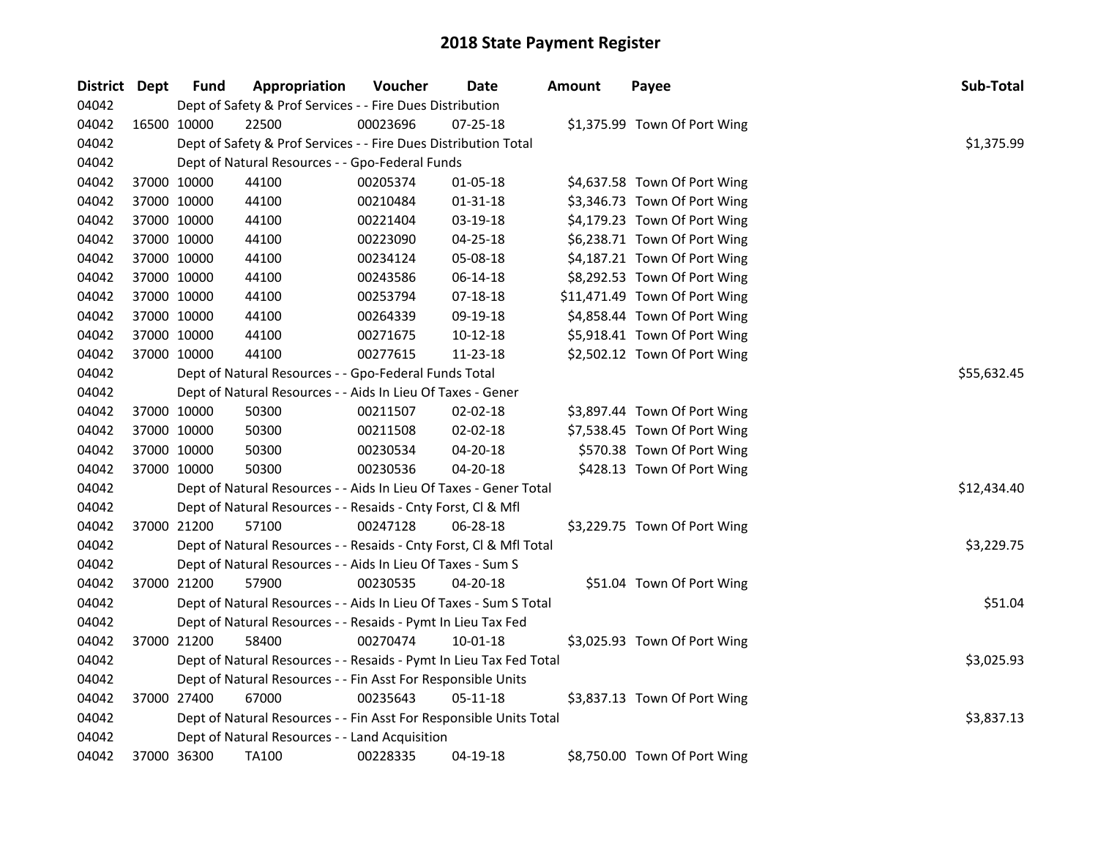| District Dept |             | <b>Fund</b> | Appropriation                                                      | Voucher  | Date           | <b>Amount</b> | Payee                         | Sub-Total   |  |  |  |
|---------------|-------------|-------------|--------------------------------------------------------------------|----------|----------------|---------------|-------------------------------|-------------|--|--|--|
| 04042         |             |             | Dept of Safety & Prof Services - - Fire Dues Distribution          |          |                |               |                               |             |  |  |  |
| 04042         |             | 16500 10000 | 22500                                                              | 00023696 | $07 - 25 - 18$ |               | \$1,375.99 Town Of Port Wing  |             |  |  |  |
| 04042         |             |             | Dept of Safety & Prof Services - - Fire Dues Distribution Total    |          |                |               |                               | \$1,375.99  |  |  |  |
| 04042         |             |             | Dept of Natural Resources - - Gpo-Federal Funds                    |          |                |               |                               |             |  |  |  |
| 04042         |             | 37000 10000 | 44100                                                              | 00205374 | $01 - 05 - 18$ |               | \$4,637.58 Town Of Port Wing  |             |  |  |  |
| 04042         |             | 37000 10000 | 44100                                                              | 00210484 | $01 - 31 - 18$ |               | \$3,346.73 Town Of Port Wing  |             |  |  |  |
| 04042         |             | 37000 10000 | 44100                                                              | 00221404 | 03-19-18       |               | \$4,179.23 Town Of Port Wing  |             |  |  |  |
| 04042         | 37000 10000 |             | 44100                                                              | 00223090 | 04-25-18       |               | \$6,238.71 Town Of Port Wing  |             |  |  |  |
| 04042         | 37000 10000 |             | 44100                                                              | 00234124 | 05-08-18       |               | \$4,187.21 Town Of Port Wing  |             |  |  |  |
| 04042         | 37000 10000 |             | 44100                                                              | 00243586 | 06-14-18       |               | \$8,292.53 Town Of Port Wing  |             |  |  |  |
| 04042         |             | 37000 10000 | 44100                                                              | 00253794 | 07-18-18       |               | \$11,471.49 Town Of Port Wing |             |  |  |  |
| 04042         | 37000 10000 |             | 44100                                                              | 00264339 | 09-19-18       |               | \$4,858.44 Town Of Port Wing  |             |  |  |  |
| 04042         |             | 37000 10000 | 44100                                                              | 00271675 | $10-12-18$     |               | \$5,918.41 Town Of Port Wing  |             |  |  |  |
| 04042         |             | 37000 10000 | 44100                                                              | 00277615 | 11-23-18       |               | \$2,502.12 Town Of Port Wing  |             |  |  |  |
| 04042         |             |             | Dept of Natural Resources - - Gpo-Federal Funds Total              |          |                |               |                               | \$55,632.45 |  |  |  |
| 04042         |             |             | Dept of Natural Resources - - Aids In Lieu Of Taxes - Gener        |          |                |               |                               |             |  |  |  |
| 04042         |             | 37000 10000 | 50300                                                              | 00211507 | 02-02-18       |               | \$3,897.44 Town Of Port Wing  |             |  |  |  |
| 04042         |             | 37000 10000 | 50300                                                              | 00211508 | 02-02-18       |               | \$7,538.45 Town Of Port Wing  |             |  |  |  |
| 04042         |             | 37000 10000 | 50300                                                              | 00230534 | 04-20-18       |               | \$570.38 Town Of Port Wing    |             |  |  |  |
| 04042         |             | 37000 10000 | 50300                                                              | 00230536 | 04-20-18       |               | \$428.13 Town Of Port Wing    |             |  |  |  |
| 04042         |             |             | Dept of Natural Resources - - Aids In Lieu Of Taxes - Gener Total  |          |                |               |                               | \$12,434.40 |  |  |  |
| 04042         |             |             | Dept of Natural Resources - - Resaids - Cnty Forst, Cl & Mfl       |          |                |               |                               |             |  |  |  |
| 04042         |             | 37000 21200 | 57100                                                              | 00247128 | 06-28-18       |               | \$3,229.75 Town Of Port Wing  |             |  |  |  |
| 04042         |             |             | Dept of Natural Resources - - Resaids - Cnty Forst, Cl & Mfl Total |          |                |               |                               | \$3,229.75  |  |  |  |
| 04042         |             |             | Dept of Natural Resources - - Aids In Lieu Of Taxes - Sum S        |          |                |               |                               |             |  |  |  |
| 04042         |             | 37000 21200 | 57900                                                              | 00230535 | 04-20-18       |               | \$51.04 Town Of Port Wing     |             |  |  |  |
| 04042         |             |             | Dept of Natural Resources - - Aids In Lieu Of Taxes - Sum S Total  |          |                |               |                               | \$51.04     |  |  |  |
| 04042         |             |             | Dept of Natural Resources - - Resaids - Pymt In Lieu Tax Fed       |          |                |               |                               |             |  |  |  |
| 04042         |             | 37000 21200 | 58400                                                              | 00270474 | 10-01-18       |               | \$3,025.93 Town Of Port Wing  |             |  |  |  |
| 04042         |             |             | Dept of Natural Resources - - Resaids - Pymt In Lieu Tax Fed Total |          |                |               |                               | \$3,025.93  |  |  |  |
| 04042         |             |             | Dept of Natural Resources - - Fin Asst For Responsible Units       |          |                |               |                               |             |  |  |  |
| 04042         |             | 37000 27400 | 67000                                                              | 00235643 | 05-11-18       |               | \$3,837.13 Town Of Port Wing  |             |  |  |  |
| 04042         |             |             | Dept of Natural Resources - - Fin Asst For Responsible Units Total |          |                |               |                               | \$3,837.13  |  |  |  |
| 04042         |             |             | Dept of Natural Resources - - Land Acquisition                     |          |                |               |                               |             |  |  |  |
| 04042         |             | 37000 36300 | <b>TA100</b>                                                       | 00228335 | 04-19-18       |               | \$8,750.00 Town Of Port Wing  |             |  |  |  |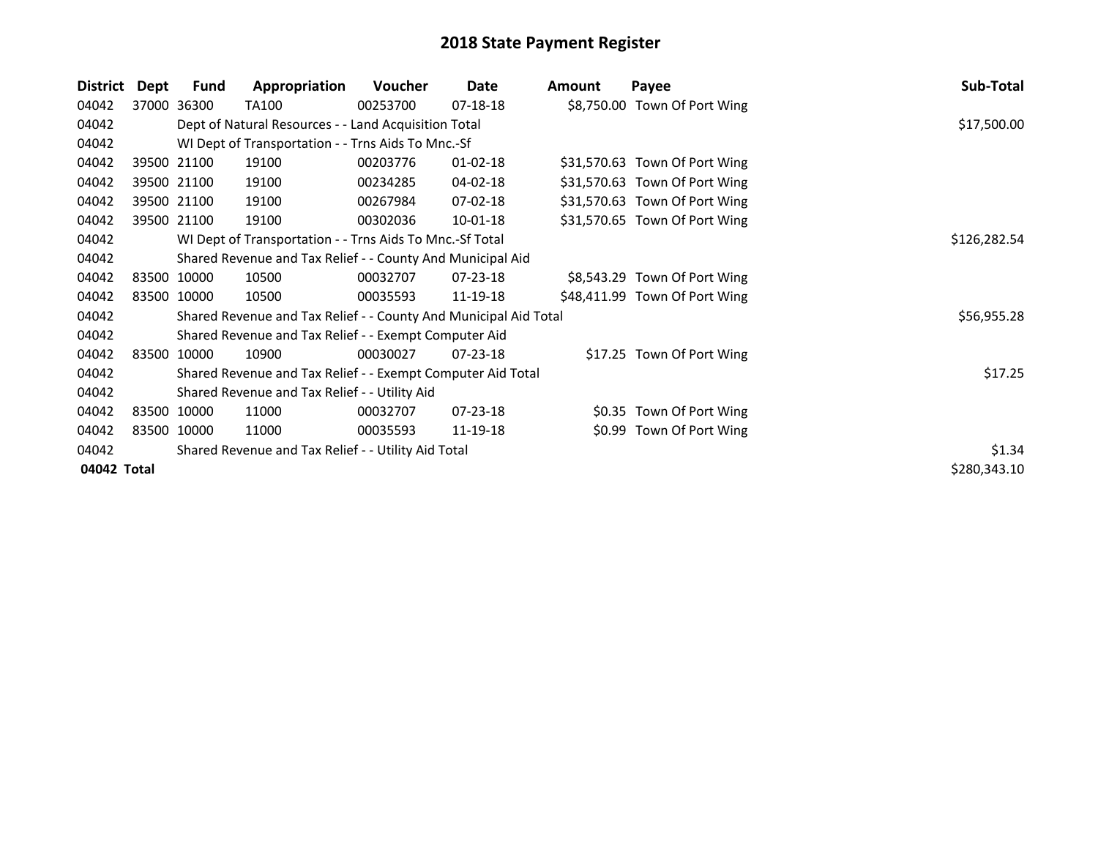| District    | Dept | Fund                                                | Appropriation                                                    | <b>Voucher</b> | Date           | <b>Amount</b> | Payee                         | Sub-Total    |
|-------------|------|-----------------------------------------------------|------------------------------------------------------------------|----------------|----------------|---------------|-------------------------------|--------------|
| 04042       |      | 37000 36300                                         | TA100                                                            | 00253700       | 07-18-18       |               | \$8,750.00 Town Of Port Wing  |              |
| 04042       |      |                                                     | Dept of Natural Resources - - Land Acquisition Total             |                |                |               |                               | \$17,500.00  |
| 04042       |      |                                                     | WI Dept of Transportation - - Trns Aids To Mnc.-Sf               |                |                |               |                               |              |
| 04042       |      | 39500 21100                                         | 19100                                                            | 00203776       | $01 - 02 - 18$ |               | \$31,570.63 Town Of Port Wing |              |
| 04042       |      | 39500 21100                                         | 19100                                                            | 00234285       | 04-02-18       |               | \$31,570.63 Town Of Port Wing |              |
| 04042       |      | 39500 21100                                         | 19100                                                            | 00267984       | 07-02-18       |               | \$31,570.63 Town Of Port Wing |              |
| 04042       |      | 39500 21100                                         | 19100                                                            | 00302036       | $10 - 01 - 18$ |               | \$31,570.65 Town Of Port Wing |              |
| 04042       |      |                                                     | WI Dept of Transportation - - Trns Aids To Mnc.-Sf Total         |                |                |               |                               | \$126,282.54 |
| 04042       |      |                                                     | Shared Revenue and Tax Relief - - County And Municipal Aid       |                |                |               |                               |              |
| 04042       |      | 83500 10000                                         | 10500                                                            | 00032707       | $07 - 23 - 18$ |               | \$8,543.29 Town Of Port Wing  |              |
| 04042       |      | 83500 10000                                         | 10500                                                            | 00035593       | 11-19-18       |               | \$48,411.99 Town Of Port Wing |              |
| 04042       |      |                                                     | Shared Revenue and Tax Relief - - County And Municipal Aid Total |                |                |               |                               | \$56,955.28  |
| 04042       |      |                                                     | Shared Revenue and Tax Relief - - Exempt Computer Aid            |                |                |               |                               |              |
| 04042       |      | 83500 10000                                         | 10900                                                            | 00030027       | 07-23-18       |               | \$17.25 Town Of Port Wing     |              |
| 04042       |      |                                                     | Shared Revenue and Tax Relief - - Exempt Computer Aid Total      |                |                |               |                               | \$17.25      |
| 04042       |      |                                                     | Shared Revenue and Tax Relief - - Utility Aid                    |                |                |               |                               |              |
| 04042       |      | 83500 10000                                         | 11000                                                            | 00032707       | 07-23-18       |               | \$0.35 Town Of Port Wing      |              |
| 04042       |      | 83500 10000                                         | 11000                                                            | 00035593       | 11-19-18       |               | \$0.99 Town Of Port Wing      |              |
| 04042       |      | Shared Revenue and Tax Relief - - Utility Aid Total | \$1.34                                                           |                |                |               |                               |              |
| 04042 Total |      |                                                     |                                                                  |                |                |               |                               | \$280,343.10 |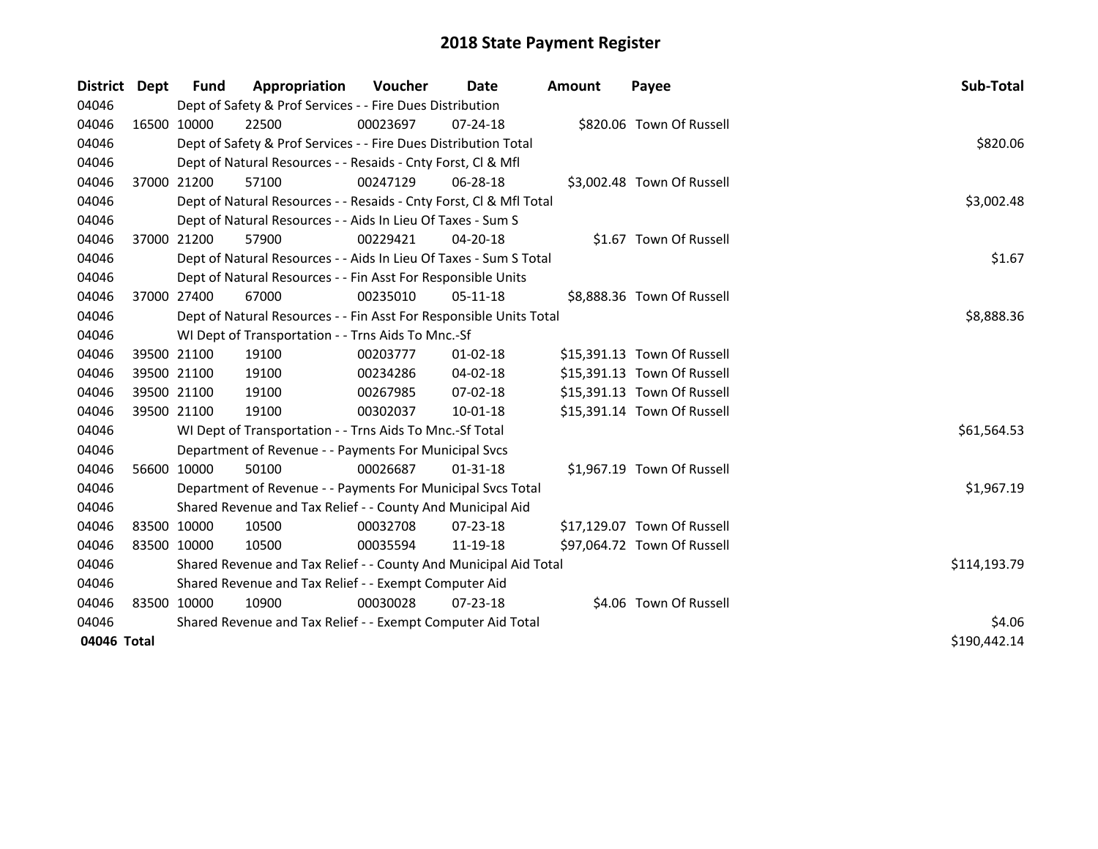| <b>District</b> | Dept | <b>Fund</b>                                           | Appropriation                                                      | Voucher  | <b>Date</b>    | <b>Amount</b> | Payee                       | Sub-Total    |
|-----------------|------|-------------------------------------------------------|--------------------------------------------------------------------|----------|----------------|---------------|-----------------------------|--------------|
| 04046           |      |                                                       | Dept of Safety & Prof Services - - Fire Dues Distribution          |          |                |               |                             |              |
| 04046           |      | 16500 10000                                           | 22500                                                              | 00023697 | $07 - 24 - 18$ |               | \$820.06 Town Of Russell    |              |
| 04046           |      |                                                       | Dept of Safety & Prof Services - - Fire Dues Distribution Total    |          |                |               |                             | \$820.06     |
| 04046           |      |                                                       | Dept of Natural Resources - - Resaids - Cnty Forst, Cl & Mfl       |          |                |               |                             |              |
| 04046           |      | 37000 21200                                           | 57100                                                              | 00247129 | 06-28-18       |               | \$3,002.48 Town Of Russell  |              |
| 04046           |      |                                                       | Dept of Natural Resources - - Resaids - Cnty Forst, Cl & Mfl Total |          |                |               |                             | \$3,002.48   |
| 04046           |      |                                                       | Dept of Natural Resources - - Aids In Lieu Of Taxes - Sum S        |          |                |               |                             |              |
| 04046           |      | 37000 21200                                           | 57900                                                              | 00229421 | 04-20-18       |               | \$1.67 Town Of Russell      |              |
| 04046           |      |                                                       | Dept of Natural Resources - - Aids In Lieu Of Taxes - Sum S Total  |          |                |               |                             | \$1.67       |
| 04046           |      |                                                       | Dept of Natural Resources - - Fin Asst For Responsible Units       |          |                |               |                             |              |
| 04046           |      | 37000 27400                                           | 67000                                                              | 00235010 | $05-11-18$     |               | \$8,888.36 Town Of Russell  |              |
| 04046           |      |                                                       | Dept of Natural Resources - - Fin Asst For Responsible Units Total |          |                |               |                             | \$8,888.36   |
| 04046           |      |                                                       | WI Dept of Transportation - - Trns Aids To Mnc.-Sf                 |          |                |               |                             |              |
| 04046           |      | 39500 21100                                           | 19100                                                              | 00203777 | $01 - 02 - 18$ |               | \$15,391.13 Town Of Russell |              |
| 04046           |      | 39500 21100                                           | 19100                                                              | 00234286 | 04-02-18       |               | \$15,391.13 Town Of Russell |              |
| 04046           |      | 39500 21100                                           | 19100                                                              | 00267985 | 07-02-18       |               | \$15,391.13 Town Of Russell |              |
| 04046           |      | 39500 21100                                           | 19100                                                              | 00302037 | $10 - 01 - 18$ |               | \$15,391.14 Town Of Russell |              |
| 04046           |      |                                                       | WI Dept of Transportation - - Trns Aids To Mnc.-Sf Total           |          |                |               |                             | \$61,564.53  |
| 04046           |      |                                                       | Department of Revenue - - Payments For Municipal Svcs              |          |                |               |                             |              |
| 04046           |      | 56600 10000                                           | 50100                                                              | 00026687 | $01 - 31 - 18$ |               | \$1,967.19 Town Of Russell  |              |
| 04046           |      |                                                       | Department of Revenue - - Payments For Municipal Svcs Total        |          |                |               |                             | \$1,967.19   |
| 04046           |      |                                                       | Shared Revenue and Tax Relief - - County And Municipal Aid         |          |                |               |                             |              |
| 04046           |      | 83500 10000                                           | 10500                                                              | 00032708 | 07-23-18       |               | \$17,129.07 Town Of Russell |              |
| 04046           |      | 83500 10000                                           | 10500                                                              | 00035594 | 11-19-18       |               | \$97,064.72 Town Of Russell |              |
| 04046           |      |                                                       | Shared Revenue and Tax Relief - - County And Municipal Aid Total   |          |                |               |                             | \$114,193.79 |
| 04046           |      | Shared Revenue and Tax Relief - - Exempt Computer Aid |                                                                    |          |                |               |                             |              |
| 04046           |      | 83500 10000                                           | 10900                                                              | 00030028 | $07 - 23 - 18$ |               | \$4.06 Town Of Russell      |              |
| 04046           |      |                                                       | Shared Revenue and Tax Relief - - Exempt Computer Aid Total        | \$4.06   |                |               |                             |              |
| 04046 Total     |      |                                                       |                                                                    |          |                |               |                             | \$190,442.14 |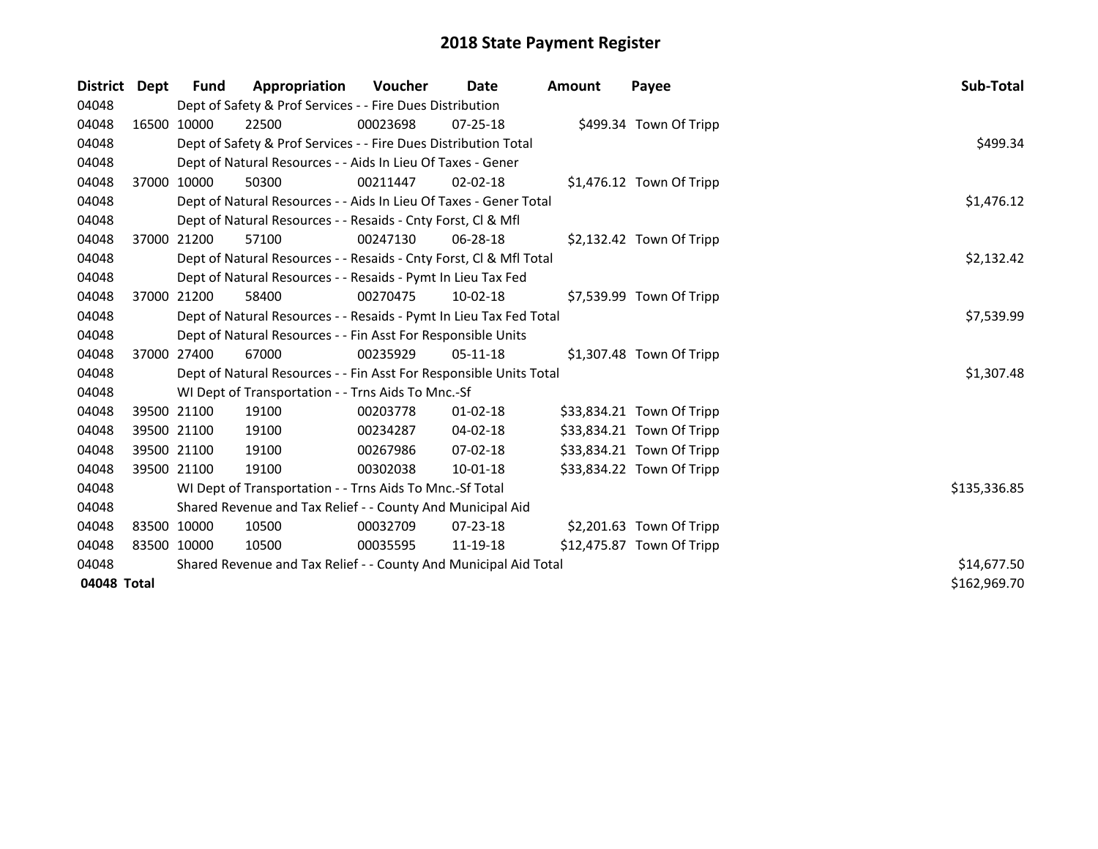| District    | Dept        | Fund        | Appropriation                                                      | Voucher  | Date           | <b>Amount</b> | Payee                      | Sub-Total    |
|-------------|-------------|-------------|--------------------------------------------------------------------|----------|----------------|---------------|----------------------------|--------------|
| 04048       |             |             | Dept of Safety & Prof Services - - Fire Dues Distribution          |          |                |               |                            |              |
| 04048       |             | 16500 10000 | 22500                                                              | 00023698 | $07 - 25 - 18$ |               | \$499.34 Town Of Tripp     |              |
| 04048       |             |             | Dept of Safety & Prof Services - - Fire Dues Distribution Total    |          |                |               |                            | \$499.34     |
| 04048       |             |             | Dept of Natural Resources - - Aids In Lieu Of Taxes - Gener        |          |                |               |                            |              |
| 04048       |             | 37000 10000 | 50300                                                              | 00211447 | $02 - 02 - 18$ |               | $$1,476.12$ Town Of Tripp  |              |
| 04048       |             |             | Dept of Natural Resources - - Aids In Lieu Of Taxes - Gener Total  |          |                |               |                            | \$1,476.12   |
| 04048       |             |             | Dept of Natural Resources - - Resaids - Cnty Forst, Cl & Mfl       |          |                |               |                            |              |
| 04048       |             | 37000 21200 | 57100                                                              | 00247130 | $06 - 28 - 18$ |               | \$2,132.42 Town Of Tripp   |              |
| 04048       |             |             | Dept of Natural Resources - - Resaids - Cnty Forst, Cl & Mfl Total |          |                |               |                            | \$2,132.42   |
| 04048       |             |             | Dept of Natural Resources - - Resaids - Pymt In Lieu Tax Fed       |          |                |               |                            |              |
| 04048       |             | 37000 21200 | 58400                                                              | 00270475 | $10 - 02 - 18$ |               | \$7,539.99 Town Of Tripp   |              |
| 04048       |             |             | Dept of Natural Resources - - Resaids - Pymt In Lieu Tax Fed Total |          |                |               |                            | \$7,539.99   |
| 04048       |             |             | Dept of Natural Resources - - Fin Asst For Responsible Units       |          |                |               |                            |              |
| 04048       |             | 37000 27400 | 67000                                                              | 00235929 | $05-11-18$     |               | $$1,307.48$ Town Of Tripp  |              |
| 04048       |             |             | Dept of Natural Resources - - Fin Asst For Responsible Units Total |          |                |               |                            | \$1,307.48   |
| 04048       |             |             | WI Dept of Transportation - - Trns Aids To Mnc.-Sf                 |          |                |               |                            |              |
| 04048       |             | 39500 21100 | 19100                                                              | 00203778 | $01 - 02 - 18$ |               | \$33,834.21 Town Of Tripp  |              |
| 04048       | 39500 21100 |             | 19100                                                              | 00234287 | $04 - 02 - 18$ |               | \$33,834.21 Town Of Tripp  |              |
| 04048       | 39500 21100 |             | 19100                                                              | 00267986 | 07-02-18       |               | \$33,834.21 Town Of Tripp  |              |
| 04048       |             | 39500 21100 | 19100                                                              | 00302038 | $10-01-18$     |               | \$33,834.22 Town Of Tripp  |              |
| 04048       |             |             | WI Dept of Transportation - - Trns Aids To Mnc.-Sf Total           |          |                |               |                            | \$135,336.85 |
| 04048       |             |             | Shared Revenue and Tax Relief - - County And Municipal Aid         |          |                |               |                            |              |
| 04048       | 83500 10000 |             | 10500                                                              | 00032709 | $07 - 23 - 18$ |               | $$2,201.63$ Town Of Tripp  |              |
| 04048       | 83500 10000 |             | 10500                                                              | 00035595 | 11-19-18       |               | $$12,475.87$ Town Of Tripp |              |
| 04048       |             |             | Shared Revenue and Tax Relief - - County And Municipal Aid Total   |          |                |               |                            | \$14,677.50  |
| 04048 Total |             |             |                                                                    |          |                |               |                            | \$162,969.70 |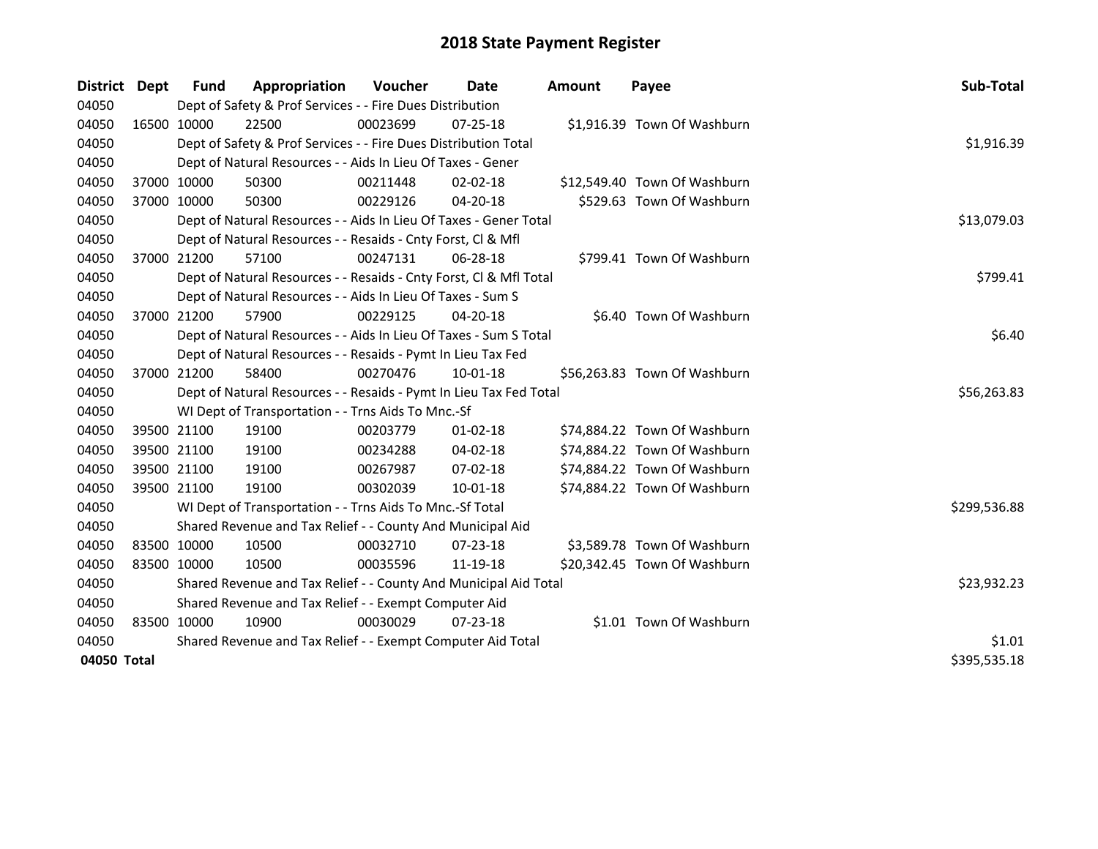| <b>District</b> | <b>Dept</b> | Fund        | Appropriation                                                      | <b>Voucher</b> | Date           | <b>Amount</b> | Payee                        | Sub-Total    |
|-----------------|-------------|-------------|--------------------------------------------------------------------|----------------|----------------|---------------|------------------------------|--------------|
| 04050           |             |             | Dept of Safety & Prof Services - - Fire Dues Distribution          |                |                |               |                              |              |
| 04050           |             | 16500 10000 | 22500                                                              | 00023699       | 07-25-18       |               | \$1,916.39 Town Of Washburn  |              |
| 04050           |             |             | Dept of Safety & Prof Services - - Fire Dues Distribution Total    |                |                |               |                              | \$1,916.39   |
| 04050           |             |             | Dept of Natural Resources - - Aids In Lieu Of Taxes - Gener        |                |                |               |                              |              |
| 04050           |             | 37000 10000 | 50300                                                              | 00211448       | 02-02-18       |               | \$12,549.40 Town Of Washburn |              |
| 04050           | 37000 10000 |             | 50300                                                              | 00229126       | 04-20-18       |               | \$529.63 Town Of Washburn    |              |
| 04050           |             |             | Dept of Natural Resources - - Aids In Lieu Of Taxes - Gener Total  |                |                |               |                              | \$13,079.03  |
| 04050           |             |             | Dept of Natural Resources - - Resaids - Cnty Forst, Cl & Mfl       |                |                |               |                              |              |
| 04050           | 37000 21200 |             | 57100                                                              | 00247131       | 06-28-18       |               | \$799.41 Town Of Washburn    |              |
| 04050           |             |             | Dept of Natural Resources - - Resaids - Cnty Forst, Cl & Mfl Total |                |                |               |                              | \$799.41     |
| 04050           |             |             | Dept of Natural Resources - - Aids In Lieu Of Taxes - Sum S        |                |                |               |                              |              |
| 04050           |             | 37000 21200 | 57900                                                              | 00229125       | 04-20-18       |               | \$6.40 Town Of Washburn      |              |
| 04050           |             |             | Dept of Natural Resources - - Aids In Lieu Of Taxes - Sum S Total  |                |                |               |                              | \$6.40       |
| 04050           |             |             | Dept of Natural Resources - - Resaids - Pymt In Lieu Tax Fed       |                |                |               |                              |              |
| 04050           |             | 37000 21200 | 58400                                                              | 00270476       | $10 - 01 - 18$ |               | \$56,263.83 Town Of Washburn |              |
| 04050           |             |             | Dept of Natural Resources - - Resaids - Pymt In Lieu Tax Fed Total |                |                |               |                              | \$56,263.83  |
| 04050           |             |             | WI Dept of Transportation - - Trns Aids To Mnc.-Sf                 |                |                |               |                              |              |
| 04050           |             | 39500 21100 | 19100                                                              | 00203779       | $01-02-18$     |               | \$74,884.22 Town Of Washburn |              |
| 04050           | 39500 21100 |             | 19100                                                              | 00234288       | 04-02-18       |               | \$74,884.22 Town Of Washburn |              |
| 04050           |             | 39500 21100 | 19100                                                              | 00267987       | 07-02-18       |               | \$74,884.22 Town Of Washburn |              |
| 04050           | 39500 21100 |             | 19100                                                              | 00302039       | 10-01-18       |               | \$74,884.22 Town Of Washburn |              |
| 04050           |             |             | WI Dept of Transportation - - Trns Aids To Mnc.-Sf Total           |                |                |               |                              | \$299,536.88 |
| 04050           |             |             | Shared Revenue and Tax Relief - - County And Municipal Aid         |                |                |               |                              |              |
| 04050           | 83500 10000 |             | 10500                                                              | 00032710       | $07 - 23 - 18$ |               | \$3,589.78 Town Of Washburn  |              |
| 04050           | 83500 10000 |             | 10500                                                              | 00035596       | 11-19-18       |               | \$20,342.45 Town Of Washburn |              |
| 04050           |             |             | Shared Revenue and Tax Relief - - County And Municipal Aid Total   |                |                |               |                              | \$23,932.23  |
| 04050           |             |             | Shared Revenue and Tax Relief - - Exempt Computer Aid              |                |                |               |                              |              |
| 04050           |             | 83500 10000 | 10900                                                              | 00030029       | $07 - 23 - 18$ |               | \$1.01 Town Of Washburn      |              |
| 04050           |             |             | Shared Revenue and Tax Relief - - Exempt Computer Aid Total        |                |                |               |                              | \$1.01       |
| 04050 Total     |             |             |                                                                    |                |                |               |                              | \$395,535.18 |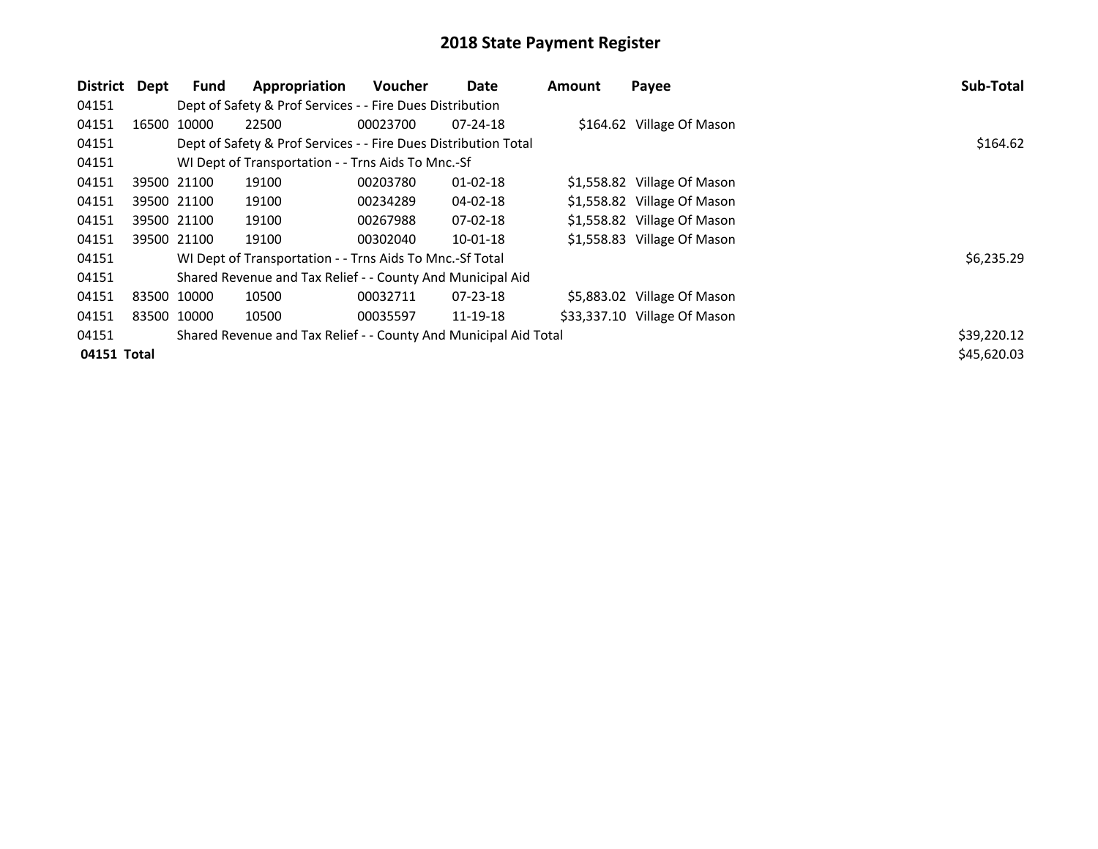| <b>District</b> | Dept        | Fund        | Appropriation                                                    | <b>Voucher</b> | Date           | <b>Amount</b> | Payee                        | Sub-Total   |
|-----------------|-------------|-------------|------------------------------------------------------------------|----------------|----------------|---------------|------------------------------|-------------|
| 04151           |             |             | Dept of Safety & Prof Services - - Fire Dues Distribution        |                |                |               |                              |             |
| 04151           |             | 16500 10000 | 22500                                                            | 00023700       | $07 - 24 - 18$ |               | \$164.62 Village Of Mason    |             |
| 04151           |             |             | Dept of Safety & Prof Services - - Fire Dues Distribution Total  |                |                |               |                              | \$164.62    |
| 04151           |             |             | WI Dept of Transportation - - Trns Aids To Mnc.-Sf               |                |                |               |                              |             |
| 04151           |             | 39500 21100 | 19100                                                            | 00203780       | $01 - 02 - 18$ |               | \$1,558.82 Village Of Mason  |             |
| 04151           |             | 39500 21100 | 19100                                                            | 00234289       | 04-02-18       |               | \$1,558.82 Village Of Mason  |             |
| 04151           |             | 39500 21100 | 19100                                                            | 00267988       | $07-02-18$     |               | \$1,558.82 Village Of Mason  |             |
| 04151           |             | 39500 21100 | 19100                                                            | 00302040       | 10-01-18       |               | \$1,558.83 Village Of Mason  |             |
| 04151           |             |             | WI Dept of Transportation - - Trns Aids To Mnc.-Sf Total         |                |                |               |                              | \$6,235.29  |
| 04151           |             |             | Shared Revenue and Tax Relief - - County And Municipal Aid       |                |                |               |                              |             |
| 04151           | 83500 10000 |             | 10500                                                            | 00032711       | $07 - 23 - 18$ |               | \$5,883.02 Village Of Mason  |             |
| 04151           |             | 83500 10000 | 10500                                                            | 00035597       | 11-19-18       |               | \$33,337.10 Village Of Mason |             |
| 04151           |             |             | Shared Revenue and Tax Relief - - County And Municipal Aid Total |                |                |               |                              | \$39,220.12 |
| 04151 Total     |             |             |                                                                  |                |                |               |                              | \$45,620.03 |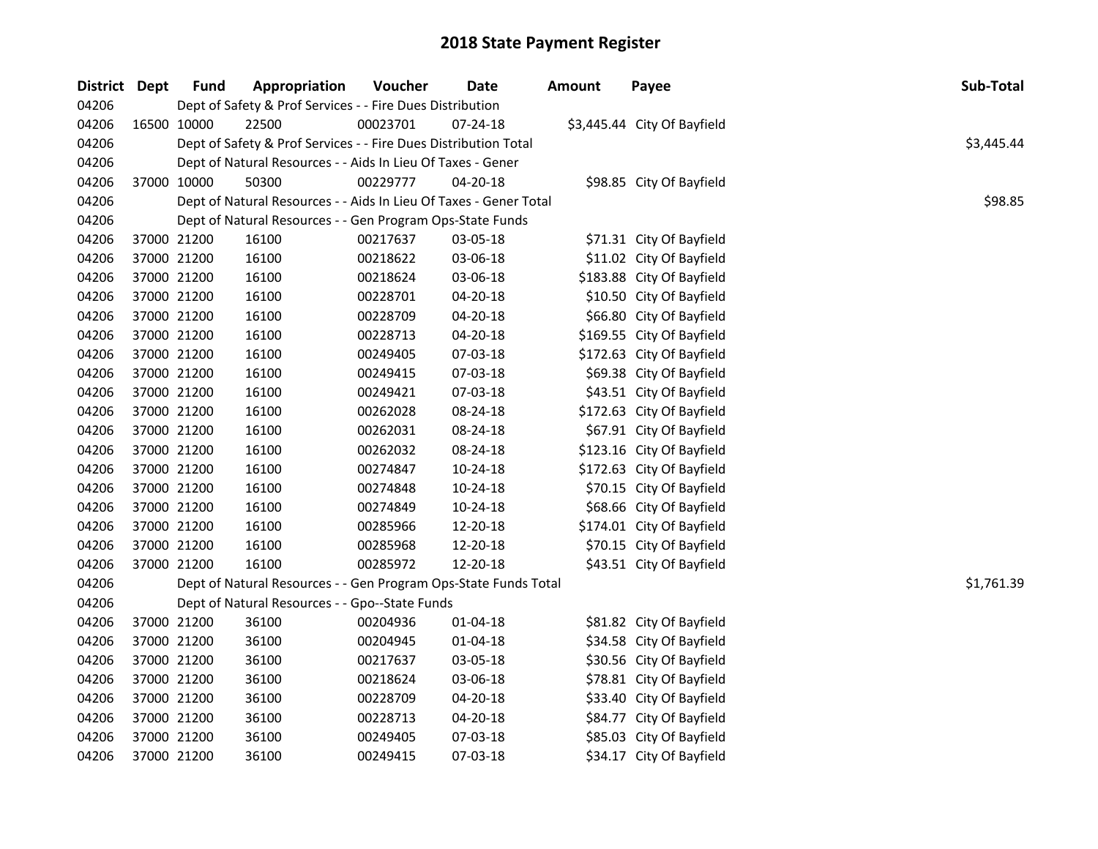| District Dept | <b>Fund</b>                                               | Appropriation                                                     | Voucher  | Date           | <b>Amount</b> | Payee                       | Sub-Total  |  |  |  |  |
|---------------|-----------------------------------------------------------|-------------------------------------------------------------------|----------|----------------|---------------|-----------------------------|------------|--|--|--|--|
| 04206         | Dept of Safety & Prof Services - - Fire Dues Distribution |                                                                   |          |                |               |                             |            |  |  |  |  |
| 04206         | 16500 10000                                               | 22500                                                             | 00023701 | $07 - 24 - 18$ |               | \$3,445.44 City Of Bayfield |            |  |  |  |  |
| 04206         |                                                           | Dept of Safety & Prof Services - - Fire Dues Distribution Total   |          |                |               |                             | \$3,445.44 |  |  |  |  |
| 04206         |                                                           | Dept of Natural Resources - - Aids In Lieu Of Taxes - Gener       |          |                |               |                             |            |  |  |  |  |
| 04206         | 37000 10000                                               | 50300                                                             | 00229777 | $04 - 20 - 18$ |               | \$98.85 City Of Bayfield    |            |  |  |  |  |
| 04206         |                                                           | Dept of Natural Resources - - Aids In Lieu Of Taxes - Gener Total |          |                |               |                             | \$98.85    |  |  |  |  |
| 04206         |                                                           | Dept of Natural Resources - - Gen Program Ops-State Funds         |          |                |               |                             |            |  |  |  |  |
| 04206         | 37000 21200                                               | 16100                                                             | 00217637 | 03-05-18       |               | \$71.31 City Of Bayfield    |            |  |  |  |  |
| 04206         | 37000 21200                                               | 16100                                                             | 00218622 | 03-06-18       |               | \$11.02 City Of Bayfield    |            |  |  |  |  |
| 04206         | 37000 21200                                               | 16100                                                             | 00218624 | 03-06-18       |               | \$183.88 City Of Bayfield   |            |  |  |  |  |
| 04206         | 37000 21200                                               | 16100                                                             | 00228701 | 04-20-18       |               | \$10.50 City Of Bayfield    |            |  |  |  |  |
| 04206         | 37000 21200                                               | 16100                                                             | 00228709 | 04-20-18       |               | \$66.80 City Of Bayfield    |            |  |  |  |  |
| 04206         | 37000 21200                                               | 16100                                                             | 00228713 | 04-20-18       |               | \$169.55 City Of Bayfield   |            |  |  |  |  |
| 04206         | 37000 21200                                               | 16100                                                             | 00249405 | 07-03-18       |               | \$172.63 City Of Bayfield   |            |  |  |  |  |
| 04206         | 37000 21200                                               | 16100                                                             | 00249415 | 07-03-18       |               | \$69.38 City Of Bayfield    |            |  |  |  |  |
| 04206         | 37000 21200                                               | 16100                                                             | 00249421 | 07-03-18       |               | \$43.51 City Of Bayfield    |            |  |  |  |  |
| 04206         | 37000 21200                                               | 16100                                                             | 00262028 | 08-24-18       |               | \$172.63 City Of Bayfield   |            |  |  |  |  |
| 04206         | 37000 21200                                               | 16100                                                             | 00262031 | 08-24-18       |               | \$67.91 City Of Bayfield    |            |  |  |  |  |
| 04206         | 37000 21200                                               | 16100                                                             | 00262032 | 08-24-18       |               | \$123.16 City Of Bayfield   |            |  |  |  |  |
| 04206         | 37000 21200                                               | 16100                                                             | 00274847 | 10-24-18       |               | \$172.63 City Of Bayfield   |            |  |  |  |  |
| 04206         | 37000 21200                                               | 16100                                                             | 00274848 | 10-24-18       |               | \$70.15 City Of Bayfield    |            |  |  |  |  |
| 04206         | 37000 21200                                               | 16100                                                             | 00274849 | 10-24-18       |               | \$68.66 City Of Bayfield    |            |  |  |  |  |
| 04206         | 37000 21200                                               | 16100                                                             | 00285966 | 12-20-18       |               | \$174.01 City Of Bayfield   |            |  |  |  |  |
| 04206         | 37000 21200                                               | 16100                                                             | 00285968 | 12-20-18       |               | \$70.15 City Of Bayfield    |            |  |  |  |  |
| 04206         | 37000 21200                                               | 16100                                                             | 00285972 | 12-20-18       |               | \$43.51 City Of Bayfield    |            |  |  |  |  |
| 04206         |                                                           | Dept of Natural Resources - - Gen Program Ops-State Funds Total   |          |                |               |                             | \$1,761.39 |  |  |  |  |
| 04206         |                                                           | Dept of Natural Resources - - Gpo--State Funds                    |          |                |               |                             |            |  |  |  |  |
| 04206         | 37000 21200                                               | 36100                                                             | 00204936 | $01 - 04 - 18$ |               | \$81.82 City Of Bayfield    |            |  |  |  |  |
| 04206         | 37000 21200                                               | 36100                                                             | 00204945 | 01-04-18       |               | \$34.58 City Of Bayfield    |            |  |  |  |  |
| 04206         | 37000 21200                                               | 36100                                                             | 00217637 | 03-05-18       |               | \$30.56 City Of Bayfield    |            |  |  |  |  |
| 04206         | 37000 21200                                               | 36100                                                             | 00218624 | 03-06-18       |               | \$78.81 City Of Bayfield    |            |  |  |  |  |
| 04206         | 37000 21200                                               | 36100                                                             | 00228709 | 04-20-18       |               | \$33.40 City Of Bayfield    |            |  |  |  |  |
| 04206         | 37000 21200                                               | 36100                                                             | 00228713 | 04-20-18       |               | \$84.77 City Of Bayfield    |            |  |  |  |  |
| 04206         | 37000 21200                                               | 36100                                                             | 00249405 | 07-03-18       |               | \$85.03 City Of Bayfield    |            |  |  |  |  |
| 04206         | 37000 21200                                               | 36100                                                             | 00249415 | 07-03-18       |               | \$34.17 City Of Bayfield    |            |  |  |  |  |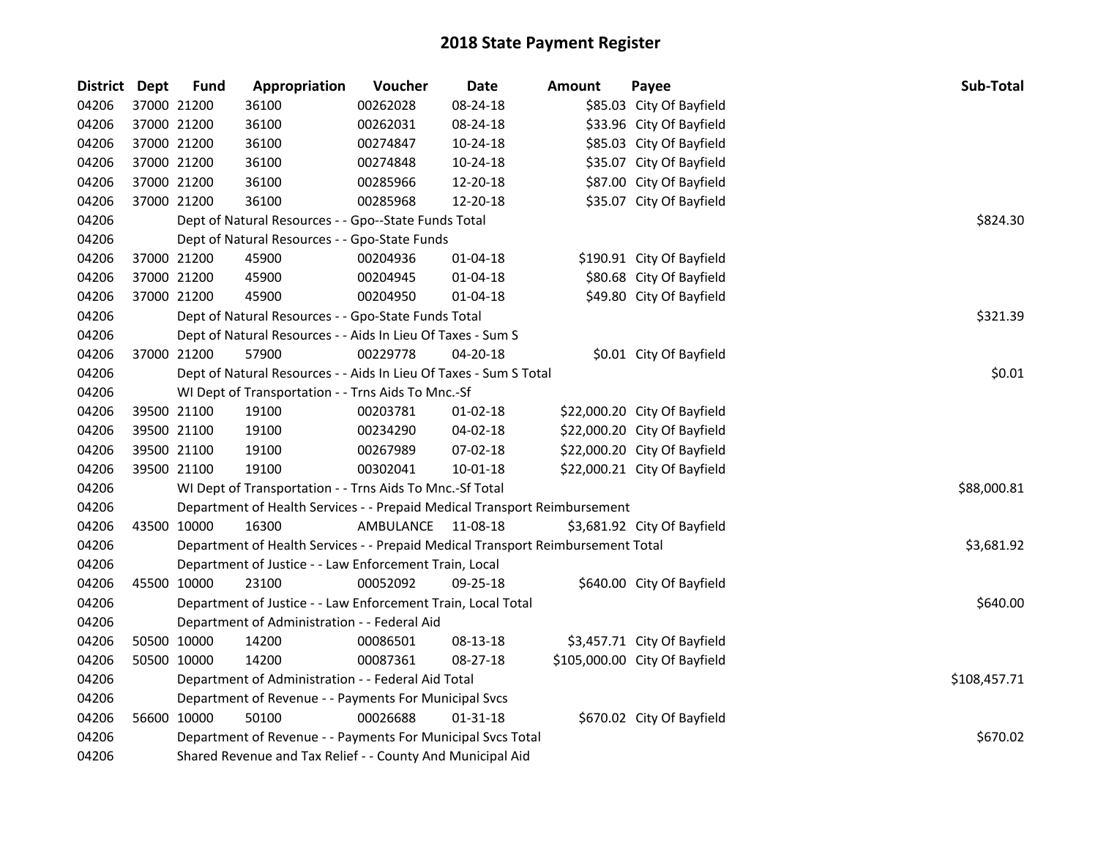| <b>District</b> | <b>Dept</b> | <b>Fund</b> | Appropriation                                                                   | Voucher            | <b>Date</b>    | <b>Amount</b> | Payee                         | Sub-Total    |
|-----------------|-------------|-------------|---------------------------------------------------------------------------------|--------------------|----------------|---------------|-------------------------------|--------------|
| 04206           |             | 37000 21200 | 36100                                                                           | 00262028           | 08-24-18       |               | \$85.03 City Of Bayfield      |              |
| 04206           |             | 37000 21200 | 36100                                                                           | 00262031           | 08-24-18       |               | \$33.96 City Of Bayfield      |              |
| 04206           |             | 37000 21200 | 36100                                                                           | 00274847           | 10-24-18       |               | \$85.03 City Of Bayfield      |              |
| 04206           |             | 37000 21200 | 36100                                                                           | 00274848           | 10-24-18       |               | \$35.07 City Of Bayfield      |              |
| 04206           |             | 37000 21200 | 36100                                                                           | 00285966           | 12-20-18       |               | \$87.00 City Of Bayfield      |              |
| 04206           |             | 37000 21200 | 36100                                                                           | 00285968           | 12-20-18       |               | \$35.07 City Of Bayfield      |              |
| 04206           |             |             | Dept of Natural Resources - - Gpo--State Funds Total                            | \$824.30           |                |               |                               |              |
| 04206           |             |             | Dept of Natural Resources - - Gpo-State Funds                                   |                    |                |               |                               |              |
| 04206           |             | 37000 21200 | 45900                                                                           | 00204936           | 01-04-18       |               | \$190.91 City Of Bayfield     |              |
| 04206           |             | 37000 21200 | 45900                                                                           | 00204945           | 01-04-18       |               | \$80.68 City Of Bayfield      |              |
| 04206           |             | 37000 21200 | 45900                                                                           | 00204950           | 01-04-18       |               | \$49.80 City Of Bayfield      |              |
| 04206           |             |             | Dept of Natural Resources - - Gpo-State Funds Total                             |                    |                |               |                               | \$321.39     |
| 04206           |             |             | Dept of Natural Resources - - Aids In Lieu Of Taxes - Sum S                     |                    |                |               |                               |              |
| 04206           |             | 37000 21200 | 57900                                                                           | 00229778           | 04-20-18       |               | \$0.01 City Of Bayfield       |              |
| 04206           |             |             | Dept of Natural Resources - - Aids In Lieu Of Taxes - Sum S Total               |                    |                |               |                               | \$0.01       |
| 04206           |             |             | WI Dept of Transportation - - Trns Aids To Mnc.-Sf                              |                    |                |               |                               |              |
| 04206           |             | 39500 21100 | 19100                                                                           | 00203781           | $01 - 02 - 18$ |               | \$22,000.20 City Of Bayfield  |              |
| 04206           |             | 39500 21100 | 19100                                                                           | 00234290           | $04 - 02 - 18$ |               | \$22,000.20 City Of Bayfield  |              |
| 04206           |             | 39500 21100 | 19100                                                                           | 00267989           | 07-02-18       |               | \$22,000.20 City Of Bayfield  |              |
| 04206           |             | 39500 21100 | 19100                                                                           | 00302041           | $10 - 01 - 18$ |               | \$22,000.21 City Of Bayfield  |              |
| 04206           |             |             | WI Dept of Transportation - - Trns Aids To Mnc.-Sf Total                        |                    |                |               |                               | \$88,000.81  |
| 04206           |             |             | Department of Health Services - - Prepaid Medical Transport Reimbursement       |                    |                |               |                               |              |
| 04206           |             | 43500 10000 | 16300                                                                           | AMBULANCE 11-08-18 |                |               | \$3,681.92 City Of Bayfield   |              |
| 04206           |             |             | Department of Health Services - - Prepaid Medical Transport Reimbursement Total |                    |                |               |                               | \$3,681.92   |
| 04206           |             |             | Department of Justice - - Law Enforcement Train, Local                          |                    |                |               |                               |              |
| 04206           |             | 45500 10000 | 23100                                                                           | 00052092           | 09-25-18       |               | \$640.00 City Of Bayfield     |              |
| 04206           |             |             | Department of Justice - - Law Enforcement Train, Local Total                    |                    |                |               |                               | \$640.00     |
| 04206           |             |             | Department of Administration - - Federal Aid                                    |                    |                |               |                               |              |
| 04206           |             | 50500 10000 | 14200                                                                           | 00086501           | 08-13-18       |               | \$3,457.71 City Of Bayfield   |              |
| 04206           |             | 50500 10000 | 14200                                                                           | 00087361           | 08-27-18       |               | \$105,000.00 City Of Bayfield |              |
| 04206           |             |             | Department of Administration - - Federal Aid Total                              |                    |                |               |                               | \$108,457.71 |
| 04206           |             |             | Department of Revenue - - Payments For Municipal Svcs                           |                    |                |               |                               |              |
| 04206           |             | 56600 10000 | 50100                                                                           | 00026688           | $01 - 31 - 18$ |               | \$670.02 City Of Bayfield     |              |
| 04206           |             |             | Department of Revenue - - Payments For Municipal Svcs Total                     |                    |                |               |                               | \$670.02     |
| 04206           |             |             | Shared Revenue and Tax Relief - - County And Municipal Aid                      |                    |                |               |                               |              |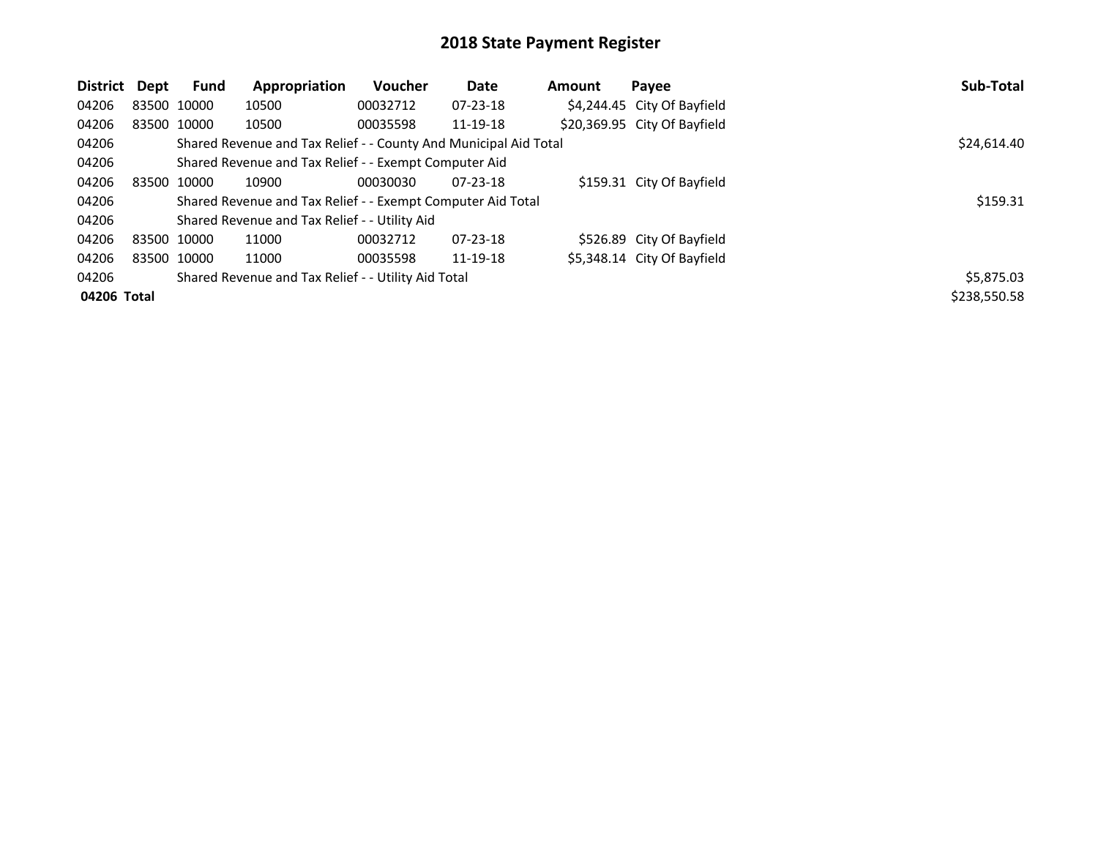| District    | Dept        | Fund        | Appropriation                                                    | Voucher  | Date           | <b>Amount</b> | Payee                        | Sub-Total    |
|-------------|-------------|-------------|------------------------------------------------------------------|----------|----------------|---------------|------------------------------|--------------|
| 04206       |             | 83500 10000 | 10500                                                            | 00032712 | $07 - 23 - 18$ |               | \$4,244.45 City Of Bayfield  |              |
| 04206       |             | 83500 10000 | 10500                                                            | 00035598 | 11-19-18       |               | \$20,369.95 City Of Bayfield |              |
| 04206       |             |             | Shared Revenue and Tax Relief - - County And Municipal Aid Total |          |                |               |                              | \$24,614.40  |
| 04206       |             |             | Shared Revenue and Tax Relief - - Exempt Computer Aid            |          |                |               |                              |              |
| 04206       | 83500 10000 |             | 10900                                                            | 00030030 | $07 - 23 - 18$ |               | \$159.31 City Of Bayfield    |              |
| 04206       |             |             | Shared Revenue and Tax Relief - - Exempt Computer Aid Total      |          |                |               |                              | \$159.31     |
| 04206       |             |             | Shared Revenue and Tax Relief - - Utility Aid                    |          |                |               |                              |              |
| 04206       | 83500 10000 |             | 11000                                                            | 00032712 | $07 - 23 - 18$ |               | \$526.89 City Of Bayfield    |              |
| 04206       |             | 83500 10000 | 11000                                                            | 00035598 | 11-19-18       |               | \$5,348.14 City Of Bayfield  |              |
| 04206       |             |             | Shared Revenue and Tax Relief - - Utility Aid Total              |          |                |               |                              | \$5,875.03   |
| 04206 Total |             |             |                                                                  |          |                |               |                              | \$238,550.58 |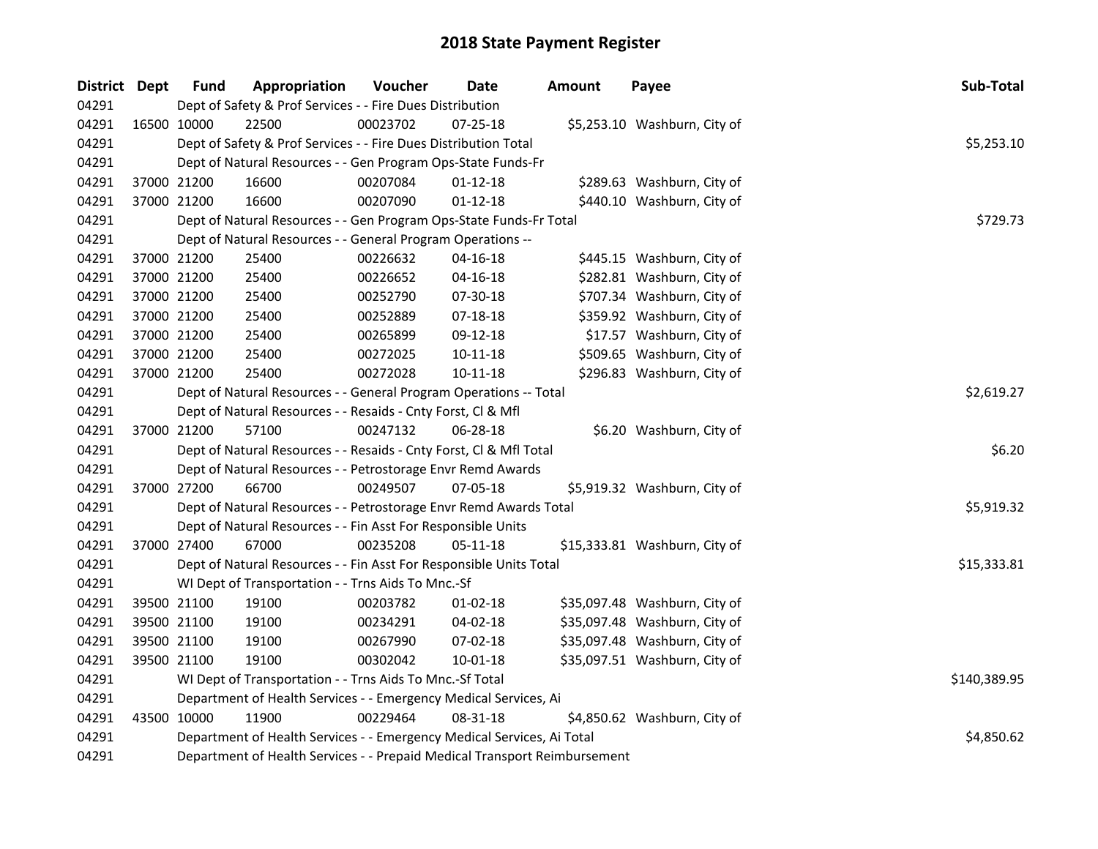| District Dept |             | <b>Fund</b>                                                      | Appropriation                                                                                                                                       | Voucher  | Date           | <b>Amount</b> | Payee                         |  | Sub-Total   |  |  |  |
|---------------|-------------|------------------------------------------------------------------|-----------------------------------------------------------------------------------------------------------------------------------------------------|----------|----------------|---------------|-------------------------------|--|-------------|--|--|--|
| 04291         |             |                                                                  | Dept of Safety & Prof Services - - Fire Dues Distribution                                                                                           |          |                |               |                               |  |             |  |  |  |
| 04291         |             | 16500 10000                                                      | 22500                                                                                                                                               | 00023702 | 07-25-18       |               | \$5,253.10 Washburn, City of  |  |             |  |  |  |
| 04291         |             |                                                                  | Dept of Safety & Prof Services - - Fire Dues Distribution Total                                                                                     |          |                |               |                               |  |             |  |  |  |
| 04291         |             |                                                                  | Dept of Natural Resources - - Gen Program Ops-State Funds-Fr                                                                                        |          |                |               |                               |  |             |  |  |  |
| 04291         |             | 37000 21200                                                      | 16600                                                                                                                                               | 00207084 | $01 - 12 - 18$ |               | \$289.63 Washburn, City of    |  |             |  |  |  |
| 04291         |             | 37000 21200                                                      | 16600                                                                                                                                               | 00207090 | $01 - 12 - 18$ |               | \$440.10 Washburn, City of    |  |             |  |  |  |
| 04291         |             |                                                                  | Dept of Natural Resources - - Gen Program Ops-State Funds-Fr Total                                                                                  |          | \$729.73       |               |                               |  |             |  |  |  |
| 04291         |             |                                                                  | Dept of Natural Resources - - General Program Operations --                                                                                         |          |                |               |                               |  |             |  |  |  |
| 04291         | 37000 21200 |                                                                  | 25400                                                                                                                                               | 00226632 | $04 - 16 - 18$ |               | \$445.15 Washburn, City of    |  |             |  |  |  |
| 04291         |             | 37000 21200                                                      | 25400                                                                                                                                               | 00226652 | 04-16-18       |               | \$282.81 Washburn, City of    |  |             |  |  |  |
| 04291         |             | 37000 21200                                                      | 25400                                                                                                                                               | 00252790 | 07-30-18       |               | \$707.34 Washburn, City of    |  |             |  |  |  |
| 04291         |             | 37000 21200                                                      | 25400                                                                                                                                               | 00252889 | 07-18-18       |               | \$359.92 Washburn, City of    |  |             |  |  |  |
| 04291         |             | 37000 21200                                                      | 25400                                                                                                                                               | 00265899 | 09-12-18       |               | \$17.57 Washburn, City of     |  |             |  |  |  |
| 04291         |             | 37000 21200                                                      | 25400                                                                                                                                               | 00272025 | $10 - 11 - 18$ |               | \$509.65 Washburn, City of    |  |             |  |  |  |
| 04291         |             | 37000 21200                                                      | 25400                                                                                                                                               | 00272028 | $10 - 11 - 18$ |               | \$296.83 Washburn, City of    |  |             |  |  |  |
| 04291         |             |                                                                  | Dept of Natural Resources - - General Program Operations -- Total                                                                                   |          |                |               |                               |  | \$2,619.27  |  |  |  |
| 04291         |             |                                                                  | Dept of Natural Resources - - Resaids - Cnty Forst, Cl & Mfl                                                                                        |          |                |               |                               |  |             |  |  |  |
| 04291         |             | 37000 21200                                                      | 57100                                                                                                                                               | 00247132 | 06-28-18       |               | \$6.20 Washburn, City of      |  |             |  |  |  |
| 04291         |             |                                                                  | Dept of Natural Resources - - Resaids - Cnty Forst, Cl & Mfl Total                                                                                  |          |                |               |                               |  | \$6.20      |  |  |  |
| 04291         |             |                                                                  | Dept of Natural Resources - - Petrostorage Envr Remd Awards                                                                                         |          |                |               |                               |  |             |  |  |  |
| 04291         | 37000 27200 |                                                                  | 66700                                                                                                                                               | 00249507 | 07-05-18       |               | \$5,919.32 Washburn, City of  |  |             |  |  |  |
| 04291         |             |                                                                  | Dept of Natural Resources - - Petrostorage Envr Remd Awards Total                                                                                   |          |                |               |                               |  | \$5,919.32  |  |  |  |
| 04291         |             |                                                                  | Dept of Natural Resources - - Fin Asst For Responsible Units                                                                                        |          |                |               |                               |  |             |  |  |  |
| 04291         |             | 37000 27400                                                      | 67000                                                                                                                                               | 00235208 | 05-11-18       |               | \$15,333.81 Washburn, City of |  |             |  |  |  |
| 04291         |             |                                                                  | Dept of Natural Resources - - Fin Asst For Responsible Units Total                                                                                  |          |                |               |                               |  | \$15,333.81 |  |  |  |
| 04291         |             |                                                                  | WI Dept of Transportation - - Trns Aids To Mnc.-Sf                                                                                                  |          |                |               |                               |  |             |  |  |  |
| 04291         |             | 39500 21100                                                      | 19100                                                                                                                                               | 00203782 | $01 - 02 - 18$ |               | \$35,097.48 Washburn, City of |  |             |  |  |  |
| 04291         |             | 39500 21100                                                      | 19100                                                                                                                                               | 00234291 | 04-02-18       |               | \$35,097.48 Washburn, City of |  |             |  |  |  |
| 04291         |             | 39500 21100                                                      | 19100                                                                                                                                               | 00267990 | 07-02-18       |               | \$35,097.48 Washburn, City of |  |             |  |  |  |
| 04291         |             | 39500 21100                                                      | 19100                                                                                                                                               | 00302042 | 10-01-18       |               | \$35,097.51 Washburn, City of |  |             |  |  |  |
| 04291         |             |                                                                  | WI Dept of Transportation - - Trns Aids To Mnc.-Sf Total                                                                                            |          | \$140,389.95   |               |                               |  |             |  |  |  |
| 04291         |             | Department of Health Services - - Emergency Medical Services, Ai |                                                                                                                                                     |          |                |               |                               |  |             |  |  |  |
| 04291         |             | 43500 10000                                                      | 11900                                                                                                                                               | 00229464 | 08-31-18       |               | \$4,850.62 Washburn, City of  |  |             |  |  |  |
| 04291         |             |                                                                  |                                                                                                                                                     |          |                |               |                               |  | \$4,850.62  |  |  |  |
| 04291         |             |                                                                  | Department of Health Services - - Emergency Medical Services, Ai Total<br>Department of Health Services - - Prepaid Medical Transport Reimbursement |          |                |               |                               |  |             |  |  |  |